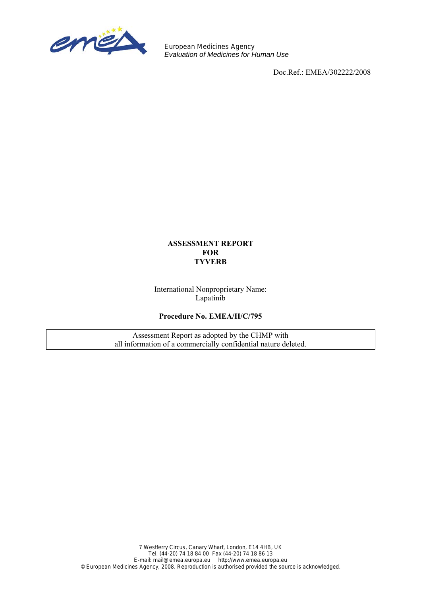

European Medicines Agency *Evaluation of Medicines for Human Use*

Doc.Ref.: EMEA/302222/2008

## **ASSESSMENT REPORT FOR TYVERB**

International Nonproprietary Name: Lapatinib

**Procedure No. EMEA/H/C/795** 

Assessment Report as adopted by the CHMP with all information of a commercially confidential nature deleted.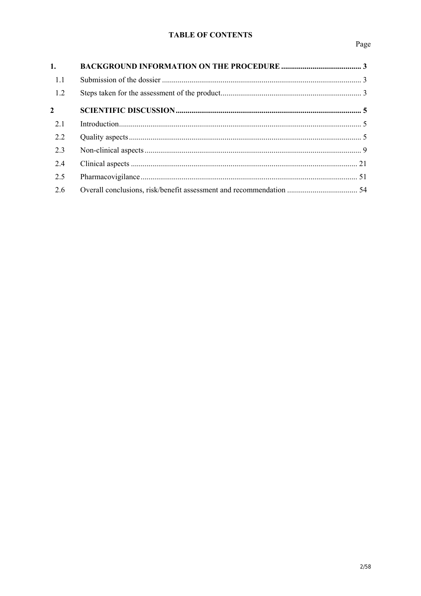# **TABLE OF CONTENTS**

| 1.             |  |
|----------------|--|
| 1.1            |  |
| 1.2            |  |
| $\overline{2}$ |  |
| 2.1            |  |
| 2.2            |  |
| 2.3            |  |
| 2.4            |  |
| 2.5            |  |
| 2.6            |  |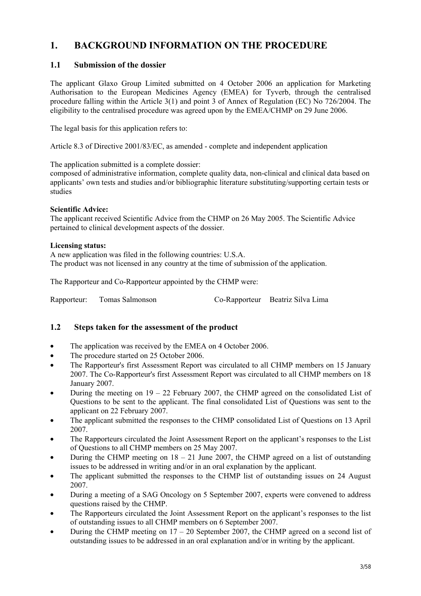# **1. BACKGROUND INFORMATION ON THE PROCEDURE**

# **1.1 Submission of the dossier**

The applicant Glaxo Group Limited submitted on 4 October 2006 an application for Marketing Authorisation to the European Medicines Agency (EMEA) for Tyverb, through the centralised procedure falling within the Article 3(1) and point 3 of Annex of Regulation (EC) No 726/2004. The eligibility to the centralised procedure was agreed upon by the EMEA/CHMP on 29 June 2006.

The legal basis for this application refers to:

Article 8.3 of Directive 2001/83/EC, as amended - complete and independent application

The application submitted is a complete dossier:

composed of administrative information, complete quality data, non-clinical and clinical data based on applicants' own tests and studies and/or bibliographic literature substituting/supporting certain tests or studies

# **Scientific Advice:**

The applicant received Scientific Advice from the CHMP on 26 May 2005. The Scientific Advice pertained to clinical development aspects of the dossier.

# **Licensing status:**

A new application was filed in the following countries: U.S.A. The product was not licensed in any country at the time of submission of the application.

The Rapporteur and Co-Rapporteur appointed by the CHMP were:

Rapporteur: Tomas Salmonson Co-Rapporteur Beatriz Silva Lima

# **1.2 Steps taken for the assessment of the product**

- The application was received by the EMEA on 4 October 2006.
- The procedure started on 25 October 2006.
- The Rapporteur's first Assessment Report was circulated to all CHMP members on 15 January 2007. The Co-Rapporteur's first Assessment Report was circulated to all CHMP members on 18 January 2007.
- During the meeting on  $19 22$  February 2007, the CHMP agreed on the consolidated List of Questions to be sent to the applicant. The final consolidated List of Questions was sent to the applicant on 22 February 2007.
- The applicant submitted the responses to the CHMP consolidated List of Questions on 13 April 2007.
- The Rapporteurs circulated the Joint Assessment Report on the applicant's responses to the List of Questions to all CHMP members on 25 May 2007.
- During the CHMP meeting on  $18 21$  June 2007, the CHMP agreed on a list of outstanding issues to be addressed in writing and/or in an oral explanation by the applicant.
- The applicant submitted the responses to the CHMP list of outstanding issues on 24 August 2007.
- During a meeting of a SAG Oncology on 5 September 2007, experts were convened to address questions raised by the CHMP.
- The Rapporteurs circulated the Joint Assessment Report on the applicant's responses to the list of outstanding issues to all CHMP members on 6 September 2007.
- During the CHMP meeting on  $17 20$  September 2007, the CHMP agreed on a second list of outstanding issues to be addressed in an oral explanation and/or in writing by the applicant.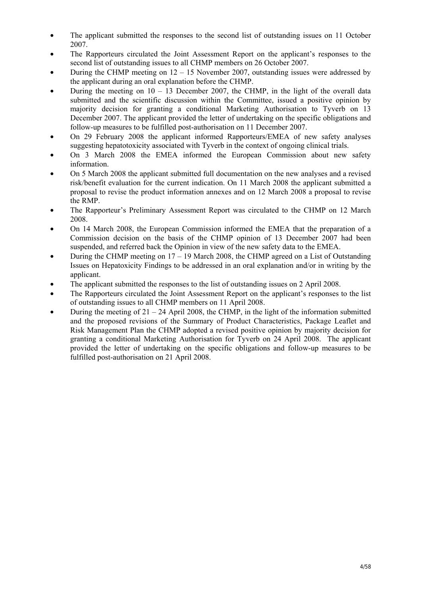- The applicant submitted the responses to the second list of outstanding issues on 11 October 2007.
- The Rapporteurs circulated the Joint Assessment Report on the applicant's responses to the second list of outstanding issues to all CHMP members on 26 October 2007.
- During the CHMP meeting on  $12 15$  November 2007, outstanding issues were addressed by the applicant during an oral explanation before the CHMP.
- During the meeting on  $10 13$  December 2007, the CHMP, in the light of the overall data submitted and the scientific discussion within the Committee, issued a positive opinion by majority decision for granting a conditional Marketing Authorisation to Tyverb on 13 December 2007. The applicant provided the letter of undertaking on the specific obligations and follow-up measures to be fulfilled post-authorisation on 11 December 2007.
- On 29 February 2008 the applicant informed Rapporteurs/EMEA of new safety analyses suggesting hepatotoxicity associated with Tyverb in the context of ongoing clinical trials.
- On 3 March 2008 the EMEA informed the European Commission about new safety information.
- On 5 March 2008 the applicant submitted full documentation on the new analyses and a revised risk/benefit evaluation for the current indication. On 11 March 2008 the applicant submitted a proposal to revise the product information annexes and on 12 March 2008 a proposal to revise the RMP.
- The Rapporteur's Preliminary Assessment Report was circulated to the CHMP on 12 March 2008.
- On 14 March 2008, the European Commission informed the EMEA that the preparation of a Commission decision on the basis of the CHMP opinion of 13 December 2007 had been suspended, and referred back the Opinion in view of the new safety data to the EMEA.
- During the CHMP meeting on 17 19 March 2008, the CHMP agreed on a List of Outstanding Issues on Hepatoxicity Findings to be addressed in an oral explanation and/or in writing by the applicant.
- The applicant submitted the responses to the list of outstanding issues on 2 April 2008.
- The Rapporteurs circulated the Joint Assessment Report on the applicant's responses to the list of outstanding issues to all CHMP members on 11 April 2008.
- During the meeting of  $21 24$  April 2008, the CHMP, in the light of the information submitted and the proposed revisions of the Summary of Product Characteristics, Package Leaflet and Risk Management Plan the CHMP adopted a revised positive opinion by majority decision for granting a conditional Marketing Authorisation for Tyverb on 24 April 2008. The applicant provided the letter of undertaking on the specific obligations and follow-up measures to be fulfilled post-authorisation on 21 April 2008.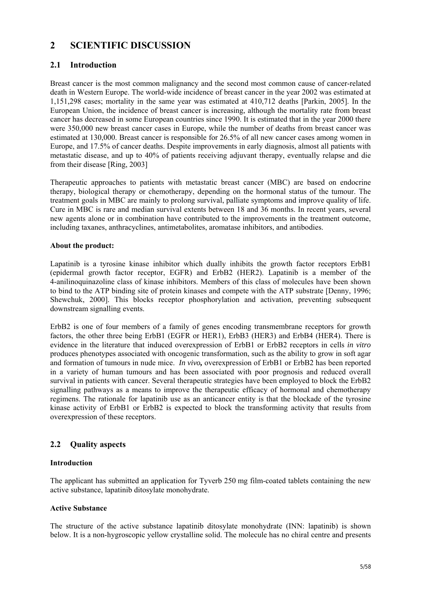# **2 SCIENTIFIC DISCUSSION**

# **2.1 Introduction**

Breast cancer is the most common malignancy and the second most common cause of cancer-related death in Western Europe. The world-wide incidence of breast cancer in the year 2002 was estimated at 1,151,298 cases; mortality in the same year was estimated at 410,712 deaths [Parkin, 2005]. In the European Union, the incidence of breast cancer is increasing, although the mortality rate from breast cancer has decreased in some European countries since 1990. It is estimated that in the year 2000 there were 350,000 new breast cancer cases in Europe, while the number of deaths from breast cancer was estimated at 130,000. Breast cancer is responsible for 26.5% of all new cancer cases among women in Europe, and 17.5% of cancer deaths. Despite improvements in early diagnosis, almost all patients with metastatic disease, and up to 40% of patients receiving adjuvant therapy, eventually relapse and die from their disease [Ring, 2003]

Therapeutic approaches to patients with metastatic breast cancer (MBC) are based on endocrine therapy, biological therapy or chemotherapy, depending on the hormonal status of the tumour. The treatment goals in MBC are mainly to prolong survival, palliate symptoms and improve quality of life. Cure in MBC is rare and median survival extents between 18 and 36 months. In recent years, several new agents alone or in combination have contributed to the improvements in the treatment outcome, including taxanes, anthracyclines, antimetabolites, aromatase inhibitors, and antibodies.

## **About the product:**

Lapatinib is a tyrosine kinase inhibitor which dually inhibits the growth factor receptors ErbB1 (epidermal growth factor receptor, EGFR) and ErbB2 (HER2). Lapatinib is a member of the 4-anilinoquinazoline class of kinase inhibitors. Members of this class of molecules have been shown to bind to the ATP binding site of protein kinases and compete with the ATP substrate [Denny, 1996; Shewchuk, 2000]. This blocks receptor phosphorylation and activation, preventing subsequent downstream signalling events.

ErbB2 is one of four members of a family of genes encoding transmembrane receptors for growth factors, the other three being ErbB1 (EGFR or HER1), ErbB3 (HER3) and ErbB4 (HER4). There is evidence in the literature that induced overexpression of ErbB1 or ErbB2 receptors in cells *in vitro* produces phenotypes associated with oncogenic transformation, such as the ability to grow in soft agar and formation of tumours in nude mice. *In vivo,* overexpression of ErbB1 or ErbB2 has been reported in a variety of human tumours and has been associated with poor prognosis and reduced overall survival in patients with cancer. Several therapeutic strategies have been employed to block the ErbB2 signalling pathways as a means to improve the therapeutic efficacy of hormonal and chemotherapy regimens. The rationale for lapatinib use as an anticancer entity is that the blockade of the tyrosine kinase activity of ErbB1 or ErbB2 is expected to block the transforming activity that results from overexpression of these receptors.

# **2.2 Quality aspects**

## **Introduction**

The applicant has submitted an application for Tyverb 250 mg film-coated tablets containing the new active substance, lapatinib ditosylate monohydrate.

## **Active Substance**

The structure of the active substance lapatinib ditosylate monohydrate (INN: lapatinib) is shown below. It is a non-hygroscopic yellow crystalline solid. The molecule has no chiral centre and presents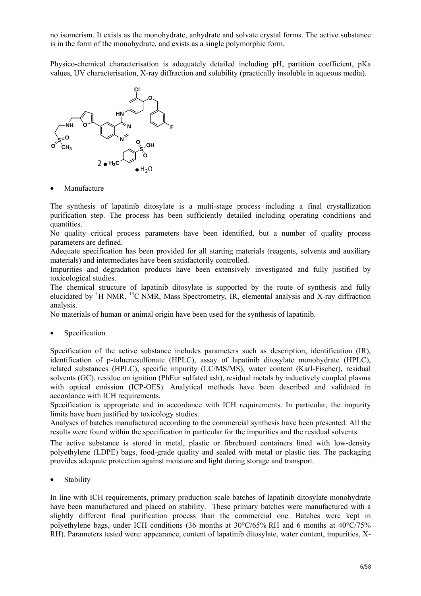no isomerism. It exists as the monohydrate, anhydrate and solvate crystal forms. The active substance is in the form of the monohydrate, and exists as a single polymorphic form.

Physico-chemical characterisation is adequately detailed including pH, partition coefficient, pKa values, UV characterisation, X-ray diffraction and solubility (practically insoluble in aqueous media).



**Manufacture** 

The synthesis of lapatinib ditosylate is a multi-stage process including a final crystallization purification step. The process has been sufficiently detailed including operating conditions and quantities.

No quality critical process parameters have been identified, but a number of quality process parameters are defined.

Adequate specification has been provided for all starting materials (reagents, solvents and auxiliary materials) and intermediates have been satisfactorily controlled.

Impurities and degradation products have been extensively investigated and fully justified by toxicological studies.

The chemical structure of lapatinib ditosylate is supported by the route of synthesis and fully elucidated by <sup>1</sup>H NMR, <sup>13</sup>C NMR, Mass Spectrometry, IR, elemental analysis and X-ray diffraction analysis.

No materials of human or animal origin have been used for the synthesis of lapatinib.

• Specification

Specification of the active substance includes parameters such as description, identification (IR), identification of p-toluenesulfonate (HPLC), assay of lapatinib ditosylate monohydrate (HPLC), related substances (HPLC), specific impurity (LC/MS/MS), water content (Karl-Fischer), residual solvents (GC), residue on ignition (PhEur sulfated ash), residual metals by inductively coupled plasma with optical emission (ICP-OES). Analytical methods have been described and validated in accordance with ICH requirements.

Specification is appropriate and in accordance with ICH requirements. In particular, the impurity limits have been justified by toxicology studies.

Analyses of batches manufactured according to the commercial synthesis have been presented. All the results were found within the specification in particular for the impurities and the residual solvents.

The active substance is stored in metal, plastic or fibreboard containers lined with low-density polyethylene (LDPE) bags, food-grade quality and sealed with metal or plastic ties. The packaging provides adequate protection against moisture and light during storage and transport.

• Stability

In line with ICH requirements, primary production scale batches of lapatinib ditosylate monohydrate have been manufactured and placed on stability. These primary batches were manufactured with a slightly different final purification process than the commercial one. Batches were kept in polyethylene bags, under ICH conditions (36 months at 30°C/65% RH and 6 months at 40°C/75% RH). Parameters tested were: appearance, content of lapatinib ditosylate, water content, impurities, X-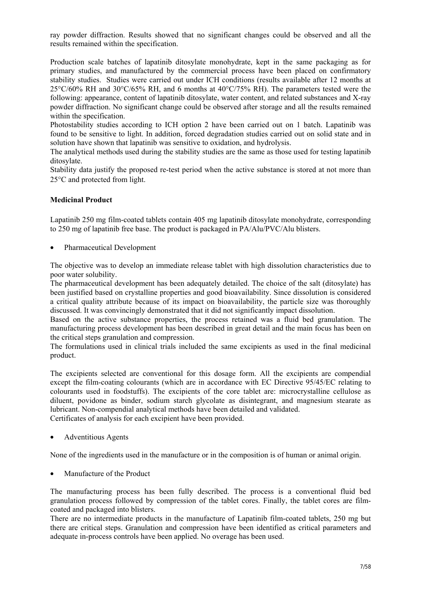ray powder diffraction. Results showed that no significant changes could be observed and all the results remained within the specification.

Production scale batches of lapatinib ditosylate monohydrate, kept in the same packaging as for primary studies, and manufactured by the commercial process have been placed on confirmatory stability studies. Studies were carried out under ICH conditions (results available after 12 months at 25°C/60% RH and 30°C/65% RH, and 6 months at 40°C/75% RH). The parameters tested were the following: appearance, content of lapatinib ditosylate, water content, and related substances and X-ray powder diffraction. No significant change could be observed after storage and all the results remained within the specification.

Photostability studies according to ICH option 2 have been carried out on 1 batch. Lapatinib was found to be sensitive to light. In addition, forced degradation studies carried out on solid state and in solution have shown that lapatinib was sensitive to oxidation, and hydrolysis.

The analytical methods used during the stability studies are the same as those used for testing lapatinib ditosylate.

Stability data justify the proposed re-test period when the active substance is stored at not more than 25°C and protected from light.

## **Medicinal Product**

Lapatinib 250 mg film-coated tablets contain 405 mg lapatinib ditosylate monohydrate, corresponding to 250 mg of lapatinib free base. The product is packaged in PA/Alu/PVC/Alu blisters.

• Pharmaceutical Development

The objective was to develop an immediate release tablet with high dissolution characteristics due to poor water solubility.

The pharmaceutical development has been adequately detailed. The choice of the salt (ditosylate) has been justified based on crystalline properties and good bioavailability. Since dissolution is considered a critical quality attribute because of its impact on bioavailability, the particle size was thoroughly discussed. It was convincingly demonstrated that it did not significantly impact dissolution.

Based on the active substance properties, the process retained was a fluid bed granulation. The manufacturing process development has been described in great detail and the main focus has been on the critical steps granulation and compression.

The formulations used in clinical trials included the same excipients as used in the final medicinal product.

The excipients selected are conventional for this dosage form. All the excipients are compendial except the film-coating colourants (which are in accordance with EC Directive 95/45/EC relating to colourants used in foodstuffs). The excipients of the core tablet are: microcrystalline cellulose as diluent, povidone as binder, sodium starch glycolate as disintegrant, and magnesium stearate as lubricant. Non-compendial analytical methods have been detailed and validated. Certificates of analysis for each excipient have been provided.

• Adventitious Agents

None of the ingredients used in the manufacture or in the composition is of human or animal origin.

• Manufacture of the Product

The manufacturing process has been fully described. The process is a conventional fluid bed granulation process followed by compression of the tablet cores. Finally, the tablet cores are filmcoated and packaged into blisters.

There are no intermediate products in the manufacture of Lapatinib film-coated tablets, 250 mg but there are critical steps. Granulation and compression have been identified as critical parameters and adequate in-process controls have been applied. No overage has been used.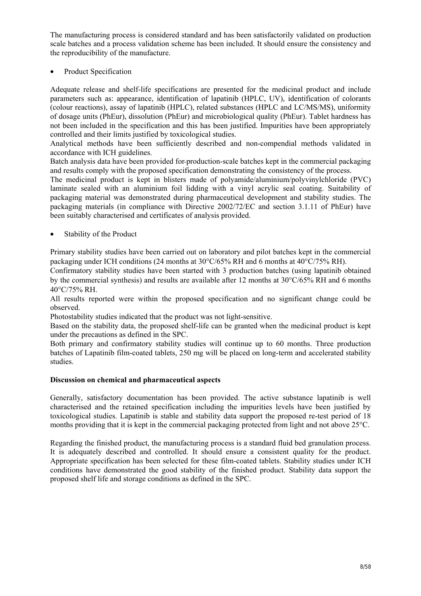The manufacturing process is considered standard and has been satisfactorily validated on production scale batches and a process validation scheme has been included. It should ensure the consistency and the reproducibility of the manufacture.

Product Specification

Adequate release and shelf-life specifications are presented for the medicinal product and include parameters such as: appearance, identification of lapatinib (HPLC, UV), identification of colorants (colour reactions), assay of lapatinib (HPLC), related substances (HPLC and LC/MS/MS), uniformity of dosage units (PhEur), dissolution (PhEur) and microbiological quality (PhEur). Tablet hardness has not been included in the specification and this has been justified. Impurities have been appropriately controlled and their limits justified by toxicological studies.

Analytical methods have been sufficiently described and non-compendial methods validated in accordance with ICH guidelines.

Batch analysis data have been provided for production-scale batches kept in the commercial packaging and results comply with the proposed specification demonstrating the consistency of the process.

The medicinal product is kept in blisters made of polyamide/aluminium/polyvinylchloride (PVC) laminate sealed with an aluminium foil lidding with a vinyl acrylic seal coating. Suitability of packaging material was demonstrated during pharmaceutical development and stability studies. The packaging materials (in compliance with Directive 2002/72/EC and section 3.1.11 of PhEur) have been suitably characterised and certificates of analysis provided.

Stability of the Product

Primary stability studies have been carried out on laboratory and pilot batches kept in the commercial packaging under ICH conditions (24 months at 30°C/65% RH and 6 months at 40°C/75% RH).

Confirmatory stability studies have been started with 3 production batches (using lapatinib obtained by the commercial synthesis) and results are available after 12 months at 30°C/65% RH and 6 months 40°C/75% RH.

All results reported were within the proposed specification and no significant change could be observed.

Photostability studies indicated that the product was not light-sensitive.

Based on the stability data, the proposed shelf-life can be granted when the medicinal product is kept under the precautions as defined in the SPC.

Both primary and confirmatory stability studies will continue up to 60 months. Three production batches of Lapatinib film-coated tablets, 250 mg will be placed on long-term and accelerated stability studies.

#### **Discussion on chemical and pharmaceutical aspects**

Generally, satisfactory documentation has been provided. The active substance lapatinib is well characterised and the retained specification including the impurities levels have been justified by toxicological studies. Lapatinib is stable and stability data support the proposed re-test period of 18 months providing that it is kept in the commercial packaging protected from light and not above 25°C.

Regarding the finished product, the manufacturing process is a standard fluid bed granulation process. It is adequately described and controlled. It should ensure a consistent quality for the product. Appropriate specification has been selected for these film-coated tablets. Stability studies under ICH conditions have demonstrated the good stability of the finished product. Stability data support the proposed shelf life and storage conditions as defined in the SPC.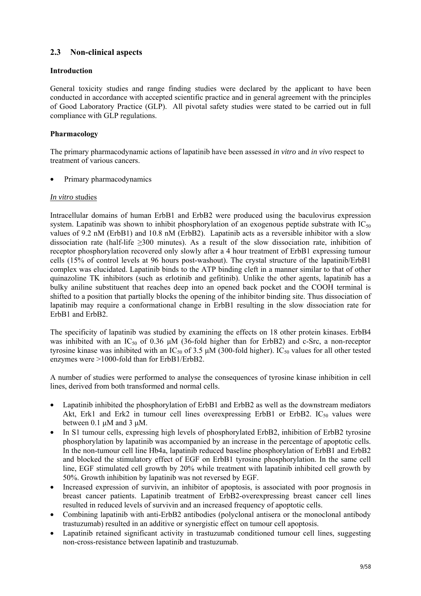# **2.3 Non-clinical aspects**

## **Introduction**

General toxicity studies and range finding studies were declared by the applicant to have been conducted in accordance with accepted scientific practice and in general agreement with the principles of Good Laboratory Practice (GLP). All pivotal safety studies were stated to be carried out in full compliance with GLP regulations.

## **Pharmacology**

The primary pharmacodynamic actions of lapatinib have been assessed *in vitro* and *in vivo* respect to treatment of various cancers.

• Primary pharmacodynamics

## *In vitro* studies

Intracellular domains of human ErbB1 and ErbB2 were produced using the baculovirus expression system. Lapatinib was shown to inhibit phosphorylation of an exogenous peptide substrate with  $IC_{50}$ values of 9.2 nM (ErbB1) and 10.8 nM (ErbB2). Lapatinib acts as a reversible inhibitor with a slow dissociation rate (half-life ≥300 minutes). As a result of the slow dissociation rate, inhibition of receptor phosphorylation recovered only slowly after a 4 hour treatment of ErbB1 expressing tumour cells (15% of control levels at 96 hours post-washout). The crystal structure of the lapatinib/ErbB1 complex was elucidated. Lapatinib binds to the ATP binding cleft in a manner similar to that of other quinazoline TK inhibitors (such as erlotinib and gefitinib). Unlike the other agents, lapatinib has a bulky aniline substituent that reaches deep into an opened back pocket and the COOH terminal is shifted to a position that partially blocks the opening of the inhibitor binding site. Thus dissociation of lapatinib may require a conformational change in ErbB1 resulting in the slow dissociation rate for ErbB1 and ErbB2.

The specificity of lapatinib was studied by examining the effects on 18 other protein kinases. ErbB4 was inhibited with an IC<sub>50</sub> of 0.36  $\mu$ M (36-fold higher than for ErbB2) and c-Src, a non-receptor tyrosine kinase was inhibited with an IC<sub>50</sub> of 3.5  $\mu$ M (300-fold higher). IC<sub>50</sub> values for all other tested enzymes were >1000-fold than for ErbB1/ErbB2.

A number of studies were performed to analyse the consequences of tyrosine kinase inhibition in cell lines, derived from both transformed and normal cells.

- Lapatinib inhibited the phosphorylation of ErbB1 and ErbB2 as well as the downstream mediators Akt, Erk1 and Erk2 in tumour cell lines overexpressing ErbB1 or ErbB2.  $IC_{50}$  values were between  $0.1 \mu M$  and  $3 \mu M$ .
- In S1 tumour cells, expressing high levels of phosphorylated ErbB2, inhibition of ErbB2 tyrosine phosphorylation by lapatinib was accompanied by an increase in the percentage of apoptotic cells. In the non-tumour cell line Hb4a, lapatinib reduced baseline phosphorylation of ErbB1 and ErbB2 and blocked the stimulatory effect of EGF on ErbB1 tyrosine phosphorylation. In the same cell line, EGF stimulated cell growth by 20% while treatment with lapatinib inhibited cell growth by 50%. Growth inhibition by lapatinib was not reversed by EGF.
- Increased expression of survivin, an inhibitor of apoptosis, is associated with poor prognosis in breast cancer patients. Lapatinib treatment of ErbB2-overexpressing breast cancer cell lines resulted in reduced levels of survivin and an increased frequency of apoptotic cells.
- Combining lapatinib with anti-ErbB2 antibodies (polyclonal antisera or the monoclonal antibody trastuzumab) resulted in an additive or synergistic effect on tumour cell apoptosis.
- Lapatinib retained significant activity in trastuzumab conditioned tumour cell lines, suggesting non-cross-resistance between lapatinib and trastuzumab.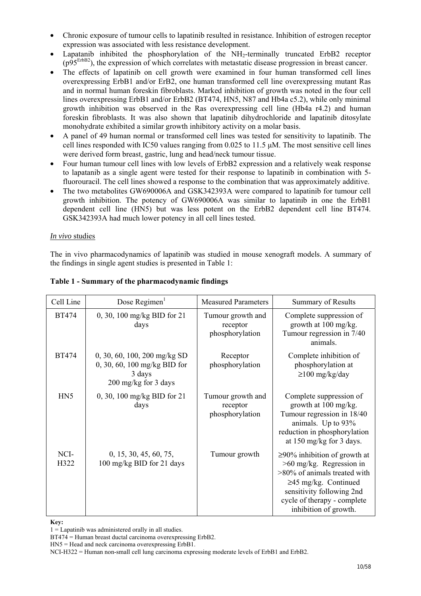- Chronic exposure of tumour cells to lapatinib resulted in resistance. Inhibition of estrogen receptor expression was associated with less resistance development.
- Lapatanib inhibited the phosphorylation of the NH<sub>2</sub>-terminally truncated ErbB2 receptor (p95ErbB2), the expression of which correlates with metastatic disease progression in breast cancer.
- The effects of lapatinib on cell growth were examined in four human transformed cell lines overexpressing ErbB1 and/or ErB2, one human transformed cell line overexpressing mutant Ras and in normal human foreskin fibroblasts. Marked inhibition of growth was noted in the four cell lines overexpressing ErbB1 and/or ErbB2 (BT474, HN5, N87 and Hb4a c5.2), while only minimal growth inhibition was observed in the Ras overexpressing cell line (Hb4a r4.2) and human foreskin fibroblasts. It was also shown that lapatinib dihydrochloride and lapatinib ditosylate monohydrate exhibited a similar growth inhibitory activity on a molar basis.
- A panel of 49 human normal or transformed cell lines was tested for sensitivity to lapatinib. The cell lines responded with IC50 values ranging from 0.025 to 11.5 µM. The most sensitive cell lines were derived form breast, gastric, lung and head/neck tumour tissue.
- Four human tumour cell lines with low levels of ErbB2 expression and a relatively weak response to lapatanib as a single agent were tested for their response to lapatinib in combination with 5 fluorouracil. The cell lines showed a response to the combination that was approximately additive.
- The two metabolites GW690006A and GSK342393A were compared to lapatinib for tumour cell growth inhibition. The potency of GW690006A was similar to lapatinib in one the ErbB1 dependent cell line (HN5) but was less potent on the ErbB2 dependent cell line BT474. GSK342393A had much lower potency in all cell lines tested.

#### *In vivo* studies

The in vivo pharmacodynamics of lapatinib was studied in mouse xenograft models. A summary of the findings in single agent studies is presented in Table 1:

| Cell Line    | Dose Regimen $1$                                                                                           | <b>Measured Parameters</b>                       | <b>Summary of Results</b>                                                                                                                                                                                           |
|--------------|------------------------------------------------------------------------------------------------------------|--------------------------------------------------|---------------------------------------------------------------------------------------------------------------------------------------------------------------------------------------------------------------------|
| <b>BT474</b> | 0, 30, 100 mg/kg BID for 21<br>days                                                                        | Tumour growth and<br>receptor<br>phosphorylation | Complete suppression of<br>growth at 100 mg/kg.<br>Tumour regression in 7/40<br>animals.                                                                                                                            |
| <b>BT474</b> | $0, 30, 60, 100, 200$ mg/kg SD<br>0, 30, 60, 100 mg/kg BID for<br>3 days<br>$200 \text{ mg/kg}$ for 3 days | Receptor<br>phosphorylation                      | Complete inhibition of<br>phosphorylation at<br>$\geq$ 100 mg/kg/day                                                                                                                                                |
| HN5          | 0, 30, 100 mg/kg BID for 21<br>days                                                                        | Tumour growth and<br>receptor<br>phosphorylation | Complete suppression of<br>growth at 100 mg/kg.<br>Tumour regression in 18/40<br>animals. Up to 93%<br>reduction in phosphorylation<br>at $150 \text{ mg/kg}$ for 3 days.                                           |
| NCI-<br>H322 | 0, 15, 30, 45, 60, 75,<br>100 mg/kg BID for 21 days                                                        | Tumour growth                                    | $\geq$ 90% inhibition of growth at<br>$>60$ mg/kg. Regression in<br>>80% of animals treated with<br>$\geq$ 45 mg/kg. Continued<br>sensitivity following 2nd<br>cycle of therapy - complete<br>inhibition of growth. |

# **Table 1 - Summary of the pharmacodynamic findings**

#### **Key:**

 $1 =$  Lapatinib was administered orally in all studies.

BT474 = Human breast ductal carcinoma overexpressing ErbB2.

HN5 = Head and neck carcinoma overexpressing ErbB1.

NCI-H322 = Human non-small cell lung carcinoma expressing moderate levels of ErbB1 and ErbB2.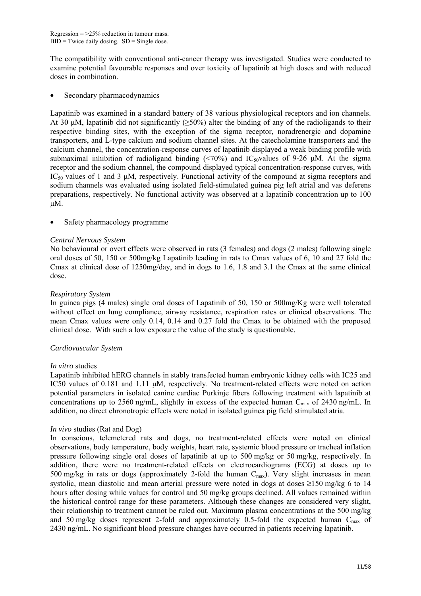The compatibility with conventional anti-cancer therapy was investigated. Studies were conducted to examine potential favourable responses and over toxicity of lapatinib at high doses and with reduced doses in combination.

Secondary pharmacodynamics

Lapatinib was examined in a standard battery of 38 various physiological receptors and ion channels. At 30 µM, lapatinib did not significantly ( $>50\%$ ) alter the binding of any of the radioligands to their respective binding sites, with the exception of the sigma receptor, noradrenergic and dopamine transporters, and L-type calcium and sodium channel sites. At the catecholamine transporters and the calcium channel, the concentration-response curves of lapatinib displayed a weak binding profile with submaximal inhibition of radioligand binding  $(\leq 70\%)$  and IC<sub>50</sub>values of 9-26 µM. At the sigma receptor and the sodium channel, the compound displayed typical concentration-response curves, with IC<sub>50</sub> values of 1 and 3  $\mu$ M, respectively. Functional activity of the compound at sigma receptors and sodium channels was evaluated using isolated field-stimulated guinea pig left atrial and vas deferens preparations, respectively. No functional activity was observed at a lapatinib concentration up to 100 µM.

Safety pharmacology programme

## *Central Nervous System*

No behavioural or overt effects were observed in rats (3 females) and dogs (2 males) following single oral doses of 50, 150 or 500mg/kg Lapatinib leading in rats to Cmax values of 6, 10 and 27 fold the Cmax at clinical dose of 1250mg/day, and in dogs to 1.6, 1.8 and 3.1 the Cmax at the same clinical dose.

## *Respiratory System*

In guinea pigs (4 males) single oral doses of Lapatinib of 50, 150 or 500mg/Kg were well tolerated without effect on lung compliance, airway resistance, respiration rates or clinical observations. The mean Cmax values were only 0.14, 0.14 and 0.27 fold the Cmax to be obtained with the proposed clinical dose. With such a low exposure the value of the study is questionable.

## *Cardiovascular System*

#### *In vitro* studies

Lapatinib inhibited hERG channels in stably transfected human embryonic kidney cells with IC25 and IC50 values of 0.181 and 1.11 µM, respectively. No treatment-related effects were noted on action potential parameters in isolated canine cardiac Purkinje fibers following treatment with lapatinib at concentrations up to 2560 ng/mL, slightly in excess of the expected human  $C_{\text{max}}$  of 2430 ng/mL. In addition, no direct chronotropic effects were noted in isolated guinea pig field stimulated atria.

## *In vivo* studies (Rat and Dog)

In conscious, telemetered rats and dogs, no treatment-related effects were noted on clinical observations, body temperature, body weights, heart rate, systemic blood pressure or tracheal inflation pressure following single oral doses of lapatinib at up to 500 mg/kg or 50 mg/kg, respectively. In addition, there were no treatment-related effects on electrocardiograms (ECG) at doses up to 500 mg/kg in rats or dogs (approximately 2-fold the human  $C_{\text{max}}$ ). Very slight increases in mean systolic, mean diastolic and mean arterial pressure were noted in dogs at doses ≥150 mg/kg 6 to 14 hours after dosing while values for control and 50 mg/kg groups declined. All values remained within the historical control range for these parameters. Although these changes are considered very slight, their relationship to treatment cannot be ruled out. Maximum plasma concentrations at the 500 mg/kg and 50 mg/kg doses represent 2-fold and approximately 0.5-fold the expected human  $C_{\text{max}}$  of 2430 ng/mL. No significant blood pressure changes have occurred in patients receiving lapatinib.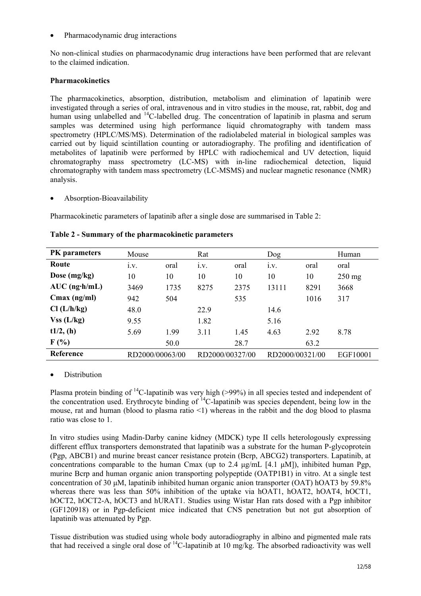• Pharmacodynamic drug interactions

No non-clinical studies on pharmacodynamic drug interactions have been performed that are relevant to the claimed indication.

## **Pharmacokinetics**

The pharmacokinetics, absorption, distribution, metabolism and elimination of lapatinib were investigated through a series of oral, intravenous and in vitro studies in the mouse, rat, rabbit, dog and human using unlabelled and <sup>14</sup>C-labelled drug. The concentration of lapatinib in plasma and serum samples was determined using high performance liquid chromatography with tandem mass spectrometry (HPLC/MS/MS). Determination of the radiolabeled material in biological samples was carried out by liquid scintillation counting or autoradiography. The profiling and identification of metabolites of lapatinib were performed by HPLC with radiochemical and UV detection, liquid chromatography mass spectrometry (LC-MS) with in-line radiochemical detection, liquid chromatography with tandem mass spectrometry (LC-MSMS) and nuclear magnetic resonance (NMR) analysis.

• Absorption-Bioavailability

Pharmacokinetic parameters of lapatinib after a single dose are summarised in Table 2:

| <b>PK</b> parameters    | Mouse           |      | Rat             |      | Dog             |      | Human    |
|-------------------------|-----------------|------|-----------------|------|-----------------|------|----------|
| Route                   | 1.V.            | oral | 1.V.            | oral | 1.V.            | oral | oral     |
| Dose $(mg/kg)$          | 10              | 10   | 10              | 10   | 10              | 10   | $250$ mg |
| $AUC$ (ng $\cdot$ h/mL) | 3469            | 1735 | 8275            | 2375 | 13111           | 8291 | 3668     |
| $Cmax$ (ng/ml)          | 942             | 504  |                 | 535  |                 | 1016 | 317      |
| Cl (L/h/kg)             | 48.0            |      | 22.9            |      | 14.6            |      |          |
| $Vss$ (L/kg)            | 9.55            |      | 1.82            |      | 5.16            |      |          |
| $t1/2$ , (h)            | 5.69            | 1.99 | 3.11            | 1.45 | 4.63            | 2.92 | 8.78     |
| F(%)                    |                 | 50.0 |                 | 28.7 |                 | 63.2 |          |
| Reference               | RD2000/00063/00 |      | RD2000/00327/00 |      | RD2000/00321/00 |      | EGF10001 |

**Table 2 - Summary of the pharmacokinetic parameters** 

## • Distribution

Plasma protein binding of 14C-lapatinib was very high (>99%) in all species tested and independent of the concentration used. Erythrocyte binding of  $^{14}$ C-lapatinib was species dependent, being low in the mouse, rat and human (blood to plasma ratio <1) whereas in the rabbit and the dog blood to plasma ratio was close to 1.

In vitro studies using Madin-Darby canine kidney (MDCK) type II cells heterologously expressing different efflux transporters demonstrated that lapatinib was a substrate for the human P-glycoprotein (Pgp, ABCB1) and murine breast cancer resistance protein (Bcrp, ABCG2) transporters. Lapatinib, at concentrations comparable to the human Cmax (up to 2.4  $\mu$ g/mL [4.1  $\mu$ M]), inhibited human Pgp, murine Bcrp and human organic anion transporting polypeptide (OATP1B1) in vitro. At a single test concentration of 30 µM, lapatinib inhibited human organic anion transporter (OAT) hOAT3 by 59.8% whereas there was less than 50% inhibition of the uptake via hOAT1, hOAT2, hOAT4, hOCT1, hOCT2, hOCT2-A, hOCT3 and hURAT1. Studies using Wistar Han rats dosed with a Pgp inhibitor (GF120918) or in Pgp-deficient mice indicated that CNS penetration but not gut absorption of lapatinib was attenuated by Pgp.

Tissue distribution was studied using whole body autoradiography in albino and pigmented male rats that had received a single oral dose of 14C-lapatinib at 10 mg/kg. The absorbed radioactivity was well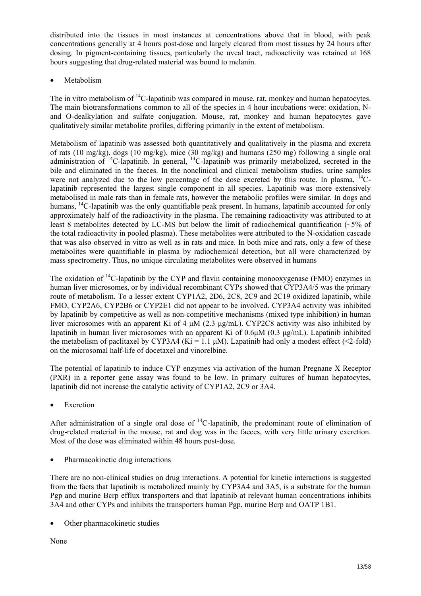distributed into the tissues in most instances at concentrations above that in blood, with peak concentrations generally at 4 hours post-dose and largely cleared from most tissues by 24 hours after dosing. In pigment-containing tissues, particularly the uveal tract, radioactivity was retained at 168 hours suggesting that drug-related material was bound to melanin.

**Metabolism** 

The in vitro metabolism of <sup>14</sup>C-lapatinib was compared in mouse, rat, monkey and human hepatocytes. The main biotransformations common to all of the species in 4 hour incubations were: oxidation, Nand O-dealkylation and sulfate conjugation. Mouse, rat, monkey and human hepatocytes gave qualitatively similar metabolite profiles, differing primarily in the extent of metabolism.

Metabolism of lapatinib was assessed both quantitatively and qualitatively in the plasma and excreta of rats (10 mg/kg), dogs (10 mg/kg), mice (30 mg/kg) and humans (250 mg) following a single oral administration of <sup>14</sup>C-lapatinib. In general, <sup>14</sup>C-lapatinib was primarily metabolized, secreted in the bile and eliminated in the faeces. In the nonclinical and clinical metabolism studies, urine samples were not analyzed due to the low percentage of the dose excreted by this route. In plasma, <sup>14</sup>Clapatinib represented the largest single component in all species. Lapatinib was more extensively metabolised in male rats than in female rats, however the metabolic profiles were similar. In dogs and humans, <sup>14</sup>C-lapatinib was the only quantifiable peak present. In humans, lapatinib accounted for only approximately half of the radioactivity in the plasma. The remaining radioactivity was attributed to at least 8 metabolites detected by LC-MS but below the limit of radiochemical quantification  $(-5\% \text{ of }$ the total radioactivity in pooled plasma). These metabolites were attributed to the N-oxidation cascade that was also observed in vitro as well as in rats and mice. In both mice and rats, only a few of these metabolites were quantifiable in plasma by radiochemical detection, but all were characterized by mass spectrometry. Thus, no unique circulating metabolites were observed in humans

The oxidation of <sup>14</sup>C-lapatinib by the CYP and flavin containing monooxygenase (FMO) enzymes in human liver microsomes, or by individual recombinant CYPs showed that CYP3A4/5 was the primary route of metabolism. To a lesser extent CYP1A2, 2D6, 2C8, 2C9 and 2C19 oxidized lapatinib, while FMO, CYP2A6, CYP2B6 or CYP2E1 did not appear to be involved. CYP3A4 activity was inhibited by lapatinib by competitive as well as non-competitive mechanisms (mixed type inhibition) in human liver microsomes with an apparent Ki of 4 µM (2.3 µg/mL). CYP2C8 activity was also inhibited by lapatinib in human liver microsomes with an apparent Ki of 0.6µM (0.3 µg/mL). Lapatinib inhibited the metabolism of paclitaxel by CYP3A4 (Ki = 1.1  $\mu$ M). Lapatinib had only a modest effect (<2-fold) on the microsomal half-life of docetaxel and vinorelbine.

The potential of lapatinib to induce CYP enzymes via activation of the human Pregnane X Receptor (PXR) in a reporter gene assay was found to be low. In primary cultures of human hepatocytes, lapatinib did not increase the catalytic activity of CYP1A2, 2C9 or 3A4.

**Excretion** 

After administration of a single oral dose of  $^{14}$ C-lapatinib, the predominant route of elimination of drug-related material in the mouse, rat and dog was in the faeces, with very little urinary excretion. Most of the dose was eliminated within 48 hours post-dose.

• Pharmacokinetic drug interactions

There are no non-clinical studies on drug interactions. A potential for kinetic interactions is suggested from the facts that lapatinib is metabolized mainly by CYP3A4 and 3A5, is a substrate for the human Pgp and murine Bcrp efflux transporters and that lapatinib at relevant human concentrations inhibits 3A4 and other CYPs and inhibits the transporters human Pgp, murine Bcrp and OATP 1B1.

Other pharmacokinetic studies

None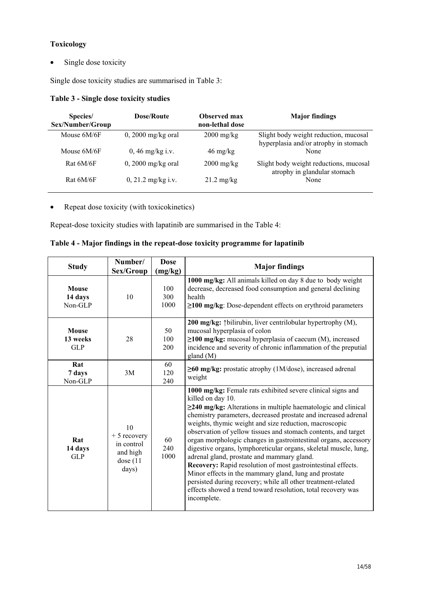# **Toxicology**

• Single dose toxicity

Single dose toxicity studies are summarised in Table 3:

# **Table 3 - Single dose toxicity studies**

| Species/<br>Sex/Number/Group | Dose/Route           | <b>Observed max</b><br>non-lethal dose | <b>Major findings</b>                                                          |
|------------------------------|----------------------|----------------------------------------|--------------------------------------------------------------------------------|
| Mouse 6M/6F                  | $0, 2000$ mg/kg oral | $2000 \frac{\text{mg}}{\text{kg}}$     | Slight body weight reduction, mucosal<br>hyperplasia and/or atrophy in stomach |
| Mouse 6M/6F                  | $0, 46$ mg/kg i.v.   | $46 \text{ mg/kg}$                     | None                                                                           |
| Rat 6M/6F                    | $0, 2000$ mg/kg oral | $2000 \frac{\text{mg}}{\text{kg}}$     | Slight body weight reductions, mucosal<br>atrophy in glandular stomach         |
| Rat 6M/6F                    | $0, 21.2$ mg/kg i.v. | $21.2 \text{ mg/kg}$                   | None                                                                           |

• Repeat dose toxicity (with toxicokinetics)

Repeat-dose toxicity studies with lapatinib are summarised in the Table 4:

| <b>Study</b>                         | Number/<br>Sex/Group                                                  | <b>Dose</b><br>(mg/kg) | <b>Major findings</b>                                                                                                                                                                                                                                                                                                                                                                                                                                                                                                                                                                                                                                                                                                                                                                                              |
|--------------------------------------|-----------------------------------------------------------------------|------------------------|--------------------------------------------------------------------------------------------------------------------------------------------------------------------------------------------------------------------------------------------------------------------------------------------------------------------------------------------------------------------------------------------------------------------------------------------------------------------------------------------------------------------------------------------------------------------------------------------------------------------------------------------------------------------------------------------------------------------------------------------------------------------------------------------------------------------|
| <b>Mouse</b><br>14 days<br>$Non-GLP$ | 10                                                                    | 100<br>300<br>1000     | 1000 mg/kg: All animals killed on day 8 due to body weight<br>decrease, decreased food consumption and general declining<br>health<br>$\geq$ 100 mg/kg: Dose-dependent effects on erythroid parameters                                                                                                                                                                                                                                                                                                                                                                                                                                                                                                                                                                                                             |
| <b>Mouse</b><br>13 weeks<br>GLP      | 28                                                                    | 50<br>100<br>200       | 200 mg/kg: 1 bilirubin, liver centrilobular hypertrophy (M),<br>mucosal hyperplasia of colon<br>$\geq$ 100 mg/kg: mucosal hyperplasia of caecum (M), increased<br>incidence and severity of chronic inflammation of the preputial<br>gland(M)                                                                                                                                                                                                                                                                                                                                                                                                                                                                                                                                                                      |
| Rat<br>7 days<br>Non-GLP             | 3M                                                                    | 60<br>120<br>240       | $\geq 60$ mg/kg: prostatic atrophy (1M/dose), increased adrenal<br>weight                                                                                                                                                                                                                                                                                                                                                                                                                                                                                                                                                                                                                                                                                                                                          |
| Rat<br>14 days<br><b>GLP</b>         | 10<br>$+5$ recovery<br>in control<br>and high<br>dose $(11)$<br>days) | 60<br>240<br>1000      | 1000 mg/kg: Female rats exhibited severe clinical signs and<br>killed on day 10.<br>$\geq$ 240 mg/kg: Alterations in multiple haematologic and clinical<br>chemistry parameters, decreased prostate and increased adrenal<br>weights, thymic weight and size reduction, macroscopic<br>observation of yellow tissues and stomach contents, and target<br>organ morphologic changes in gastrointestinal organs, accessory<br>digestive organs, lymphoreticular organs, skeletal muscle, lung,<br>adrenal gland, prostate and mammary gland.<br>Recovery: Rapid resolution of most gastrointestinal effects.<br>Minor effects in the mammary gland, lung and prostate<br>persisted during recovery; while all other treatment-related<br>effects showed a trend toward resolution, total recovery was<br>incomplete. |

| Table 4 - Major findings in the repeat-dose toxicity programme for lapatinib |  |
|------------------------------------------------------------------------------|--|
|------------------------------------------------------------------------------|--|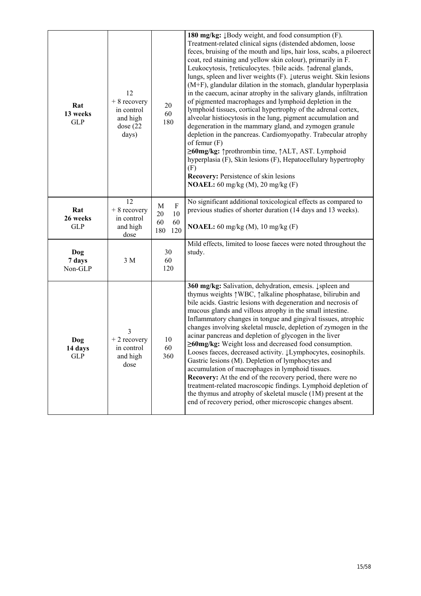| Rat<br>13 weeks<br><b>GLP</b> | 12<br>$+8$ recovery<br>in control<br>and high<br>dose $(22)$<br>days) | 20<br>60<br>180                                        | 180 mg/kg: $\downarrow$ Body weight, and food consumption (F).<br>Treatment-related clinical signs (distended abdomen, loose<br>feces, bruising of the mouth and lips, hair loss, scabs, a piloerect<br>coat, red staining and yellow skin colour), primarily in F.<br>Leukocytosis, † reticulocytes. † bile acids. † adrenal glands,<br>lungs, spleen and liver weights (F). Luterus weight. Skin lesions<br>(M+F), glandular dilation in the stomach, glandular hyperplasia<br>in the caecum, acinar atrophy in the salivary glands, infiltration<br>of pigmented macrophages and lymphoid depletion in the<br>lymphoid tissues, cortical hypertrophy of the adrenal cortex,<br>alveolar histiocytosis in the lung, pigment accumulation and<br>degeneration in the mammary gland, and zymogen granule<br>depletion in the pancreas. Cardiomyopathy. Trabecular atrophy<br>of femur $(F)$<br>≥60mg/kg: ↑prothrombin time, ↑ALT, AST. Lymphoid<br>hyperplasia (F), Skin lesions (F), Hepatocellulary hypertrophy<br>(F)<br><b>Recovery: Persistence of skin lesions</b><br><b>NOAEL:</b> 60 mg/kg (M), 20 mg/kg (F) |
|-------------------------------|-----------------------------------------------------------------------|--------------------------------------------------------|----------------------------------------------------------------------------------------------------------------------------------------------------------------------------------------------------------------------------------------------------------------------------------------------------------------------------------------------------------------------------------------------------------------------------------------------------------------------------------------------------------------------------------------------------------------------------------------------------------------------------------------------------------------------------------------------------------------------------------------------------------------------------------------------------------------------------------------------------------------------------------------------------------------------------------------------------------------------------------------------------------------------------------------------------------------------------------------------------------------------|
| Rat<br>26 weeks<br><b>GLP</b> | 12<br>$+8$ recovery<br>in control<br>and high<br>dose                 | $\mathbf F$<br>M<br>20<br>10<br>60<br>60<br>180<br>120 | No significant additional toxicological effects as compared to<br>previous studies of shorter duration (14 days and 13 weeks).<br><b>NOAEL:</b> 60 mg/kg (M), 10 mg/kg (F)                                                                                                                                                                                                                                                                                                                                                                                                                                                                                                                                                                                                                                                                                                                                                                                                                                                                                                                                           |
| Dog<br>7 days<br>Non-GLP      | $3\ \mathrm{M}$                                                       | 30<br>60<br>120                                        | Mild effects, limited to loose faeces were noted throughout the<br>study.                                                                                                                                                                                                                                                                                                                                                                                                                                                                                                                                                                                                                                                                                                                                                                                                                                                                                                                                                                                                                                            |
| Dog<br>14 days<br><b>GLP</b>  | 3<br>$+2$ recovery<br>in control<br>and high<br>dose                  | 10<br>60<br>360                                        | 360 mg/kg: Salivation, dehydration, emesis. Į spleen and<br>thymus weights \ WBC, \ \ alkaline phosphatase, bilirubin and<br>bile acids. Gastric lesions with degeneration and necrosis of<br>mucous glands and villous atrophy in the small intestine.<br>Inflammatory changes in tongue and gingival tissues, atrophic<br>changes involving skeletal muscle, depletion of zymogen in the<br>acinar pancreas and depletion of glycogen in the liver<br>$\geq$ 60mg/kg: Weight loss and decreased food consumption.<br>Looses faeces, decreased activity. 1Lymphocytes, eosinophils.<br>Gastric lesions (M). Depletion of lymphocytes and<br>accumulation of macrophages in lymphoid tissues.<br>Recovery: At the end of the recovery period, there were no<br>treatment-related macroscopic findings. Lymphoid depletion of<br>the thymus and atrophy of skeletal muscle (1M) present at the<br>end of recovery period, other microscopic changes absent.                                                                                                                                                           |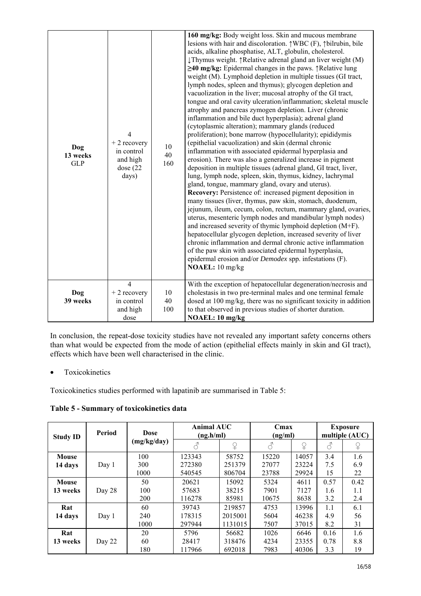| Dog<br>13 weeks<br><b>GLP</b> | $\overline{4}$<br>$+2$ recovery<br>in control<br>and high<br>dose $(22)$<br>days) | 10<br>40<br>160 | 160 mg/kg: Body weight loss. Skin and mucous membrane<br>lesions with hair and discoloration. $\uparrow$ WBC (F), $\uparrow$ bilrubin, bile<br>acids, alkaline phosphatise, ALT, globulin, cholesterol.<br>↓Thymus weight. ↑Relative adrenal gland an liver weight (M)<br>$\geq$ 40 mg/kg: Epidermal changes in the paws. $\uparrow$ Relative lung<br>weight (M). Lymphoid depletion in multiple tissues (GI tract,<br>lymph nodes, spleen and thymus); glycogen depletion and<br>vacuolization in the liver; mucosal atrophy of the GI tract,<br>tongue and oral cavity ulceration/inflammation; skeletal muscle<br>atrophy and pancreas zymogen depletion. Liver (chronic<br>inflammation and bile duct hyperplasia); adrenal gland<br>(cytoplasmic alteration); mammary glands (reduced<br>proliferation); bone marrow (hypocellularity); epididymis<br>(epithelial vacuolization) and skin (dermal chronic<br>inflammation with associated epidermal hyperplasia and<br>erosion). There was also a generalized increase in pigment<br>deposition in multiple tissues (adrenal gland, GI tract, liver,<br>lung, lymph node, spleen, skin, thymus, kidney, lachrymal<br>gland, tongue, mammary gland, ovary and uterus).<br>Recovery: Persistence of: increased pigment deposition in<br>many tissues (liver, thymus, paw skin, stomach, duodenum,<br>jejunum, ileum, cecum, colon, rectum, mammary gland, ovaries,<br>uterus, mesenteric lymph nodes and mandibular lymph nodes)<br>and increased severity of thymic lymphoid depletion (M+F).<br>hepatocellular glycogen depletion, increased severity of liver<br>chronic inflammation and dermal chronic active inflammation<br>of the paw skin with associated epidermal hyperplasia,<br>epidermal erosion and/or <i>Demodex</i> spp. infestations (F).<br>NOAEL: 10 mg/kg |
|-------------------------------|-----------------------------------------------------------------------------------|-----------------|-----------------------------------------------------------------------------------------------------------------------------------------------------------------------------------------------------------------------------------------------------------------------------------------------------------------------------------------------------------------------------------------------------------------------------------------------------------------------------------------------------------------------------------------------------------------------------------------------------------------------------------------------------------------------------------------------------------------------------------------------------------------------------------------------------------------------------------------------------------------------------------------------------------------------------------------------------------------------------------------------------------------------------------------------------------------------------------------------------------------------------------------------------------------------------------------------------------------------------------------------------------------------------------------------------------------------------------------------------------------------------------------------------------------------------------------------------------------------------------------------------------------------------------------------------------------------------------------------------------------------------------------------------------------------------------------------------------------------------------------------------------------------------------------------------------------------------------|
| Dog<br>39 weeks               | $\overline{4}$<br>$+2$ recovery<br>in control<br>and high<br>dose                 | 10<br>40<br>100 | With the exception of hepatocellular degeneration/necrosis and<br>cholestasis in two pre-terminal males and one terminal female<br>dosed at 100 mg/kg, there was no significant toxicity in addition<br>to that observed in previous studies of shorter duration.<br>NOAEL: 10 mg/kg                                                                                                                                                                                                                                                                                                                                                                                                                                                                                                                                                                                                                                                                                                                                                                                                                                                                                                                                                                                                                                                                                                                                                                                                                                                                                                                                                                                                                                                                                                                                              |

In conclusion, the repeat-dose toxicity studies have not revealed any important safety concerns others than what would be expected from the mode of action (epithelial effects mainly in skin and GI tract), effects which have been well characterised in the clinic.

• Toxicokinetics

Toxicokinetics studies performed with lapatinib are summarised in Table 5:

**Table 5 - Summary of toxicokinetics data** 

| <b>Study ID</b> | Period | <b>Dose</b> |        | <b>Animal AUC</b><br>(ng.h/ml) |       | Cmax<br>(ng/ml) |      | <b>Exposure</b><br>multiple (AUC) |  |
|-----------------|--------|-------------|--------|--------------------------------|-------|-----------------|------|-----------------------------------|--|
|                 |        | (mg/kg/day) | 8      | ♀                              |       | ♀               | 3    | ¥                                 |  |
| Mouse           |        | 100         | 123343 | 58752                          | 15220 | 14057           | 3.4  | 1.6                               |  |
| 14 days         | Day 1  | 300         | 272380 | 251379                         | 27077 | 23224           | 7.5  | 6.9                               |  |
|                 |        | 1000        | 540545 | 806704                         | 23788 | 29924           | 15   | 22                                |  |
| <b>Mouse</b>    |        | 50          | 20621  | 15092                          | 5324  | 4611            | 0.57 | 0.42                              |  |
| 13 weeks        | Day 28 | 100         | 57683  | 38215                          | 7901  | 7127            | 1.6  | 1.1                               |  |
|                 |        | 200         | 116278 | 85981                          | 10675 | 8638            | 3.2  | 2.4                               |  |
| Rat             |        | 60          | 39743  | 219857                         | 4753  | 13996           | 1.1  | 6.1                               |  |
| 14 days         | Day 1  | 240         | 178315 | 2015001                        | 5604  | 46238           | 4.9  | 56                                |  |
|                 |        | 1000        | 297944 | 1131015                        | 7507  | 37015           | 8.2  | 31                                |  |
| Rat             |        | 20          | 5796   | 56682                          | 1026  | 6646            | 0.16 | 1.6                               |  |
| 13 weeks        | Day 22 | 60          | 28417  | 318476                         | 4234  | 23355           | 0.78 | 8.8                               |  |
|                 |        | 180         | 117966 | 692018                         | 7983  | 40306           | 3.3  | 19                                |  |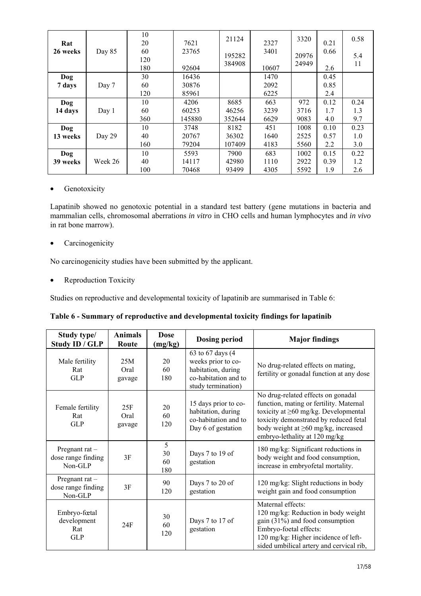| Rat<br>26 weeks | Day 85  | 10<br>20<br>60<br>120<br>180 | 7621<br>23765<br>92604 | 21124<br>195282<br>384908 | 2327<br>3401<br>10607 | 3320<br>20976<br>24949 | 0.21<br>0.66<br>2.6 | 0.58<br>5.4<br>11 |
|-----------------|---------|------------------------------|------------------------|---------------------------|-----------------------|------------------------|---------------------|-------------------|
| Dog             |         | 30                           | 16436                  |                           | 1470                  |                        | 0.45                |                   |
| 7 days          | Day 7   | 60                           | 30876                  |                           | 2092                  |                        | 0.85                |                   |
|                 |         | 120                          | 85961                  |                           | 6225                  |                        | 2.4                 |                   |
| Dog             |         | 10                           | 4206                   | 8685                      | 663                   | 972                    | 0.12                | 0.24              |
| 14 days         | Day 1   | 60                           | 60253                  | 46256                     | 3239                  | 3716                   | 1.7                 | 1.3               |
|                 |         | 360                          | 145880                 | 352644                    | 6629                  | 9083                   | 4.0                 | 9.7               |
| Dog             |         | 10                           | 3748                   | 8182                      | 451                   | 1008                   | 0.10                | 0.23              |
| 13 weeks        | Day 29  | 40                           | 20767                  | 36302                     | 1640                  | 2525                   | 0.57                | 1.0               |
|                 |         | 160                          | 79204                  | 107409                    | 4183                  | 5560                   | 2.2                 | 3.0               |
| Dog             |         | 10                           | 5593                   | 7900                      | 683                   | 1002                   | 0.15                | 0.22              |
| 39 weeks        | Week 26 | 40                           | 14117                  | 42980                     | 1110                  | 2922                   | 0.39                | 1.2               |
|                 |         | 100                          | 70468                  | 93499                     | 4305                  | 5592                   | 1.9                 | 2.6               |

## • Genotoxicity

Lapatinib showed no genotoxic potential in a standard test battery (gene mutations in bacteria and mammalian cells, chromosomal aberrations *in vitro* in CHO cells and human lymphocytes and *in vivo* in rat bone marrow).

• Carcinogenicity

No carcinogenicity studies have been submitted by the applicant.

• Reproduction Toxicity

Studies on reproductive and developmental toxicity of lapatinib are summarised in Table 6:

| Table 6 - Summary of reproductive and developmental toxicity findings for lapatinib |  |  |
|-------------------------------------------------------------------------------------|--|--|
|                                                                                     |  |  |

| Study type/<br>Study ID / GLP                       | <b>Animals</b><br>Route | <b>Dose</b><br>(mg/kg) | <b>Dosing period</b>                                                                                        | <b>Major findings</b>                                                                                                                                                                                                                               |
|-----------------------------------------------------|-------------------------|------------------------|-------------------------------------------------------------------------------------------------------------|-----------------------------------------------------------------------------------------------------------------------------------------------------------------------------------------------------------------------------------------------------|
| Male fertility<br>Rat<br><b>GLP</b>                 | 25M<br>Oral<br>gavage   | 20<br>60<br>180        | 63 to 67 days (4)<br>weeks prior to co-<br>habitation, during<br>co-habitation and to<br>study termination) | No drug-related effects on mating,<br>fertility or gonadal function at any dose                                                                                                                                                                     |
| Female fertility<br>Rat<br><b>GLP</b>               | 25F<br>Oral<br>gavage   | 20<br>60<br>120        | 15 days prior to co-<br>habitation, during<br>co-habitation and to<br>Day 6 of gestation                    | No drug-related effects on gonadal<br>function, mating or fertility. Maternal<br>toxicity at $\geq 60$ mg/kg. Developmental<br>toxicity demonstrated by reduced fetal<br>body weight at $\geq 60$ mg/kg, increased<br>embryo-lethality at 120 mg/kg |
| Pregnant rat $-$<br>dose range finding<br>$Non-GLP$ | 3F                      | 5<br>30<br>60<br>180   | Days 7 to 19 of<br>gestation                                                                                | 180 mg/kg: Significant reductions in<br>body weight and food consumption,<br>increase in embryofetal mortality.                                                                                                                                     |
| Pregnant rat $-$<br>dose range finding<br>Non-GLP   | 3F                      | 90<br>120              | Days 7 to 20 of<br>gestation                                                                                | 120 mg/kg: Slight reductions in body<br>weight gain and food consumption                                                                                                                                                                            |
| Embryo-fœtal<br>development<br>Rat<br><b>GLP</b>    | 24F                     | 30<br>60<br>120        | Days 7 to 17 of<br>gestation                                                                                | Maternal effects:<br>120 mg/kg: Reduction in body weight<br>gain $(31\%)$ and food consumption<br>Embryo-foetal effects:<br>120 mg/kg: Higher incidence of left-<br>sided umbilical artery and cervical rib,                                        |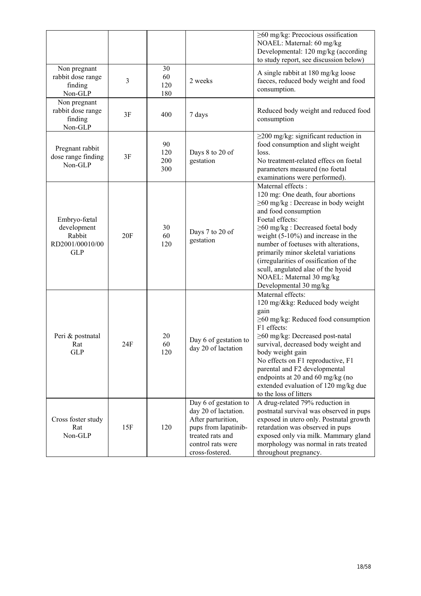|                                                                        |     |                         |                                                                                                                                                         | $\geq 60$ mg/kg: Precocious ossification<br>NOAEL: Maternal: 60 mg/kg<br>Developmental: 120 mg/kg (according<br>to study report, see discussion below)                                                                                                                                                                                                                                                                                             |
|------------------------------------------------------------------------|-----|-------------------------|---------------------------------------------------------------------------------------------------------------------------------------------------------|----------------------------------------------------------------------------------------------------------------------------------------------------------------------------------------------------------------------------------------------------------------------------------------------------------------------------------------------------------------------------------------------------------------------------------------------------|
| Non pregnant<br>rabbit dose range<br>finding<br>Non-GLP                | 3   | 30<br>60<br>120<br>180  | 2 weeks                                                                                                                                                 | A single rabbit at 180 mg/kg loose<br>faeces, reduced body weight and food<br>consumption.                                                                                                                                                                                                                                                                                                                                                         |
| Non pregnant<br>rabbit dose range<br>finding<br>Non-GLP                | 3F  | 400                     | 7 days                                                                                                                                                  | Reduced body weight and reduced food<br>consumption                                                                                                                                                                                                                                                                                                                                                                                                |
| Pregnant rabbit<br>dose range finding<br>Non-GLP                       | 3F  | 90<br>120<br>200<br>300 | Days 8 to 20 of<br>gestation                                                                                                                            | $\geq$ 200 mg/kg: significant reduction in<br>food consumption and slight weight<br>loss.<br>No treatment-related effecs on foetal<br>parameters measured (no foetal<br>examinations were performed).                                                                                                                                                                                                                                              |
| Embryo-fœtal<br>development<br>Rabbit<br>RD2001/00010/00<br><b>GLP</b> | 20F | 30<br>60<br>120         | Days 7 to 20 of<br>gestation                                                                                                                            | Maternal effects :<br>120 mg: One death, four abortions<br>$\geq 60$ mg/kg : Decrease in body weight<br>and food consumption<br>Foetal effects:<br>≥60 mg/kg : Decreased foetal body<br>weight $(5-10\%)$ and increase in the<br>number of foetuses with alterations,<br>primarily minor skeletal variations<br>(irregularities of ossification of the<br>scull, angulated alae of the hyoid<br>NOAEL: Maternal 30 mg/kg<br>Developmental 30 mg/kg |
| Peri & postnatal<br>Rat<br><b>GLP</b>                                  | 24F | 20<br>60<br>120         | Day 6 of gestation to<br>day 20 of lactation                                                                                                            | Maternal effects:<br>120 mg/&kg: Reduced body weight<br>gain<br>$\geq 60$ mg/kg: Reduced food consumption<br>F1 effects:<br>≥60 mg/kg: Decreased post-natal<br>survival, decreased body weight and<br>body weight gain<br>No effects on F1 reproductive, F1<br>parental and F2 developmental<br>endpoints at 20 and 60 mg/kg (no<br>extended evaluation of 120 mg/kg due<br>to the loss of litters                                                 |
| Cross foster study<br>Rat<br>Non-GLP                                   | 15F | 120                     | Day 6 of gestation to<br>day 20 of lactation.<br>After parturition,<br>pups from lapatinib-<br>treated rats and<br>control rats were<br>cross-fostered. | A drug-related 79% reduction in<br>postnatal survival was observed in pups<br>exposed in utero only. Postnatal growth<br>retardation was observed in pups<br>exposed only via milk. Mammary gland<br>morphology was normal in rats treated<br>throughout pregnancy.                                                                                                                                                                                |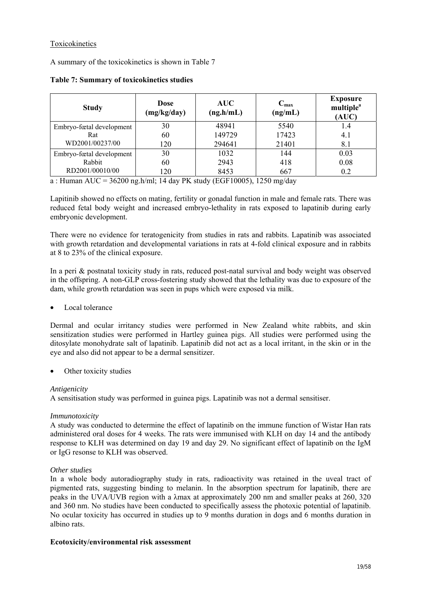## Toxicokinetics

A summary of the toxicokinetics is shown in Table 7

| <b>Study</b>             | <b>Dose</b><br>(mg/kg/day) | <b>AUC</b><br>(ng.h/mL) | $\rm{C}_{max}$<br>(ng/mL) | <b>Exposure</b><br>multiple <sup>a</sup><br>(AUC) |
|--------------------------|----------------------------|-------------------------|---------------------------|---------------------------------------------------|
| Embryo-fœtal development | 30                         | 48941                   | 5540                      | 1.4                                               |
| Rat                      | 60                         | 149729                  | 17423                     | 4.1                                               |
| WD2001/00237/00          | 120                        | 294641                  | 21401                     | 8.1                                               |
| Embryo-fœtal development | 30                         | 1032                    | 144                       | 0.03                                              |
| Rabbit                   | 60                         | 2943                    | 418                       | 0.08                                              |
| RD2001/00010/00          | l 20                       | 8453                    | 667                       | 0.2                                               |

**Table 7: Summary of toxicokinetics studies** 

a : Human AUC = 36200 ng.h/ml; 14 day PK study (EGF10005), 1250 mg/day

Lapitinib showed no effects on mating, fertility or gonadal function in male and female rats. There was reduced fetal body weight and increased embryo-lethality in rats exposed to lapatinib during early embryonic development.

There were no evidence for teratogenicity from studies in rats and rabbits. Lapatinib was associated with growth retardation and developmental variations in rats at 4-fold clinical exposure and in rabbits at 8 to 23% of the clinical exposure.

In a peri & postnatal toxicity study in rats, reduced post-natal survival and body weight was observed in the offspring. A non-GLP cross-fostering study showed that the lethality was due to exposure of the dam, while growth retardation was seen in pups which were exposed via milk.

• Local tolerance

Dermal and ocular irritancy studies were performed in New Zealand white rabbits, and skin sensitization studies were performed in Hartley guinea pigs. All studies were performed using the ditosylate monohydrate salt of lapatinib. Lapatinib did not act as a local irritant, in the skin or in the eye and also did not appear to be a dermal sensitizer.

Other toxicity studies

#### *Antigenicity*

A sensitisation study was performed in guinea pigs. Lapatinib was not a dermal sensitiser.

#### *Immunotoxicity*

A study was conducted to determine the effect of lapatinib on the immune function of Wistar Han rats administered oral doses for 4 weeks. The rats were immunised with KLH on day 14 and the antibody response to KLH was determined on day 19 and day 29. No significant effect of lapatinib on the IgM or IgG resonse to KLH was observed.

#### *Other studies*

In a whole body autoradiography study in rats, radioactivity was retained in the uveal tract of pigmented rats, suggesting binding to melanin. In the absorption spectrum for lapatinib, there are peaks in the UVA/UVB region with a λmax at approximately 200 nm and smaller peaks at 260, 320 and 360 nm. No studies have been conducted to specifically assess the photoxic potential of lapatinib. No ocular toxicity has occurred in studies up to 9 months duration in dogs and 6 months duration in albino rats.

#### **Ecotoxicity/environmental risk assessment**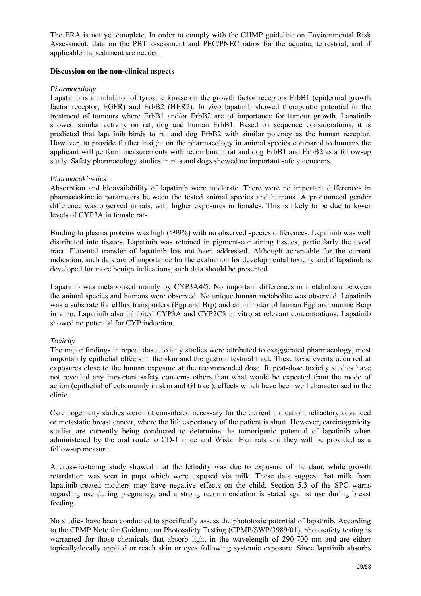The ERA is not yet complete. In order to comply with the CHMP guideline on Environmental Risk Assessment, data on the PBT assessment and PEC/PNEC ratios for the aquatic, terrestrial, and if applicable the sediment are needed.

#### **Discussion on the non-clinical aspects**

#### *Pharmacology*

Lapatinib is an inhibitor of tyrosine kinase on the growth factor receptors ErbB1 (epidermal growth factor receptor, EGFR) and ErbB2 (HER2). I*n vivo* lapatinib showed therapeutic potential in the treatment of tumours where ErbB1 and/or ErbB2 are of importance for tumour growth. Lapatinib showed similar activity on rat, dog and human ErbB1. Based on sequence considerations, it is predicted that lapatinib binds to rat and dog ErbB2 with similar potency as the human receptor. However, to provide further insight on the pharmacology in animal species compared to humans the applicant will perform measurements with recombinant rat and dog ErbB1 and ErbB2 as a follow-up study. Safety pharmacology studies in rats and dogs showed no important safety concerns.

#### *Pharmacokinetics*

Absorption and bioavailability of lapatinib were moderate. There were no important differences in pharmacokinetic parameters between the tested animal species and humans. A pronounced gender difference was observed in rats, with higher exposures in females. This is likely to be due to lower levels of CYP3A in female rats.

Binding to plasma proteins was high (>99%) with no observed species differences. Lapatinib was well distributed into tissues. Lapatinib was retained in pigment-containing tissues, particularly the uveal tract. Placental transfer of lapatinib has not been addressed. Although acceptable for the current indication, such data are of importance for the evaluation for developmental toxicity and if lapatinib is developed for more benign indications, such data should be presented.

Lapatinib was metabolised mainly by CYP3A4/5. No important differences in metabolism between the animal species and humans were observed. No unique human metabolite was observed. Lapatinib was a substrate for efflux transporters (Pgp and Brp) and an inhibitor of human Pgp and murine Bcrp in vitro. Lapatinib also inhibited CYP3A and CYP2C8 in vitro at relevant concentrations. Lapatinib showed no potential for CYP induction.

#### *Toxicity*

The major findings in repeat dose toxicity studies were attributed to exaggerated pharmacology, most importantly epithelial effects in the skin and the gastrointestinal tract. These toxic events occurred at exposures close to the human exposure at the recommended dose. Repeat-dose toxicity studies have not revealed any important safety concerns others than what would be expected from the mode of action (epithelial effects mainly in skin and GI tract), effects which have been well characterised in the clinic.

Carcinogenicity studies were not considered necessary for the current indication, refractory advanced or metastatic breast cancer, where the life expectancy of the patient is short. However, carcinogenicity studies are currently being conducted to determine the tumorigenic potential of lapatinib when administered by the oral route to CD-1 mice and Wistar Han rats and they will be provided as a follow-up measure.

A cross-fostering study showed that the lethality was due to exposure of the dam, while growth retardation was seen in pups which were exposed via milk. These data suggest that milk from lapatinib-treated mothers may have negative effects on the child. Section 5.3 of the SPC warns regarding use during pregnancy, and a strong recommendation is stated against use during breast feeding.

No studies have been conducted to specifically assess the phototoxic potential of lapatinib. According to the CPMP Note for Guidance on Photosafety Testing (CPMP/SWP/3989/01), photosafety testing is warranted for those chemicals that absorb light in the wavelength of 290-700 nm and are either topically/locally applied or reach skin or eyes following systemic exposure. Since lapatinib absorbs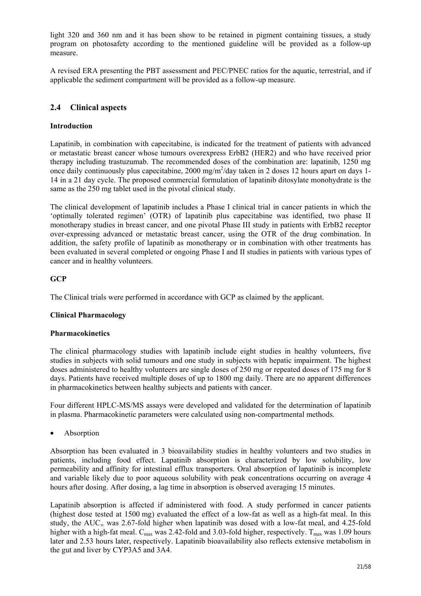light 320 and 360 nm and it has been show to be retained in pigment containing tissues, a study program on photosafety according to the mentioned guideline will be provided as a follow-up measure.

A revised ERA presenting the PBT assessment and PEC/PNEC ratios for the aquatic, terrestrial, and if applicable the sediment compartment will be provided as a follow-up measure.

# **2.4 Clinical aspects**

## **Introduction**

Lapatinib, in combination with capecitabine, is indicated for the treatment of patients with advanced or metastatic breast cancer whose tumours overexpress ErbB2 (HER2) and who have received prior therapy including trastuzumab. The recommended doses of the combination are: lapatinib, 1250 mg once daily continuously plus capecitabine, 2000 mg/m<sup>2</sup>/day taken in 2 doses 12 hours apart on days 1-14 in a 21 day cycle. The proposed commercial formulation of lapatinib ditosylate monohydrate is the same as the 250 mg tablet used in the pivotal clinical study.

The clinical development of lapatinib includes a Phase I clinical trial in cancer patients in which the 'optimally tolerated regimen' (OTR) of lapatinib plus capecitabine was identified, two phase II monotherapy studies in breast cancer, and one pivotal Phase III study in patients with ErbB2 receptor over-expressing advanced or metastatic breast cancer, using the OTR of the drug combination. In addition, the safety profile of lapatinib as monotherapy or in combination with other treatments has been evaluated in several completed or ongoing Phase I and II studies in patients with various types of cancer and in healthy volunteers.

## **GCP**

The Clinical trials were performed in accordance with GCP as claimed by the applicant.

## **Clinical Pharmacology**

#### **Pharmacokinetics**

The clinical pharmacology studies with lapatinib include eight studies in healthy volunteers, five studies in subjects with solid tumours and one study in subjects with hepatic impairment. The highest doses administered to healthy volunteers are single doses of 250 mg or repeated doses of 175 mg for 8 days. Patients have received multiple doses of up to 1800 mg daily. There are no apparent differences in pharmacokinetics between healthy subjects and patients with cancer.

Four different HPLC-MS/MS assays were developed and validated for the determination of lapatinib in plasma. Pharmacokinetic parameters were calculated using non-compartmental methods.

• Absorption

Absorption has been evaluated in 3 bioavailability studies in healthy volunteers and two studies in patients, including food effect. Lapatinib absorption is characterized by low solubility, low permeability and affinity for intestinal efflux transporters. Oral absorption of lapatinib is incomplete and variable likely due to poor aqueous solubility with peak concentrations occurring on average 4 hours after dosing. After dosing, a lag time in absorption is observed averaging 15 minutes.

Lapatinib absorption is affected if administered with food. A study performed in cancer patients (highest dose tested at 1500 mg) evaluated the effect of a low-fat as well as a high-fat meal. In this study, the  $AUC_{\infty}$  was 2.67-fold higher when lapatinib was dosed with a low-fat meal, and 4.25-fold higher with a high-fat meal.  $C_{\text{max}}$  was 2.42-fold and 3.03-fold higher, respectively.  $T_{\text{max}}$  was 1.09 hours later and 2.53 hours later, respectively. Lapatinib bioavailability also reflects extensive metabolism in the gut and liver by CYP3A5 and 3A4.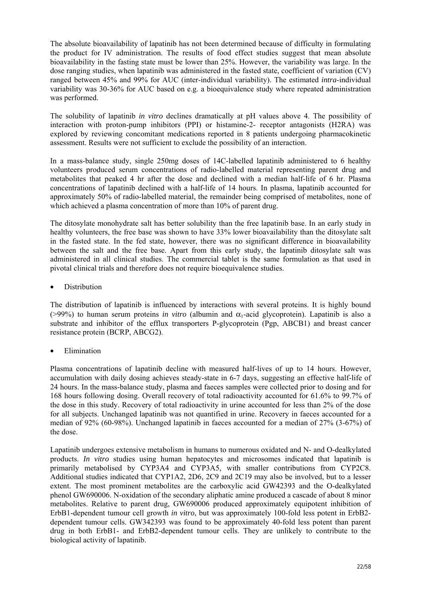The absolute bioavailability of lapatinib has not been determined because of difficulty in formulating the product for IV administration. The results of food effect studies suggest that mean absolute bioavailability in the fasting state must be lower than 25%. However, the variability was large. In the dose ranging studies, when lapatinib was administered in the fasted state, coefficient of variation (CV) ranged between 45% and 99% for AUC (inter-individual variability). The estimated *intra*-individual variability was 30-36% for AUC based on e.g. a bioequivalence study where repeated administration was performed.

The solubility of lapatinib *in vitro* declines dramatically at pH values above 4. The possibility of interaction with proton-pump inhibitors (PPI) or histamine-2- receptor antagonists (H2RA) was explored by reviewing concomitant medications reported in 8 patients undergoing pharmacokinetic assessment. Results were not sufficient to exclude the possibility of an interaction.

In a mass-balance study, single 250mg doses of 14C-labelled lapatinib administered to 6 healthy volunteers produced serum concentrations of radio-labelled material representing parent drug and metabolites that peaked 4 hr after the dose and declined with a median half-life of 6 hr. Plasma concentrations of lapatinib declined with a half-life of 14 hours. In plasma, lapatinib accounted for approximately 50% of radio-labelled material, the remainder being comprised of metabolites, none of which achieved a plasma concentration of more than 10% of parent drug.

The ditosylate monohydrate salt has better solubility than the free lapatinib base. In an early study in healthy volunteers, the free base was shown to have 33% lower bioavailability than the ditosylate salt in the fasted state. In the fed state, however, there was no significant difference in bioavailability between the salt and the free base. Apart from this early study, the lapatinib ditosylate salt was administered in all clinical studies. The commercial tablet is the same formulation as that used in pivotal clinical trials and therefore does not require bioequivalence studies.

**Distribution** 

The distribution of lapatinib is influenced by interactions with several proteins. It is highly bound (>99%) to human serum proteins *in vitro* (albumin and  $\alpha_1$ -acid glycoprotein). Lapatinib is also a substrate and inhibitor of the efflux transporters P-glycoprotein (Pgp, ABCB1) and breast cancer resistance protein (BCRP, ABCG2).

• Elimination

Plasma concentrations of lapatinib decline with measured half-lives of up to 14 hours. However, accumulation with daily dosing achieves steady-state in 6-7 days, suggesting an effective half-life of 24 hours. In the mass-balance study, plasma and faeces samples were collected prior to dosing and for 168 hours following dosing. Overall recovery of total radioactivity accounted for 61.6% to 99.7% of the dose in this study. Recovery of total radioactivity in urine accounted for less than 2% of the dose for all subjects. Unchanged lapatinib was not quantified in urine. Recovery in faeces accounted for a median of 92% (60-98%). Unchanged lapatinib in faeces accounted for a median of 27% (3-67%) of the dose.

Lapatinib undergoes extensive metabolism in humans to numerous oxidated and N- and O-dealkylated products. *In vitro* studies using human hepatocytes and microsomes indicated that lapatinib is primarily metabolised by CYP3A4 and CYP3A5, with smaller contributions from CYP2C8. Additional studies indicated that CYP1A2, 2D6, 2C9 and 2C19 may also be involved, but to a lesser extent. The most prominent metabolites are the carboxylic acid GW42393 and the O-dealkylated phenol GW690006. N-oxidation of the secondary aliphatic amine produced a cascade of about 8 minor metabolites. Relative to parent drug, GW690006 produced approximately equipotent inhibition of ErbB1-dependent tumour cell growth *in vitro*, but was approximately 100-fold less potent in ErbB2 dependent tumour cells. GW342393 was found to be approximately 40-fold less potent than parent drug in both ErbB1- and ErbB2-dependent tumour cells. They are unlikely to contribute to the biological activity of lapatinib.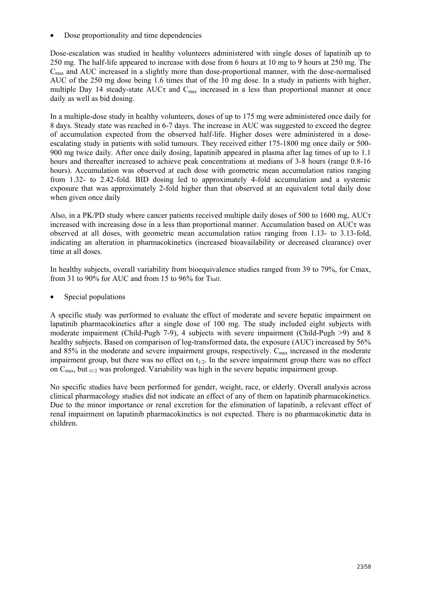• Dose proportionality and time dependencies

Dose-escalation was studied in healthy volunteers administered with single doses of lapatinib up to 250 mg. The half-life appeared to increase with dose from 6 hours at 10 mg to 9 hours at 250 mg. The  $C<sub>max</sub>$  and AUC increased in a slightly more than dose-proportional manner, with the dose-normalised AUC of the 250 mg dose being 1.6 times that of the 10 mg dose. In a study in patients with higher, multiple Day 14 steady-state  $\overline{A}$ UC $\tau$  and C<sub>max</sub> increased in a less than proportional manner at once daily as well as bid dosing.

In a multiple-dose study in healthy volunteers, doses of up to 175 mg were administered once daily for 8 days. Steady state was reached in 6-7 days. The increase in AUC was suggested to exceed the degree of accumulation expected from the observed half-life. Higher doses were administered in a doseescalating study in patients with solid tumours. They received either 175-1800 mg once daily or 500- 900 mg twice daily. After once daily dosing, lapatinib appeared in plasma after lag times of up to 1.1 hours and thereafter increased to achieve peak concentrations at medians of 3-8 hours (range 0.8-16 hours). Accumulation was observed at each dose with geometric mean accumulation ratios ranging from 1.32- to 2.42-fold. BID dosing led to approximately 4-fold accumulation and a systemic exposure that was approximately 2-fold higher than that observed at an equivalent total daily dose when given once daily

Also, in a PK/PD study where cancer patients received multiple daily doses of 500 to 1600 mg, AUC $\tau$ increased with increasing dose in a less than proportional manner. Accumulation based on  $AUC\tau$  was observed at all doses, with geometric mean accumulation ratios ranging from 1.13- to 3.13-fold, indicating an alteration in pharmacokinetics (increased bioavailability or decreased clearance) over time at all doses.

In healthy subjects, overall variability from bioequivalence studies ranged from 39 to 79%, for Cmax, from 31 to 90% for AUC and from 15 to 96% for Thalf.

Special populations

A specific study was performed to evaluate the effect of moderate and severe hepatic impairment on lapatinib pharmacokinetics after a single dose of 100 mg. The study included eight subjects with moderate impairment (Child-Pugh 7-9), 4 subjects with severe impairment (Child-Pugh >9) and 8 healthy subjects. Based on comparison of log-transformed data, the exposure (AUC) increased by 56% and  $85\%$  in the moderate and severe impairment groups, respectively.  $C_{\text{max}}$  increased in the moderate impairment group, but there was no effect on  $t_{1/2}$ . In the severe impairment group there was no effect on  $C_{\text{max}}$ , but  $_{t1/2}$  was prolonged. Variability was high in the severe hepatic impairment group.

No specific studies have been performed for gender, weight, race, or elderly. Overall analysis across clinical pharmacology studies did not indicate an effect of any of them on lapatinib pharmacokinetics. Due to the minor importance or renal excretion for the elimination of lapatinib, a relevant effect of renal impairment on lapatinib pharmacokinetics is not expected. There is no pharmacokinetic data in children.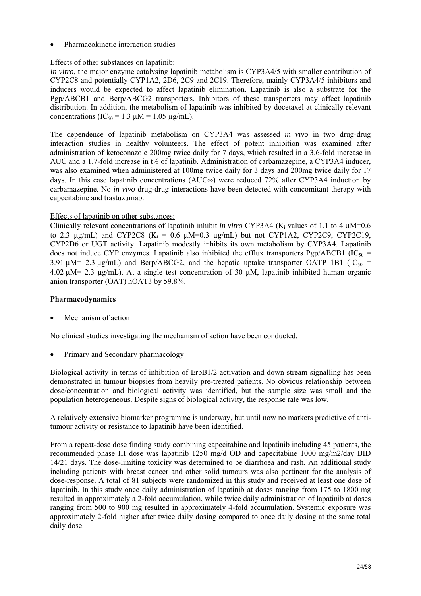• Pharmacokinetic interaction studies

## Effects of other substances on lapatinib:

*In vitro*, the major enzyme catalysing lapatinib metabolism is CYP3A4/5 with smaller contribution of CYP2C8 and potentially CYP1A2, 2D6, 2C9 and 2C19. Therefore, mainly CYP3A4/5 inhibitors and inducers would be expected to affect lapatinib elimination. Lapatinib is also a substrate for the Pgp/ABCB1 and Bcrp/ABCG2 transporters. Inhibitors of these transporters may affect lapatinib distribution. In addition, the metabolism of lapatinib was inhibited by docetaxel at clinically relevant concentrations (IC<sub>50</sub> = 1.3  $\mu$ M = 1.05  $\mu$ g/mL).

The dependence of lapatinib metabolism on CYP3A4 was assessed *in vivo* in two drug-drug interaction studies in healthy volunteers. The effect of potent inhibition was examined after administration of ketoconazole 200mg twice daily for 7 days, which resulted in a 3.6-fold increase in AUC and a 1.7-fold increase in t½ of lapatinib. Administration of carbamazepine, a CYP3A4 inducer, was also examined when administered at 100mg twice daily for 3 days and 200mg twice daily for 17 days. In this case lapatinib concentrations (AUC∞) were reduced 72% after CYP3A4 induction by carbamazepine. No *in vivo* drug-drug interactions have been detected with concomitant therapy with capecitabine and trastuzumab.

## Effects of lapatinib on other substances:

Clinically relevant concentrations of lapatinib inhibit *in vitro* CYP3A4 ( $K_i$  values of 1.1 to 4  $\mu$ M=0.6 to 2.3  $\mu$ g/mL) and CYP2C8 (K<sub>i</sub> = 0.6  $\mu$ M=0.3  $\mu$ g/mL) but not CYP1A2, CYP2C9, CYP2C19, CYP2D6 or UGT activity. Lapatinib modestly inhibits its own metabolism by CYP3A4. Lapatinib does not induce CYP enzymes. Lapatinib also inhibited the efflux transporters Pgp/ABCB1 (IC<sub>50</sub> = 3.91  $\mu$ M= 2.3  $\mu$ g/mL) and Bcrp/ABCG2, and the hepatic uptake transporter OATP 1B1 (IC<sub>50</sub> = 4.02 µM= 2.3 µg/mL). At a single test concentration of 30 µM, lapatinib inhibited human organic anion transporter (OAT) hOAT3 by 59.8%.

### **Pharmacodynamics**

• Mechanism of action

No clinical studies investigating the mechanism of action have been conducted.

• Primary and Secondary pharmacology

Biological activity in terms of inhibition of ErbB1/2 activation and down stream signalling has been demonstrated in tumour biopsies from heavily pre-treated patients. No obvious relationship between dose/concentration and biological activity was identified, but the sample size was small and the population heterogeneous. Despite signs of biological activity, the response rate was low.

A relatively extensive biomarker programme is underway, but until now no markers predictive of antitumour activity or resistance to lapatinib have been identified.

From a repeat-dose dose finding study combining capecitabine and lapatinib including 45 patients, the recommended phase III dose was lapatinib 1250 mg/d OD and capecitabine 1000 mg/m2/day BID 14/21 days. The dose-limiting toxicity was determined to be diarrhoea and rash. An additional study including patients with breast cancer and other solid tumours was also pertinent for the analysis of dose-response. A total of 81 subjects were randomized in this study and received at least one dose of lapatinib. In this study once daily administration of lapatinib at doses ranging from 175 to 1800 mg resulted in approximately a 2-fold accumulation, while twice daily administration of lapatinib at doses ranging from 500 to 900 mg resulted in approximately 4-fold accumulation. Systemic exposure was approximately 2-fold higher after twice daily dosing compared to once daily dosing at the same total daily dose.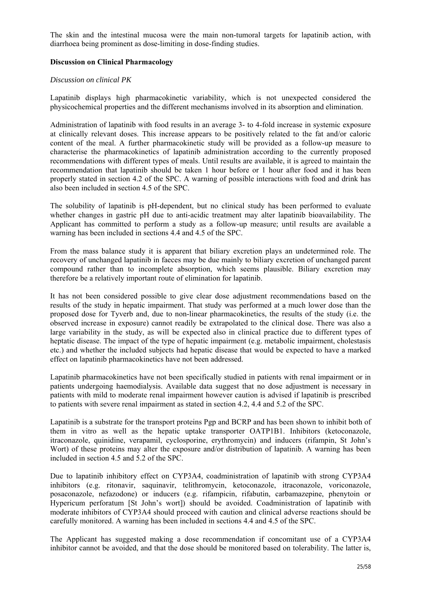The skin and the intestinal mucosa were the main non-tumoral targets for lapatinib action, with diarrhoea being prominent as dose-limiting in dose-finding studies.

#### **Discussion on Clinical Pharmacology**

#### *Discussion on clinical PK*

Lapatinib displays high pharmacokinetic variability, which is not unexpected considered the physicochemical properties and the different mechanisms involved in its absorption and elimination.

Administration of lapatinib with food results in an average 3- to 4-fold increase in systemic exposure at clinically relevant doses. This increase appears to be positively related to the fat and/or caloric content of the meal. A further pharmacokinetic study will be provided as a follow-up measure to characterise the pharmacokinetics of lapatinib administration according to the currently proposed recommendations with different types of meals. Until results are available, it is agreed to maintain the recommendation that lapatinib should be taken 1 hour before or 1 hour after food and it has been properly stated in section 4.2 of the SPC. A warning of possible interactions with food and drink has also been included in section 4.5 of the SPC.

The solubility of lapatinib is pH-dependent, but no clinical study has been performed to evaluate whether changes in gastric pH due to anti-acidic treatment may alter lapatinib bioavailability. The Applicant has committed to perform a study as a follow-up measure; until results are available a warning has been included in sections 4.4 and 4.5 of the SPC.

From the mass balance study it is apparent that biliary excretion plays an undetermined role. The recovery of unchanged lapatinib in faeces may be due mainly to biliary excretion of unchanged parent compound rather than to incomplete absorption, which seems plausible. Biliary excretion may therefore be a relatively important route of elimination for lapatinib.

It has not been considered possible to give clear dose adjustment recommendations based on the results of the study in hepatic impairment. That study was performed at a much lower dose than the proposed dose for Tyverb and, due to non-linear pharmacokinetics, the results of the study (i.e. the observed increase in exposure) cannot readily be extrapolated to the clinical dose. There was also a large variability in the study, as will be expected also in clinical practice due to different types of heptatic disease. The impact of the type of hepatic impairment (e.g. metabolic impairment, cholestasis etc.) and whether the included subjects had hepatic disease that would be expected to have a marked effect on lapatinib pharmacokinetics have not been addressed.

Lapatinib pharmacokinetics have not been specifically studied in patients with renal impairment or in patients undergoing haemodialysis. Available data suggest that no dose adjustment is necessary in patients with mild to moderate renal impairment however caution is advised if lapatinib is prescribed to patients with severe renal impairment as stated in section 4.2, 4.4 and 5.2 of the SPC.

Lapatinib is a substrate for the transport proteins Pgp and BCRP and has been shown to inhibit both of them in vitro as well as the hepatic uptake transporter OATP1B1. Inhibitors (ketoconazole, itraconazole, quinidine, verapamil, cyclosporine, erythromycin) and inducers (rifampin, St John's Wort) of these proteins may alter the exposure and/or distribution of lapatinib. A warning has been included in section 4.5 and 5.2 of the SPC.

Due to lapatinib inhibitory effect on CYP3A4, coadministration of lapatinib with strong CYP3A4 inhibitors (e.g. ritonavir, saquinavir, telithromycin, ketoconazole, itraconazole, voriconazole, posaconazole, nefazodone) or inducers (e.g. rifampicin, rifabutin, carbamazepine, phenytoin or Hypericum perforatum [St John's wort]) should be avoided. Coadministration of lapatinib with moderate inhibitors of CYP3A4 should proceed with caution and clinical adverse reactions should be carefully monitored. A warning has been included in sections 4.4 and 4.5 of the SPC.

The Applicant has suggested making a dose recommendation if concomitant use of a CYP3A4 inhibitor cannot be avoided, and that the dose should be monitored based on tolerability. The latter is,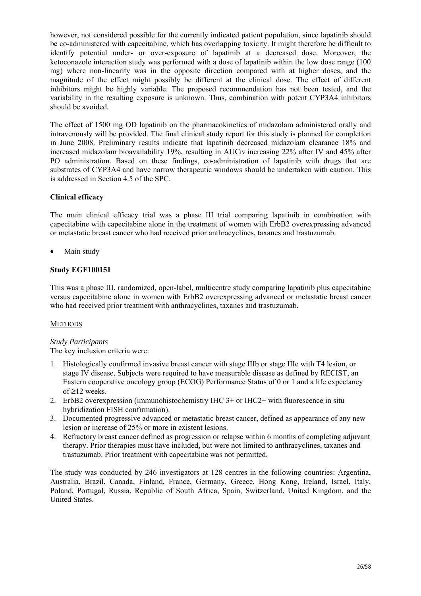however, not considered possible for the currently indicated patient population, since lapatinib should be co-administered with capecitabine, which has overlapping toxicity. It might therefore be difficult to identify potential under- or over-exposure of lapatinib at a decreased dose. Moreover, the ketoconazole interaction study was performed with a dose of lapatinib within the low dose range (100 mg) where non-linearity was in the opposite direction compared with at higher doses, and the magnitude of the effect might possibly be different at the clinical dose. The effect of different inhibitors might be highly variable. The proposed recommendation has not been tested, and the variability in the resulting exposure is unknown. Thus, combination with potent CYP3A4 inhibitors should be avoided.

The effect of 1500 mg OD lapatinib on the pharmacokinetics of midazolam administered orally and intravenously will be provided. The final clinical study report for this study is planned for completion in June 2008. Preliminary results indicate that lapatinib decreased midazolam clearance 18% and increased midazolam bioavailability 19%, resulting in AUCIV increasing 22% after IV and 45% after PO administration. Based on these findings, co-administration of lapatinib with drugs that are substrates of CYP3A4 and have narrow therapeutic windows should be undertaken with caution. This is addressed in Section 4.5 of the SPC.

## **Clinical efficacy**

The main clinical efficacy trial was a phase III trial comparing lapatinib in combination with capecitabine with capecitabine alone in the treatment of women with ErbB2 overexpressing advanced or metastatic breast cancer who had received prior anthracyclines, taxanes and trastuzumab.

• Main study

## **Study EGF100151**

This was a phase III, randomized, open-label, multicentre study comparing lapatinib plus capecitabine versus capecitabine alone in women with ErbB2 overexpressing advanced or metastatic breast cancer who had received prior treatment with anthracyclines, taxanes and trastuzumab.

#### **METHODS**

#### *Study Participants*

The key inclusion criteria were:

- 1. Histologically confirmed invasive breast cancer with stage IIIb or stage IIIc with T4 lesion, or stage IV disease. Subjects were required to have measurable disease as defined by RECIST, an Eastern cooperative oncology group (ECOG) Performance Status of 0 or 1 and a life expectancy of ≥12 weeks.
- 2. ErbB2 overexpression (immunohistochemistry IHC 3+ or IHC2+ with fluorescence in situ hybridization FISH confirmation).
- 3. Documented progressive advanced or metastatic breast cancer, defined as appearance of any new lesion or increase of 25% or more in existent lesions.
- 4. Refractory breast cancer defined as progression or relapse within 6 months of completing adjuvant therapy. Prior therapies must have included, but were not limited to anthracyclines, taxanes and trastuzumab. Prior treatment with capecitabine was not permitted.

The study was conducted by 246 investigators at 128 centres in the following countries: Argentina, Australia, Brazil, Canada, Finland, France, Germany, Greece, Hong Kong, Ireland, Israel, Italy, Poland, Portugal, Russia, Republic of South Africa, Spain, Switzerland, United Kingdom, and the United States.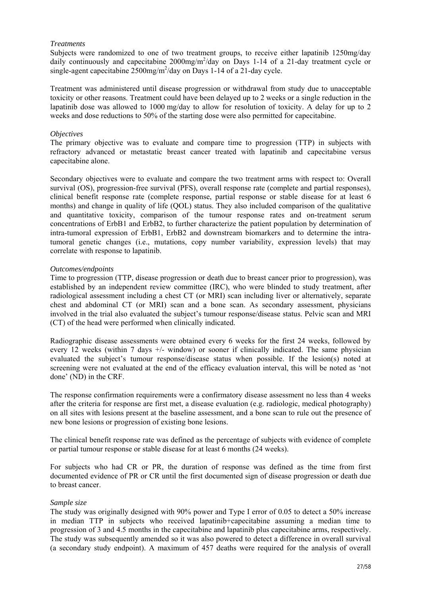#### *Treatments*

Subjects were randomized to one of two treatment groups, to receive either lapatinib 1250mg/day daily continuously and capecitabine  $2000$ mg/m<sup>2</sup>/day on Days 1-14 of a 21-day treatment cycle or single-agent capecitabine  $2500$ mg/m<sup>2</sup>/day on Days 1-14 of a 21-day cycle.

Treatment was administered until disease progression or withdrawal from study due to unacceptable toxicity or other reasons. Treatment could have been delayed up to 2 weeks or a single reduction in the lapatinib dose was allowed to 1000 mg/day to allow for resolution of toxicity. A delay for up to 2 weeks and dose reductions to 50% of the starting dose were also permitted for capecitabine.

#### *Objectives*

The primary objective was to evaluate and compare time to progression (TTP) in subjects with refractory advanced or metastatic breast cancer treated with lapatinib and capecitabine versus capecitabine alone.

Secondary objectives were to evaluate and compare the two treatment arms with respect to: Overall survival (OS), progression-free survival (PFS), overall response rate (complete and partial responses), clinical benefit response rate (complete response, partial response or stable disease for at least 6 months) and change in quality of life (QOL) status. They also included comparison of the qualitative and quantitative toxicity, comparison of the tumour response rates and on-treatment serum concentrations of ErbB1 and ErbB2, to further characterize the patient population by determination of intra-tumoral expression of ErbB1, ErbB2 and downstream biomarkers and to determine the intratumoral genetic changes (i.e., mutations, copy number variability, expression levels) that may correlate with response to lapatinib.

#### *Outcomes/endpoints*

Time to progression (TTP, disease progression or death due to breast cancer prior to progression), was established by an independent review committee (IRC), who were blinded to study treatment, after radiological assessment including a chest CT (or MRI) scan including liver or alternatively, separate chest and abdominal CT (or MRI) scan and a bone scan. As secondary assessment, physicians involved in the trial also evaluated the subject's tumour response/disease status. Pelvic scan and MRI (CT) of the head were performed when clinically indicated.

Radiographic disease assessments were obtained every 6 weeks for the first 24 weeks, followed by every 12 weeks (within 7 days +/- window) or sooner if clinically indicated. The same physician evaluated the subject's tumour response/disease status when possible. If the lesion(s) noted at screening were not evaluated at the end of the efficacy evaluation interval, this will be noted as 'not done' (ND) in the CRF.

The response confirmation requirements were a confirmatory disease assessment no less than 4 weeks after the criteria for response are first met, a disease evaluation (e.g. radiologic, medical photography) on all sites with lesions present at the baseline assessment, and a bone scan to rule out the presence of new bone lesions or progression of existing bone lesions.

The clinical benefit response rate was defined as the percentage of subjects with evidence of complete or partial tumour response or stable disease for at least 6 months (24 weeks).

For subjects who had CR or PR, the duration of response was defined as the time from first documented evidence of PR or CR until the first documented sign of disease progression or death due to breast cancer.

#### *Sample size*

The study was originally designed with 90% power and Type I error of 0.05 to detect a 50% increase in median TTP in subjects who received lapatinib+capecitabine assuming a median time to progression of 3 and 4.5 months in the capecitabine and lapatinib plus capecitabine arms, respectively. The study was subsequently amended so it was also powered to detect a difference in overall survival (a secondary study endpoint). A maximum of 457 deaths were required for the analysis of overall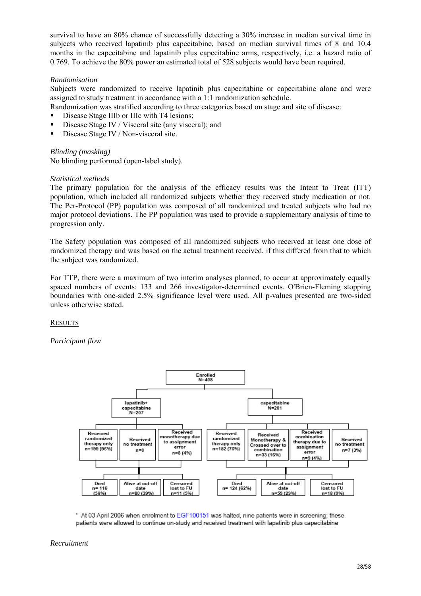survival to have an 80% chance of successfully detecting a 30% increase in median survival time in subjects who received lapatinib plus capecitabine, based on median survival times of 8 and 10.4 months in the capecitabine and lapatinib plus capecitabine arms, respectively, i.e. a hazard ratio of 0.769. To achieve the 80% power an estimated total of 528 subjects would have been required.

#### *Randomisation*

Subjects were randomized to receive lapatinib plus capecitabine or capecitabine alone and were assigned to study treatment in accordance with a 1:1 randomization schedule.

Randomization was stratified according to three categories based on stage and site of disease:

- Disease Stage IIIb or IIIc with T4 lesions;
- Disease Stage IV / Visceral site (any visceral); and
- Disease Stage IV / Non-visceral site.

*Blinding (masking)*  No blinding performed (open-label study).

## *Statistical methods*

The primary population for the analysis of the efficacy results was the Intent to Treat (ITT) population, which included all randomized subjects whether they received study medication or not. The Per-Protocol (PP) population was composed of all randomized and treated subjects who had no major protocol deviations. The PP population was used to provide a supplementary analysis of time to progression only.

The Safety population was composed of all randomized subjects who received at least one dose of randomized therapy and was based on the actual treatment received, if this differed from that to which the subject was randomized.

For TTP, there were a maximum of two interim analyses planned, to occur at approximately equally spaced numbers of events: 133 and 266 investigator-determined events. O'Brien-Fleming stopping boundaries with one-sided 2.5% significance level were used. All p-values presented are two-sided unless otherwise stated.

#### **RESULTS**

*Participant flow* 



\* At 03 April 2006 when enrolment to EGF100151 was halted, nine patients were in screening; these patients were allowed to continue on-study and received treatment with lapatinib plus capecitabine

#### *Recruitment*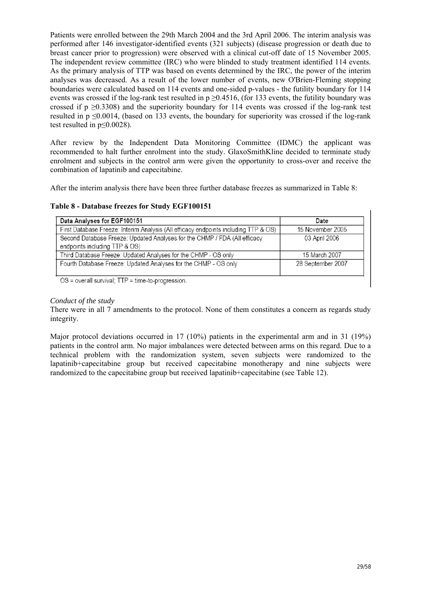Patients were enrolled between the 29th March 2004 and the 3rd April 2006. The interim analysis was performed after 146 investigator-identified events (321 subjects) (disease progression or death due to breast cancer prior to progression) were observed with a clinical cut-off date of 15 November 2005. The independent review committee (IRC) who were blinded to study treatment identified 114 events. As the primary analysis of TTP was based on events determined by the IRC, the power of the interim analyses was decreased. As a result of the lower number of events, new O'Brien-Fleming stopping boundaries were calculated based on 114 events and one-sided p-values - the futility boundary for 114 events was crossed if the log-rank test resulted in  $p > 0.4516$ , (for 133 events, the futility boundary was crossed if p  $\geq$ 0.3308) and the superiority boundary for 114 events was crossed if the log-rank test resulted in p ≤0.0014, (based on 133 events, the boundary for superiority was crossed if the log-rank test resulted in p≤0.0028).

After review by the Independent Data Monitoring Committee (IDMC) the applicant was recommended to halt further enrolment into the study. GlaxoSmithKline decided to terminate study enrolment and subjects in the control arm were given the opportunity to cross-over and receive the combination of lapatinib and capecitabine.

After the interim analysis there have been three further database freezes as summarized in Table 8:

| Table 8 - Database freezes for Study EGF100151 |  |  |  |  |  |  |
|------------------------------------------------|--|--|--|--|--|--|
|------------------------------------------------|--|--|--|--|--|--|

| Data Analyses for EGF100151                                                                                | Date              |
|------------------------------------------------------------------------------------------------------------|-------------------|
| First Database Freeze: Interim Analysis (All efficacy endpoints including TTP & OS)                        | 15 November 2005  |
| Second Database Freeze: Updated Analyses for the CHMP / FDA (All efficacy<br>endpoints including TTP & OS) | 03 April 2006     |
| Third Database Freeze: Updated Analyses for the CHMP - OS only                                             | 15 March 2007     |
| Fourth Database Freeze: Updated Analyses for the CHMP - OS only                                            | 28 September 2007 |

OS = overall survival; TTP = time-to-progression.

#### *Conduct of the study*

There were in all 7 amendments to the protocol. None of them constitutes a concern as regards study integrity.

Major protocol deviations occurred in 17 (10%) patients in the experimental arm and in 31 (19%) patients in the control arm. No major imbalances were detected between arms on this regard. Due to a technical problem with the randomization system, seven subjects were randomized to the lapatinib+capecitabine group but received capecitabine monotherapy and nine subjects were randomized to the capecitabine group but received lapatinib+capecitabine (see Table 12).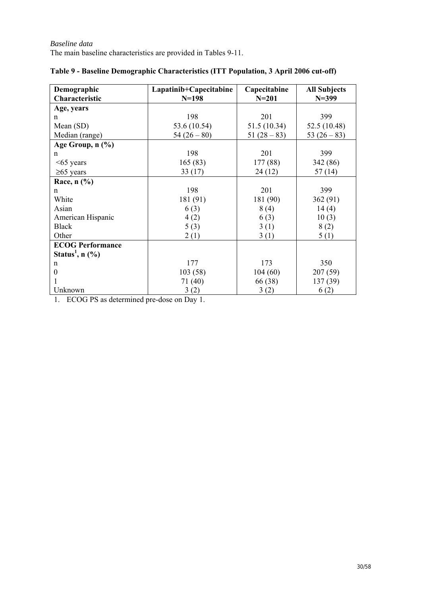| Demographic                     | Lapatinib+Capecitabine | Capecitabine | <b>All Subjects</b> |
|---------------------------------|------------------------|--------------|---------------------|
| Characteristic                  | $N = 198$              | $N = 201$    | $N = 399$           |
| Age, years                      |                        |              |                     |
| n                               | 198                    | 201          | 399                 |
| Mean (SD)                       | 53.6 (10.54)           | 51.5 (10.34) | 52.5 (10.48)        |
| Median (range)                  | $54(26-80)$            | $51(28-83)$  | 53 $(26-83)$        |
| Age Group, n (%)                |                        |              |                     |
| $\mathsf{n}$                    | 198                    | 201          | 399                 |
| $<65$ years                     | 165(83)                | 177 (88)     | 342 (86)            |
| $\geq 65$ years                 | 33(17)                 | 24(12)       | 57(14)              |
| Race, $n$ $(\%)$                |                        |              |                     |
| $\mathbf n$                     | 198                    | 201          | 399                 |
| White                           | 181 (91)               | 181 (90)     | 362(91)             |
| Asian                           | 6(3)                   | 8(4)         | 14(4)               |
| American Hispanic               | 4(2)                   | 6(3)         | 10(3)               |
| <b>Black</b>                    | 5(3)                   | 3(1)         | 8(2)                |
| Other                           | 2(1)                   | 3(1)         | 5(1)                |
| <b>ECOG Performance</b>         |                        |              |                     |
| Status <sup>1</sup> , n $(\% )$ |                        |              |                     |
| n                               | 177                    | 173          | 350                 |
| $\theta$                        | 103(58)                | 104(60)      | 207(59)             |
|                                 | 71 (40)                | 66 (38)      | 137 (39)            |
| Unknown                         | 3(2)                   | 3(2)         | 6(2)                |

# **Table 9 - Baseline Demographic Characteristics (ITT Population, 3 April 2006 cut-off)**

1. ECOG PS as determined pre-dose on Day 1.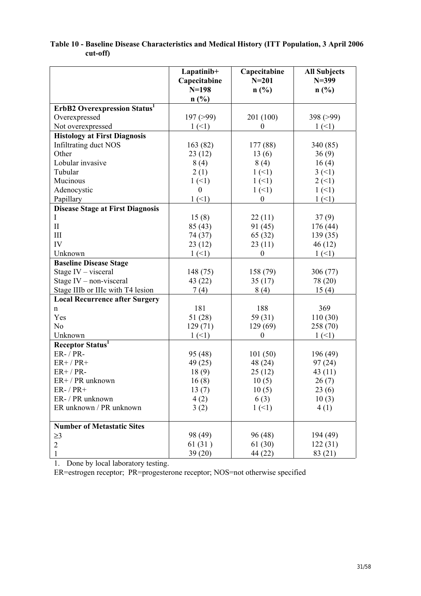|                                         | Lapatinib+<br>Capecitabine<br>$N = 198$ | Capecitabine<br>$N = 201$<br>$n(^{0}/_{0})$ | <b>All Subjects</b><br>$N = 399$<br>n(%) |
|-----------------------------------------|-----------------------------------------|---------------------------------------------|------------------------------------------|
|                                         | n(%)                                    |                                             |                                          |
| <b>ErbB2 Overexpression Status1</b>     |                                         |                                             |                                          |
| Overexpressed                           | 197 (>99)                               | 201 (100)                                   | 398 (>99)                                |
| Not overexpressed                       | 1(1)                                    | $\overline{0}$                              | 1(1)                                     |
| <b>Histology at First Diagnosis</b>     |                                         |                                             |                                          |
| <b>Infiltrating duct NOS</b>            | 163(82)                                 | 177(88)                                     | 340 (85)                                 |
| Other                                   | 23(12)                                  | 13(6)                                       | 36(9)                                    |
| Lobular invasive                        | 8(4)                                    | 8(4)                                        | 16(4)                                    |
| Tubular                                 | 2(1)                                    | 1(1)                                        | 3(1)                                     |
| Mucinous                                | 1(1)                                    | 1(1)                                        | 2(1)                                     |
| Adenocystic                             | $\theta$                                | 1(1)                                        | 1(1)                                     |
| Papillary                               | 1(1)                                    | $\boldsymbol{0}$                            | 1(1)                                     |
| <b>Disease Stage at First Diagnosis</b> |                                         |                                             |                                          |
| Ι                                       | 15(8)                                   | 22(11)                                      | 37(9)                                    |
| $\mathbf{I}$                            | 85(43)                                  | 91 (45)                                     | 176(44)                                  |
| III                                     | 74 (37)                                 | 65 (32)                                     | 139(35)                                  |
| IV                                      | 23(12)                                  | 23(11)                                      | 46(12)                                   |
| Unknown                                 | $1(-1)$                                 | $\boldsymbol{0}$                            | 1(1)                                     |
| <b>Baseline Disease Stage</b>           |                                         |                                             |                                          |
| Stage IV - visceral                     | 148 (75)                                | 158 (79)                                    | 306(77)                                  |
| Stage IV - non-visceral                 | 43 (22)                                 | 35(17)                                      | 78 (20)                                  |
| Stage IIIb or IIIc with T4 lesion       | 7(4)                                    | 8(4)                                        | 15(4)                                    |
| <b>Local Recurrence after Surgery</b>   |                                         |                                             |                                          |
| n                                       | 181                                     | 188                                         | 369                                      |
| Yes                                     | 51(28)                                  | 59 (31)                                     | 110(30)                                  |
| N <sub>o</sub>                          | 129(71)                                 | 129 (69)                                    | 258 (70)                                 |
| Unknown                                 | $1(-1)$                                 | $\boldsymbol{0}$                            | 1(1)                                     |
| Receptor Status <sup>1</sup>            |                                         |                                             |                                          |
| <b>ER-/PR-</b>                          | 95(48)                                  | 101(50)                                     | 196 (49)                                 |
| $ER+$ / $PR+$                           | 49 (25)                                 | 48 (24)                                     | 97(24)                                   |
| $ER+$ / $PR-$                           | 18(9)                                   | 25(12)                                      | 43(11)                                   |
| ER+ / PR unknown                        | 16(8)                                   | 10(5)                                       | 26(7)                                    |
| $ER-$ / $PR+$                           | 13(7)                                   | 10(5)                                       | 23(6)                                    |
| ER- / PR unknown                        | 4(2)                                    | 6(3)                                        | 10(3)                                    |
| ER unknown / PR unknown                 | 3(2)                                    | 1(1)                                        | 4(1)                                     |
|                                         |                                         |                                             |                                          |
| <b>Number of Metastatic Sites</b>       |                                         |                                             |                                          |
| $\geq$ 3                                | 98 (49)                                 | 96 (48)                                     | 194 (49)                                 |
| $\overline{2}$                          | 61(31)                                  | 61 (30)                                     | 122(31)                                  |
| 1                                       | 39(20)                                  | 44 (22)                                     | 83 (21)                                  |

# **Table 10 - Baseline Disease Characteristics and Medical History (ITT Population, 3 April 2006 cut-off)**

1. Done by local laboratory testing.

ER=estrogen receptor; PR=progesterone receptor; NOS=not otherwise specified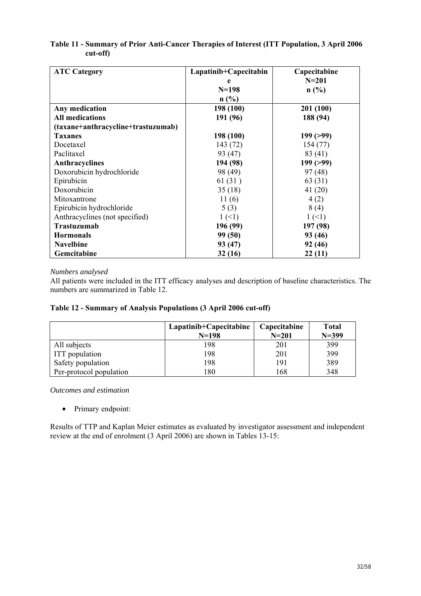## **Table 11 - Summary of Prior Anti-Cancer Therapies of Interest (ITT Population, 3 April 2006 cut-off)**

| <b>ATC Category</b>                | Lapatinib+Capecitabin | Capecitabine |
|------------------------------------|-----------------------|--------------|
|                                    | e                     | $N = 201$    |
|                                    | $N = 198$             | n(%)         |
|                                    | n(%)                  |              |
| Any medication                     | 198 (100)             | 201 (100)    |
| <b>All medications</b>             | 191 (96)              | 188 (94)     |
| (taxane+anthracycline+trastuzumab) |                       |              |
| <b>Taxanes</b>                     | 198 (100)             | 199(>99)     |
| Docetaxel                          | 143 (72)              | 154(77)      |
| Paclitaxel                         | 93 (47)               | 83 (41)      |
| Anthracyclines                     | 194 (98)              | 199(>99)     |
| Doxorubicin hydrochloride          | 98 (49)               | 97(48)       |
| Epirubicin                         | 61(31)                | 63 (31)      |
| Doxorubicin                        | 35(18)                | 41(20)       |
| Mitoxantrone                       | 11(6)                 | 4(2)         |
| Epirubicin hydrochloride           | 5(3)                  | 8(4)         |
| Anthracyclines (not specified)     | 1(1)                  | 1(1)         |
| <b>Trastuzumab</b>                 | 196 (99)              | 197 (98)     |
| <b>Hormonals</b>                   | 99 (50)               | 93 (46)      |
| <b>Navelbine</b>                   | 93 (47)               | 92 (46)      |
| Gemcitabine                        | 32(16)                | 22(11)       |

## *Numbers analysed*

All patients were included in the ITT efficacy analyses and description of baseline characteristics. The numbers are summarized in Table 12.

## **Table 12 - Summary of Analysis Populations (3 April 2006 cut-off)**

|                         | $Lapatinib+Capecitabine$<br>$N=198$ | Capecitabine<br>$N = 201$ | Total<br>$N = 399$ |
|-------------------------|-------------------------------------|---------------------------|--------------------|
| All subjects            | 198                                 | 201                       | 399                |
| <b>ITT</b> population   | 198                                 | 201                       | 399                |
| Safety population       | 198                                 | 191                       | 389                |
| Per-protocol population | 180                                 | 168                       | 348                |

*Outcomes and estimation* 

• Primary endpoint:

Results of TTP and Kaplan Meier estimates as evaluated by investigator assessment and independent review at the end of enrolment (3 April 2006) are shown in Tables 13-15: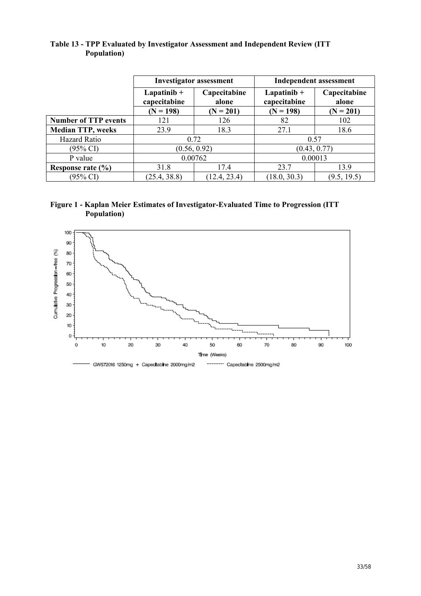|             | Table 13 - TPP Evaluated by Investigator Assessment and Independent Review (ITT) |
|-------------|----------------------------------------------------------------------------------|
| Population) |                                                                                  |

|                             | <b>Investigator assessment</b>                          |              | <b>Independent assessment</b>  |                       |  |
|-----------------------------|---------------------------------------------------------|--------------|--------------------------------|-----------------------|--|
|                             | Capecitabine<br>Lapatini $b +$<br>capecitabine<br>alone |              | Lapatini $b +$<br>capecitabine | Capecitabine<br>alone |  |
|                             | $(N = 198)$                                             | $(N = 201)$  | $(N = 198)$                    | $(N = 201)$           |  |
| <b>Number of TTP events</b> | 121                                                     | 126          | 82                             | 102                   |  |
| <b>Median TTP, weeks</b>    | 23.9                                                    | 18.3         | 27.1                           | 18.6                  |  |
| Hazard Ratio                | 0.72                                                    |              | 0.57                           |                       |  |
| (95% CI)                    | (0.56, 0.92)                                            |              | (0.43, 0.77)                   |                       |  |
| P value                     | 0.00762                                                 |              | 0.00013                        |                       |  |
| Response rate $(\% )$       | 31.8                                                    | 17.4         | 23.7                           | 139                   |  |
| (95% CI)                    | (25.4, 38.8)                                            | (12.4, 23.4) | (18.0, 30.3)                   | (9.5, 19.5)           |  |

# **Figure 1 - Kaplan Meier Estimates of Investigator-Evaluated Time to Progression (ITT Population)**

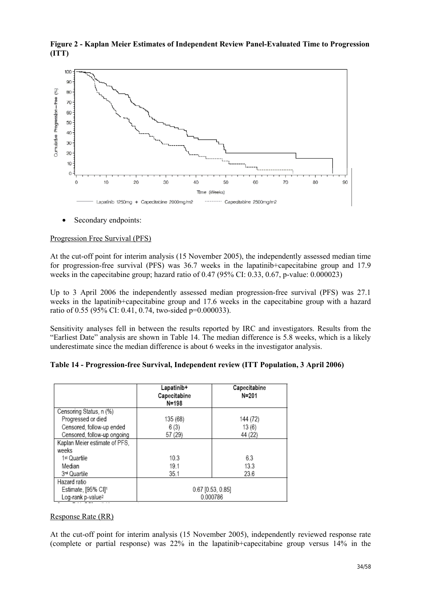

**Figure 2 - Kaplan Meier Estimates of Independent Review Panel-Evaluated Time to Progression (ITT)** 

Secondary endpoints:

#### Progression Free Survival (PFS)

At the cut-off point for interim analysis (15 November 2005), the independently assessed median time for progression-free survival (PFS) was 36.7 weeks in the lapatinib+capecitabine group and 17.9 weeks in the capecitabine group; hazard ratio of 0.47 (95% CI: 0.33, 0.67, p-value: 0.000023)

Up to 3 April 2006 the independently assessed median progression-free survival (PFS) was 27.1 weeks in the lapatinib+capecitabine group and 17.6 weeks in the capecitabine group with a hazard ratio of 0.55 (95% CI: 0.41, 0.74, two-sided p=0.000033).

Sensitivity analyses fell in between the results reported by IRC and investigators. Results from the "Earliest Date" analysis are shown in Table 14. The median difference is 5.8 weeks, which is a likely underestimate since the median difference is about 6 weeks in the investigator analysis.

|  |  | Table 14 - Progression-free Survival, Independent review (ITT Population, 3 April 2006) |  |  |
|--|--|-----------------------------------------------------------------------------------------|--|--|
|  |  |                                                                                         |  |  |

|                               | Lapatinib+<br>Capecitabine<br>$N = 198$ | Capecitabine<br>N=201 |  |
|-------------------------------|-----------------------------------------|-----------------------|--|
| Censoring Status, n (%)       |                                         |                       |  |
| Progressed or died            | 135 (68)                                | 144 (72)              |  |
| Censored, follow-up ended     | 6(3)                                    | 13(6)                 |  |
| Censored, follow-up ongoing   | 57 (29)                                 | 44 (22)               |  |
| Kaplan Meier estimate of PFS, |                                         |                       |  |
| weeks                         |                                         |                       |  |
| 1st Quartile                  | 10.3                                    | 6.3                   |  |
| Median                        | 19.1                                    | 13.3                  |  |
| 3 <sup>rd</sup> Quartile      | 35.1                                    | 23.6                  |  |
| Hazard ratio                  |                                         |                       |  |
| Estimate, [95% CI]1           | $0.67$ [0.53, 0.85]                     |                       |  |
| Log-rank p-value <sup>2</sup> | 0.000786                                |                       |  |

## Response Rate (RR)

At the cut-off point for interim analysis (15 November 2005), independently reviewed response rate (complete or partial response) was 22% in the lapatinib+capecitabine group versus 14% in the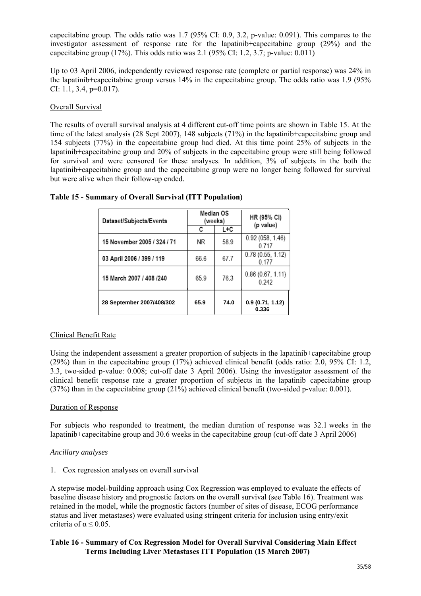capecitabine group. The odds ratio was 1.7 (95% CI: 0.9, 3.2, p-value: 0.091). This compares to the investigator assessment of response rate for the lapatinib+capecitabine group (29%) and the capecitabine group  $(17\%)$ . This odds ratio was 2.1  $(95\%$  CI: 1.2, 3.7; p-value: 0.011)

Up to 03 April 2006, independently reviewed response rate (complete or partial response) was 24% in the lapatinib+capecitabine group versus 14% in the capecitabine group. The odds ratio was 1.9 (95% CI: 1.1, 3.4, p=0.017).

## Overall Survival

The results of overall survival analysis at 4 different cut-off time points are shown in Table 15. At the time of the latest analysis (28 Sept 2007), 148 subjects (71%) in the lapatinib+capecitabine group and 154 subjects (77%) in the capecitabine group had died. At this time point 25% of subjects in the lapatinib+capecitabine group and 20% of subjects in the capecitabine group were still being followed for survival and were censored for these analyses. In addition, 3% of subjects in the both the lapatinib+capecitabine group and the capecitabine group were no longer being followed for survival but were alive when their follow-up ended.

| Dataset/Subjects/Events     | Median OS<br>(weeks) |      | HR (95% CI)<br>(p value)  |
|-----------------------------|----------------------|------|---------------------------|
|                             | с                    | L+C  |                           |
| 15 November 2005 / 324 / 71 | ΝR                   | 589  | 0.92 (058, 1.46)<br>0.717 |
| 03 April 2006 / 399 / 119   | 66.6                 | 67.7 | 0.78(0.55, 1.12)<br>0.177 |
| 15 March 2007 / 408 /240    | 65.9                 | 763  | 0.86(0.67, 1.11)<br>0.242 |
| 28 September 2007/408/302   | 65.9                 | 74.0 | 0.9(0.71, 1.12)<br>0.336  |

## **Table 15 - Summary of Overall Survival (ITT Population)**

#### Clinical Benefit Rate

Using the independent assessment a greater proportion of subjects in the lapatinib+capecitabine group (29%) than in the capecitabine group (17%) achieved clinical benefit (odds ratio: 2.0, 95% CI: 1.2, 3.3, two-sided p-value: 0.008; cut-off date 3 April 2006). Using the investigator assessment of the clinical benefit response rate a greater proportion of subjects in the lapatinib+capecitabine group (37%) than in the capecitabine group (21%) achieved clinical benefit (two-sided p-value: 0.001).

#### Duration of Response

For subjects who responded to treatment, the median duration of response was 32.1 weeks in the lapatinib+capecitabine group and 30.6 weeks in the capecitabine group (cut-off date 3 April 2006)

#### *Ancillary analyses*

1. Cox regression analyses on overall survival

A stepwise model-building approach using Cox Regression was employed to evaluate the effects of baseline disease history and prognostic factors on the overall survival (see Table 16). Treatment was retained in the model, while the prognostic factors (number of sites of disease, ECOG performance status and liver metastases) were evaluated using stringent criteria for inclusion using entry/exit criteria of  $\alpha \leq 0.05$ .

## **Table 16 - Summary of Cox Regression Model for Overall Survival Considering Main Effect Terms Including Liver Metastases ITT Population (15 March 2007)**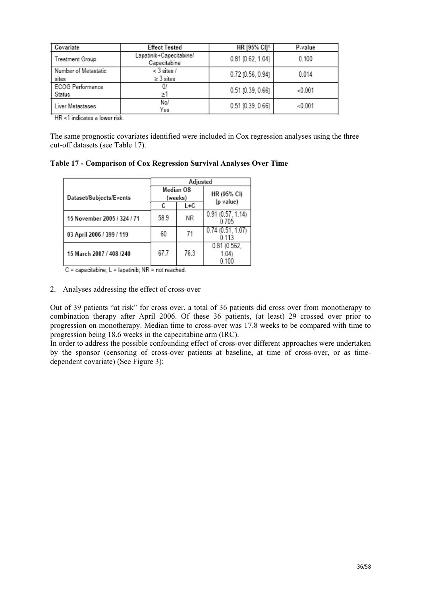| Covariate                     | <b>Effect Tested</b>                    | HR [95% CI]1        | P-value |
|-------------------------------|-----------------------------------------|---------------------|---------|
| Treatment Group               | Lapatinib+Capecitabine/<br>Capecitabine | $0.81$ [0.62, 1.04] | 0.100   |
| Number of Metastatic<br>sites | $<$ 3 sites $/$<br>$\geq$ 3 sites       | 0.72 [0.56, 0.94]   | 0.014   |
| ECOG Performance<br>Status    | Σ.                                      | $0.51$ [0.39, 0.66] | < 0.001 |
| Liver Metastases              | No/<br>Yes                              | $0.51$ [0.39, 0.66] | < 0.001 |

HR <1 indicates a lower risk.

The same prognostic covariates identified were included in Cox regression analyses using the three cut-off datasets (see Table 17).

**Table 17 - Comparison of Cox Regression Survival Analyses Over Time** 

|                             | Adjusted             |      |                             |
|-----------------------------|----------------------|------|-----------------------------|
| Dataset/Subjects/Events     | Median OS<br>(weeks) |      | HR (95% CI)<br>(p value)    |
|                             | С                    | L+C  |                             |
| 15 November 2005 / 324 / 71 | 589                  | ΝR   | 0.91(0.57, 1.14)<br>0705    |
| 03 April 2006 / 399 / 119   | 60                   | 71   | 0.74(0.51, 1.07)<br>0 1 1 3 |
| 15 March 2007 / 408 /240    | 67 7                 | 76.3 | 0.81(0.562)<br>1.04         |

 $C =$  capecitabine;  $L =$  lapatinib; NR = not reached.

#### 2. Analyses addressing the effect of cross-over

Out of 39 patients "at risk" for cross over, a total of 36 patients did cross over from monotherapy to combination therapy after April 2006. Of these 36 patients, (at least) 29 crossed over prior to progression on monotherapy. Median time to cross-over was 17.8 weeks to be compared with time to progression being 18.6 weeks in the capecitabine arm (IRC).

In order to address the possible confounding effect of cross-over different approaches were undertaken by the sponsor (censoring of cross-over patients at baseline, at time of cross-over, or as timedependent covariate) (See Figure 3):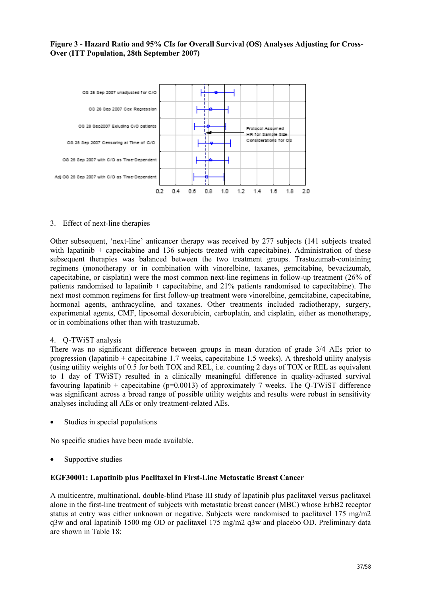## **Figure 3 - Hazard Ratio and 95% CIs for Overall Survival (OS) Analyses Adjusting for Cross-Over (ITT Population, 28th September 2007)**



#### 3. Effect of next-line therapies

Other subsequent, 'next-line' anticancer therapy was received by 277 subjects (141 subjects treated with lapatinib + capecitabine and 136 subjects treated with capecitabine). Administration of these subsequent therapies was balanced between the two treatment groups. Trastuzumab-containing regimens (monotherapy or in combination with vinorelbine, taxanes, gemcitabine, bevacizumab, capecitabine, or cisplatin) were the most common next-line regimens in follow-up treatment (26% of patients randomised to lapatinib + capecitabine, and 21% patients randomised to capecitabine). The next most common regimens for first follow-up treatment were vinorelbine, gemcitabine, capecitabine, hormonal agents, anthracycline, and taxanes. Other treatments included radiotherapy, surgery, experimental agents, CMF, liposomal doxorubicin, carboplatin, and cisplatin, either as monotherapy, or in combinations other than with trastuzumab.

#### 4. Q-TWiST analysis

There was no significant difference between groups in mean duration of grade 3/4 AEs prior to progression (lapatinib + capecitabine 1.7 weeks, capecitabine 1.5 weeks). A threshold utility analysis (using utility weights of 0.5 for both TOX and REL, i.e. counting 2 days of TOX or REL as equivalent to 1 day of TWiST) resulted in a clinically meaningful difference in quality-adjusted survival favouring lapatinib + capecitabine ( $p=0.0013$ ) of approximately 7 weeks. The Q-TWiST difference was significant across a broad range of possible utility weights and results were robust in sensitivity analyses including all AEs or only treatment-related AEs.

Studies in special populations

No specific studies have been made available.

Supportive studies

#### **EGF30001: Lapatinib plus Paclitaxel in First-Line Metastatic Breast Cancer**

A multicentre, multinational, double-blind Phase III study of lapatinib plus paclitaxel versus paclitaxel alone in the first-line treatment of subjects with metastatic breast cancer (MBC) whose ErbB2 receptor status at entry was either unknown or negative. Subjects were randomised to paclitaxel 175 mg/m2 q3w and oral lapatinib 1500 mg OD or paclitaxel 175 mg/m2 q3w and placebo OD. Preliminary data are shown in Table 18: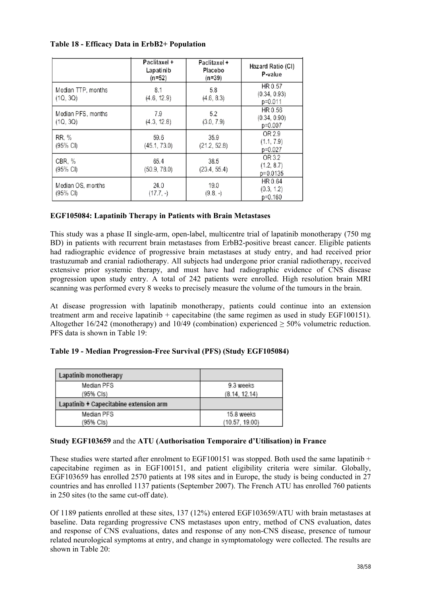## **Table 18 - Efficacy Data in ErbB2+ Population**

|                                | Paclitaxel +<br>Lapatinib<br>$(n=52)$ | Paclitaxel +<br>Placebo<br>$(n=39)$ | Hazard Ratio (CI)<br>P-value       |
|--------------------------------|---------------------------------------|-------------------------------------|------------------------------------|
| Median TTP, months<br>(1Q, 3Q) | 8.1<br>(4.6, 12.9)                    | 5.8<br>(4.6, 8.3)                   | HR 0.57<br>(0.34, 0.93)<br>p=0.011 |
| Median PFS, months<br>(1Q, 3Q) | 7.9<br>(4.3, 12.8)                    | 5.2<br>(3.0, 7.9)                   | HR 0.56<br>(0.34, 0.90)<br>p=0.007 |
| RR, %<br>(95% CI)              | 59.6<br>(45.1, 73.0)                  | 35.9<br>(21.2, 52.8)                | OR 2.9<br>(1.1, 7.9)<br>p=0.027    |
| CBR, %<br>$(95% \text{ Cl})$   | 65.4<br>(50.9, 78.0)                  | 38.5<br>(23.4, 55.4)                | OR 3.2<br>(1.2, 8.7)<br>p=0.0135   |
| Median OS, months<br>(95% CI)  | 24.0<br>$(17.7, -)$                   | 19.0<br>$(9.8, -)$                  | HR 0.64<br>(0.3, 1.2)<br>p=0.160   |

## **EGF105084: Lapatinib Therapy in Patients with Brain Metastases**

This study was a phase II single-arm, open-label, multicentre trial of lapatinib monotherapy (750 mg BD) in patients with recurrent brain metastases from ErbB2-positive breast cancer. Eligible patients had radiographic evidence of progressive brain metastases at study entry, and had received prior trastuzumab and cranial radiotherapy. All subjects had undergone prior cranial radiotherapy, received extensive prior systemic therapy, and must have had radiographic evidence of CNS disease progression upon study entry. A total of 242 patients were enrolled. High resolution brain MRI scanning was performed every 8 weeks to precisely measure the volume of the tumours in the brain.

At disease progression with lapatinib monotherapy, patients could continue into an extension treatment arm and receive lapatinib + capecitabine (the same regimen as used in study EGF100151). Altogether 16/242 (monotherapy) and 10/49 (combination) experienced ≥ 50% volumetric reduction. PFS data is shown in Table 19<sup>-</sup>

| Table 19 - Median Progression-Free Survival (PFS) (Study EGF105084) |  |
|---------------------------------------------------------------------|--|
|---------------------------------------------------------------------|--|

| Lapatinib monotherapy                  |                |
|----------------------------------------|----------------|
| Median PFS                             | 9.3 weeks      |
| (95% Cls)                              | (8.14, 12.14)  |
| Lapatinib + Capecitabine extension arm |                |
| Median PFS                             | 15.8 weeks     |
| (95% Cls)                              | (10.57, 19.00) |

#### **Study EGF103659** and the **ATU (Authorisation Temporaire d'Utilisation) in France**

These studies were started after enrolment to EGF100151 was stopped. Both used the same lapatinib  $+$ capecitabine regimen as in EGF100151, and patient eligibility criteria were similar. Globally, EGF103659 has enrolled 2570 patients at 198 sites and in Europe, the study is being conducted in 27 countries and has enrolled 1137 patients (September 2007). The French ATU has enrolled 760 patients in 250 sites (to the same cut-off date).

Of 1189 patients enrolled at these sites, 137 (12%) entered EGF103659/ATU with brain metastases at baseline. Data regarding progressive CNS metastases upon entry, method of CNS evaluation, dates and response of CNS evaluations, dates and response of any non-CNS disease, presence of tumour related neurological symptoms at entry, and change in symptomatology were collected. The results are shown in Table 20: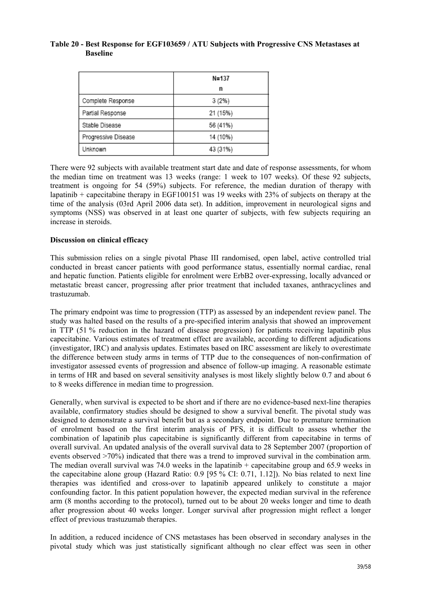## **Table 20 - Best Response for EGF103659 / ATU Subjects with Progressive CNS Metastases at Baseline**

|                     | N=137    |
|---------------------|----------|
|                     | n        |
| Complete Response   | 3(2%)    |
| Partial Response    | 21 (15%) |
| Stable Disease      | 56 (41%) |
| Progressive Disease | 14 (10%) |
| Unknown             | 43 (31%) |

There were 92 subjects with available treatment start date and date of response assessments, for whom the median time on treatment was 13 weeks (range: 1 week to 107 weeks). Of these 92 subjects, treatment is ongoing for 54 (59%) subjects. For reference, the median duration of therapy with lapatinib + capecitabine therapy in EGF100151 was 19 weeks with 23% of subjects on therapy at the time of the analysis (03rd April 2006 data set). In addition, improvement in neurological signs and symptoms (NSS) was observed in at least one quarter of subjects, with few subjects requiring an increase in steroids.

## **Discussion on clinical efficacy**

This submission relies on a single pivotal Phase III randomised, open label, active controlled trial conducted in breast cancer patients with good performance status, essentially normal cardiac, renal and hepatic function. Patients eligible for enrolment were ErbB2 over-expressing, locally advanced or metastatic breast cancer, progressing after prior treatment that included taxanes, anthracyclines and trastuzumab.

The primary endpoint was time to progression (TTP) as assessed by an independent review panel. The study was halted based on the results of a pre-specified interim analysis that showed an improvement in TTP (51 % reduction in the hazard of disease progression) for patients receiving lapatinib plus capecitabine. Various estimates of treatment effect are available, according to different adjudications (investigator, IRC) and analysis updates. Estimates based on IRC assessment are likely to overestimate the difference between study arms in terms of TTP due to the consequences of non-confirmation of investigator assessed events of progression and absence of follow-up imaging. A reasonable estimate in terms of HR and based on several sensitivity analyses is most likely slightly below 0.7 and about 6 to 8 weeks difference in median time to progression.

Generally, when survival is expected to be short and if there are no evidence-based next-line therapies available, confirmatory studies should be designed to show a survival benefit. The pivotal study was designed to demonstrate a survival benefit but as a secondary endpoint. Due to premature termination of enrolment based on the first interim analysis of PFS, it is difficult to assess whether the combination of lapatinib plus capecitabine is significantly different from capecitabine in terms of overall survival. An updated analysis of the overall survival data to 28 September 2007 (proportion of events observed >70%) indicated that there was a trend to improved survival in the combination arm. The median overall survival was 74.0 weeks in the lapatinib  $+$  capecitabine group and 65.9 weeks in the capecitabine alone group (Hazard Ratio: 0.9 [95 % CI: 0.71, 1.12]). No bias related to next line therapies was identified and cross-over to lapatinib appeared unlikely to constitute a major confounding factor. In this patient population however, the expected median survival in the reference arm (8 months according to the protocol), turned out to be about 20 weeks longer and time to death after progression about 40 weeks longer. Longer survival after progression might reflect a longer effect of previous trastuzumab therapies.

In addition, a reduced incidence of CNS metastases has been observed in secondary analyses in the pivotal study which was just statistically significant although no clear effect was seen in other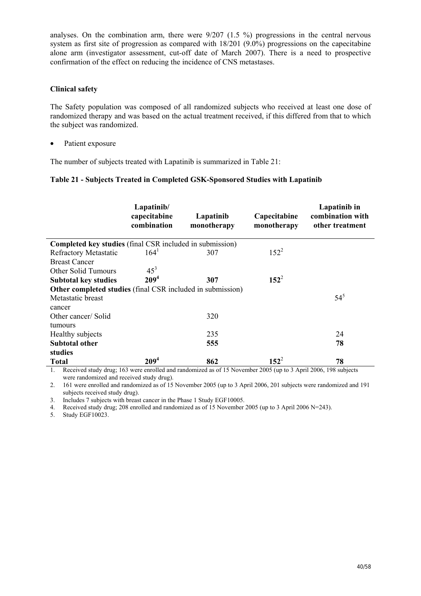analyses. On the combination arm, there were 9/207 (1.5 %) progressions in the central nervous system as first site of progression as compared with  $18/201$  (9.0%) progressions on the capecitabine alone arm (investigator assessment, cut-off date of March 2007). There is a need to prospective confirmation of the effect on reducing the incidence of CNS metastases.

## **Clinical safety**

The Safety population was composed of all randomized subjects who received at least one dose of randomized therapy and was based on the actual treatment received, if this differed from that to which the subject was randomized.

• Patient exposure

The number of subjects treated with Lapatinib is summarized in Table 21:

## **Table 21 - Subjects Treated in Completed GSK-Sponsored Studies with Lapatinib**

|                                                                   | Lapatinib/<br>capecitabine<br>combination | Lapatinib<br>monotherapy | Capecitabine<br>monotherapy | Lapatinib in<br>combination with<br>other treatment |
|-------------------------------------------------------------------|-------------------------------------------|--------------------------|-----------------------------|-----------------------------------------------------|
| <b>Completed key studies</b> (final CSR included in submission)   |                                           |                          |                             |                                                     |
| <b>Refractory Metastatic</b>                                      | $164^1$                                   | 307                      | $152^2$                     |                                                     |
| <b>Breast Cancer</b>                                              |                                           |                          |                             |                                                     |
| Other Solid Tumours                                               | 45 <sup>3</sup>                           |                          |                             |                                                     |
| <b>Subtotal key studies</b>                                       | 209 <sup>4</sup>                          | 307                      | $152^2$                     |                                                     |
| <b>Other completed studies</b> (final CSR included in submission) |                                           |                          |                             |                                                     |
| Metastatic breast                                                 |                                           |                          |                             | $54^5$                                              |
| cancer                                                            |                                           |                          |                             |                                                     |
| Other cancer/Solid                                                |                                           | 320                      |                             |                                                     |
| tumours                                                           |                                           |                          |                             |                                                     |
| Healthy subjects                                                  |                                           | 235                      |                             | 24                                                  |
| <b>Subtotal other</b>                                             |                                           | 555                      |                             | 78                                                  |
| studies                                                           |                                           |                          |                             |                                                     |
| <b>Total</b>                                                      | 209 <sup>4</sup>                          | 862                      | $152^2$                     | 78                                                  |

1. Received study drug; 163 were enrolled and randomized as of 15 November 2005 (up to 3 April 2006, 198 subjects were randomized and received study drug).

2. 161 were enrolled and randomized as of 15 November 2005 (up to 3 April 2006, 201 subjects were randomized and 191 subjects received study drug).

3. Includes 7 subjects with breast cancer in the Phase 1 Study EGF10005.

4. Received study drug; 208 enrolled and randomized as of 15 November 2005 (up to 3 April 2006 N=243).

5. Study EGF10023.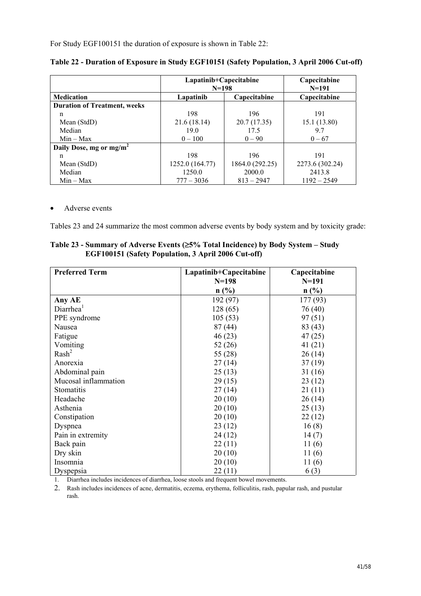For Study EGF100151 the duration of exposure is shown in Table 22:

|                                     | Lapatinib+Capecitabine<br>$N=198$ |                 | Capecitabine<br>$N = 191$ |
|-------------------------------------|-----------------------------------|-----------------|---------------------------|
| <b>Medication</b>                   | Lapatinib                         | Capecitabine    | Capecitabine              |
| <b>Duration of Treatment, weeks</b> |                                   |                 |                           |
| n                                   | 198                               | 196             | 191                       |
| Mean (StdD)                         | 21.6(18.14)                       | 20.7(17.35)     | 15.1(13.80)               |
| Median                              | 19.0                              | 17.5            | 97                        |
| $Min - Max$                         | $0 - 100$                         | $0 - 90$        | $0 - 67$                  |
| Daily Dose, mg or mg/m <sup>2</sup> |                                   |                 |                           |
| n                                   | 198                               | 196             | 191                       |
| Mean (StdD)                         | 1252.0 (164.77)                   | 1864.0 (292.25) | 2273.6 (302.24)           |
| Median                              | 1250.0                            | 2000.0          | 2413.8                    |
| $Min - Max$                         | $777 - 3036$                      | $813 - 2947$    | $1192 - 2549$             |

#### • Adverse events

Tables 23 and 24 summarize the most common adverse events by body system and by toxicity grade:

| Table 23 - Summary of Adverse Events ( $\geq$ 5% Total Incidence) by Body System – Study<br>EGF100151 (Safety Population, 3 April 2006 Cut-off) |  |
|-------------------------------------------------------------------------------------------------------------------------------------------------|--|
|                                                                                                                                                 |  |

| <b>Preferred Term</b> | Lapatinib+Capecitabine | Capecitabine                |
|-----------------------|------------------------|-----------------------------|
|                       | $N = 198$              | $N = 191$                   |
|                       | n(%)                   | $n\left(\frac{0}{0}\right)$ |
| Any AE                | 192 (97)               | 177 (93)                    |
| Diarrhea <sup>1</sup> | 128(65)                | 76 (40)                     |
| PPE syndrome          | 105(53)                | 97(51)                      |
| Nausea                | 87(44)                 | 83(43)                      |
| Fatigue               | 46(23)                 | 47(25)                      |
| Vomiting              | 52(26)                 | 41(21)                      |
| Rash <sup>2</sup>     | 55 (28)                | 26(14)                      |
| Anorexia              | 27(14)                 | 37(19)                      |
| Abdominal pain        | 25(13)                 | 31(16)                      |
| Mucosal inflammation  | 29(15)                 | 23(12)                      |
| Stomatitis            | 27(14)                 | 21(11)                      |
| Headache              | 20(10)                 | 26(14)                      |
| Asthenia              | 20(10)                 | 25(13)                      |
| Constipation          | 20(10)                 | 22(12)                      |
| Dyspnea               | 23(12)                 | 16(8)                       |
| Pain in extremity     | 24 (12)                | 14(7)                       |
| Back pain             | 22(11)                 | 11(6)                       |
| Dry skin              | 20(10)                 | 11(6)                       |
| Insomnia              | 20(10)                 | 11(6)                       |
| Dyspepsia             | 22(11)                 | 6(3)                        |

1. Diarrhea includes incidences of diarrhea, loose stools and frequent bowel movements.

2. Rash includes incidences of acne, dermatitis, eczema, erythema, folliculitis, rash, papular rash, and pustular rash.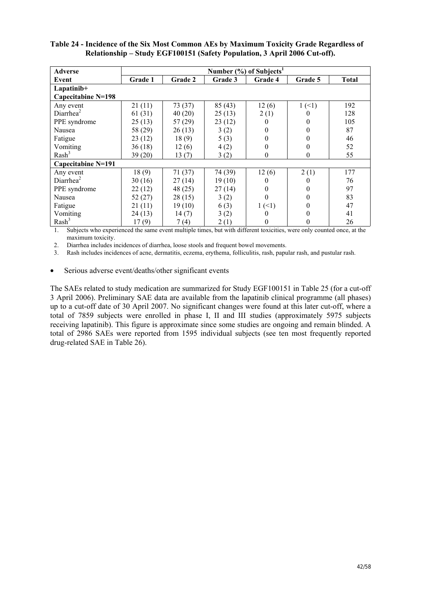| Adverse               | Number $(\%)$ of Subjects <sup>1</sup> |         |         |                |                  |              |
|-----------------------|----------------------------------------|---------|---------|----------------|------------------|--------------|
| Event                 | Grade 1                                | Grade 2 | Grade 3 | Grade 4        | Grade 5          | <b>Total</b> |
| Lapatinib+            |                                        |         |         |                |                  |              |
| Capecitabine N=198    |                                        |         |         |                |                  |              |
| Any event             | 21(11)                                 | 73(37)  | 85(43)  | 12(6)          | 1(1)             | 192          |
| Diarrhea <sup>2</sup> | 61(31)                                 | 40(20)  | 25(13)  | 2(1)           | 0                | 128          |
| PPE syndrome          | 25(13)                                 | 57(29)  | 23(12)  | $\theta$       | 0                | 105          |
| Nausea                | 58 (29)                                | 26(13)  | 3(2)    | $\theta$       | $\Omega$         | 87           |
| Fatigue               | 23(12)                                 | 18(9)   | 5(3)    | $\overline{0}$ | $\overline{0}$   | 46           |
| Vomiting              | 36(18)                                 | 12(6)   | 4(2)    | $\overline{0}$ | $\overline{0}$   | 52           |
| Rash <sup>3</sup>     | 39(20)                                 | 13(7)   | 3(2)    | $\mathbf{0}$   | $\boldsymbol{0}$ | 55           |
| Capecitabine N=191    |                                        |         |         |                |                  |              |
| Any event             | 18(9)                                  | 71(37)  | 74 (39) | 12(6)          | 2(1)             | 177          |
| Diarrhea <sup>2</sup> | 30(16)                                 | 27(14)  | 19(10)  | 0              | $\theta$         | 76           |
| PPE syndrome          | 22(12)                                 | 48(25)  | 27(14)  | $\theta$       | 0                | 97           |
| Nausea                | 52(27)                                 | 28(15)  | 3(2)    | 0              | $\theta$         | 83           |
| Fatigue               | 21(11)                                 | 19(10)  | 6(3)    | 1(1)           | $\theta$         | 47           |
| Vomiting              | 24(13)                                 | 14(7)   | 3(2)    | 0              | $\overline{0}$   | 41           |
| Rash <sup>3</sup>     | 17(9)                                  | 7(4)    | 2(1)    | $\overline{0}$ | $\overline{0}$   | 26           |

## **Table 24 - Incidence of the Six Most Common AEs by Maximum Toxicity Grade Regardless of Relationship – Study EGF100151 (Safety Population, 3 April 2006 Cut-off).**

1. Subjects who experienced the same event multiple times, but with different toxicities, were only counted once, at the maximum toxicity.

2. Diarrhea includes incidences of diarrhea, loose stools and frequent bowel movements.

3. Rash includes incidences of acne, dermatitis, eczema, erythema, folliculitis, rash, papular rash, and pustular rash.

• Serious adverse event/deaths/other significant events

The SAEs related to study medication are summarized for Study EGF100151 in Table 25 (for a cut-off 3 April 2006). Preliminary SAE data are available from the lapatinib clinical programme (all phases) up to a cut-off date of 30 April 2007. No significant changes were found at this later cut-off, where a total of 7859 subjects were enrolled in phase I, II and III studies (approximately 5975 subjects receiving lapatinib). This figure is approximate since some studies are ongoing and remain blinded. A total of 2986 SAEs were reported from 1595 individual subjects (see ten most frequently reported drug-related SAE in Table 26).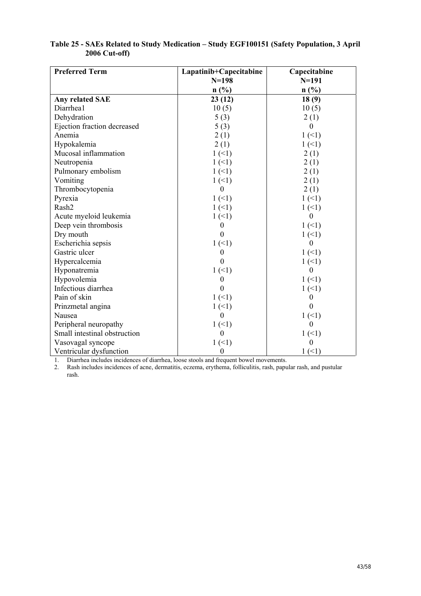| <b>Preferred Term</b>        | Lapatinib+Capecitabine | Capecitabine |
|------------------------------|------------------------|--------------|
|                              | $N=198$                | $N = 191$    |
|                              | n(%)                   | n(%)         |
| Any related SAE              | 23(12)                 | 18(9)        |
| Diarrhea1                    | 10(5)                  | 10(5)        |
| Dehydration                  | 5(3)                   | 2(1)         |
| Ejection fraction decreased  | 5(3)                   | $\theta$     |
| Anemia                       | 2(1)                   | 1(1)         |
| Hypokalemia                  | 2(1)                   | 1(1)         |
| Mucosal inflammation         | 1(1)                   | 2(1)         |
| Neutropenia                  | 1(1)                   | 2(1)         |
| Pulmonary embolism           | 1(1)                   | 2(1)         |
| Vomiting                     | 1(1)                   | 2(1)         |
| Thrombocytopenia             | $\theta$               | 2(1)         |
| Pyrexia                      | 1(1)                   | 1(1)         |
| Rash2                        | 1(1)                   | 1(1)         |
| Acute myeloid leukemia       | 1(1)                   | $\theta$     |
| Deep vein thrombosis         | $\Omega$               | 1(1)         |
| Dry mouth                    | $\Omega$               | 1(1)         |
| Escherichia sepsis           | 1(1)                   | $\theta$     |
| Gastric ulcer                | $\theta$               | 1(1)         |
| Hypercalcemia                | $\Omega$               | 1(1)         |
| Hyponatremia                 | 1(1)                   | $\theta$     |
| Hypovolemia                  | $\theta$               | 1(1)         |
| Infectious diarrhea          | $\theta$               | 1(1)         |
| Pain of skin                 | 1(1)                   | $\theta$     |
| Prinzmetal angina            | 1(1)                   | $\theta$     |
| Nausea                       | $\Omega$               | 1(1)         |
| Peripheral neuropathy        | 1(1)                   | $\theta$     |
| Small intestinal obstruction | $\Omega$               | 1(1)         |
| Vasovagal syncope            | 1(1)                   | $\theta$     |
| Ventricular dysfunction      | $\boldsymbol{0}$       | 1(1)         |

# **Table 25 - SAEs Related to Study Medication – Study EGF100151 (Safety Population, 3 April 2006 Cut-off)**

1. Diarrhea includes incidences of diarrhea, loose stools and frequent bowel movements.

2. Rash includes incidences of acne, dermatitis, eczema, erythema, folliculitis, rash, papular rash, and pustular rash.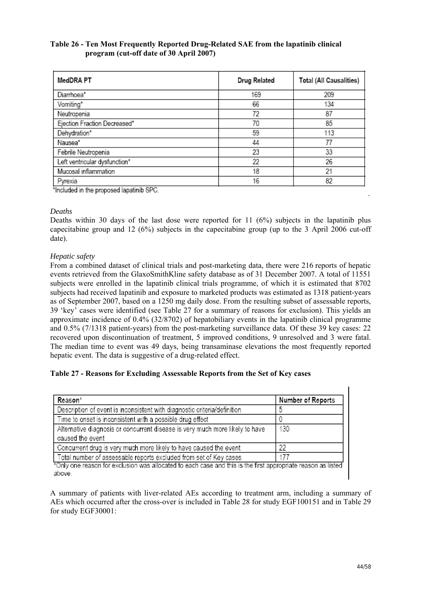## **Table 26 - Ten Most Frequently Reported Drug-Related SAE from the lapatinib clinical program (cut-off date of 30 April 2007)**

| MedDRA PT                     | Drug Related | Total (All Causalities) |
|-------------------------------|--------------|-------------------------|
| Diarrhoea*                    | 169          | 209                     |
| Vomiting*                     | 66           | 134                     |
| Neutropenia                   | 72           | 87                      |
| Ejection Fraction Decreased*  | 70           | 85                      |
| Dehydration*                  | 59           | 113                     |
| Nausea*                       | 44           | 77                      |
| Febrile Neutropenia           | 23           | 33                      |
| Left ventricular dysfunction* | 22           | 26                      |
| Mucosal inflammation          | 18           | 21                      |
| Pyrexia                       | 16           | 82                      |

\*Included in the proposed lapatinib SPC.

## *Deaths*

Deaths within 30 days of the last dose were reported for 11 (6%) subjects in the lapatinib plus capecitabine group and 12 (6%) subjects in the capecitabine group (up to the 3 April 2006 cut-off date).

## *Hepatic safety*

From a combined dataset of clinical trials and post-marketing data, there were 216 reports of hepatic events retrieved from the GlaxoSmithKline safety database as of 31 December 2007. A total of 11551 subjects were enrolled in the lapatinib clinical trials programme, of which it is estimated that 8702 subjects had received lapatinib and exposure to marketed products was estimated as 1318 patient-years as of September 2007, based on a 1250 mg daily dose. From the resulting subset of assessable reports, 39 'key' cases were identified (see Table 27 for a summary of reasons for exclusion). This yields an approximate incidence of 0.4% (32/8702) of hepatobiliary events in the lapatinib clinical programme and 0.5% (7/1318 patient-years) from the post-marketing surveillance data. Of these 39 key cases: 22 recovered upon discontinuation of treatment, 5 improved conditions, 9 unresolved and 3 were fatal. The median time to event was 49 days, being transaminase elevations the most frequently reported hepatic event. The data is suggestive of a drug-related effect.

## **Table 27 - Reasons for Excluding Assessable Reports from the Set of Key cases**

| Reason*                                                                                                       | Number of Reports |
|---------------------------------------------------------------------------------------------------------------|-------------------|
| Description of event is inconsistent with diagnostic criteria/definition                                      |                   |
| Time to onset is inconsistent with a possible drug effect                                                     |                   |
| Alternative diagnosis or concurrent disease is very much more likely to have                                  | 130               |
| caused the event                                                                                              |                   |
| Concurrent drug is very much more likely to have caused the event                                             | 22                |
| Total number of assessable reports excluded from set of Key cases                                             | 177               |
| *Only one reason for exclusion was allocated to each case and this is the first appropriate reason as listed. |                   |

Only one reason for exclusion was allocated to each case and this is the first appropriate reason as listed above.

A summary of patients with liver-related AEs according to treatment arm, including a summary of AEs which occurred after the cross-over is included in Table 28 for study EGF100151 and in Table 29 for study EGF30001:

.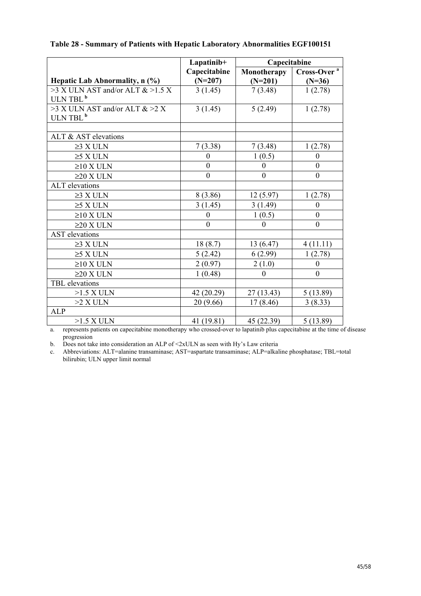|                                      | Lapatinib+       | Capecitabine     |                         |
|--------------------------------------|------------------|------------------|-------------------------|
|                                      | Capecitabine     | Monotherapy      | Cross-Over <sup>a</sup> |
| Hepatic Lab Abnormality, n (%)       | $(N=207)$        | $(N=201)$        | $(N=36)$                |
| $>3$ X ULN AST and/or ALT & $>1.5$ X | 3(1.45)          | 7(3.48)          | 1(2.78)                 |
| ULN TBL <sup>b</sup>                 |                  |                  |                         |
| >3 X ULN AST and/or ALT & >2 X       | 3(1.45)          | 5(2.49)          | 1(2.78)                 |
| ULN TBL <sup>b</sup>                 |                  |                  |                         |
|                                      |                  |                  |                         |
| ALT & AST elevations                 |                  |                  |                         |
| $\geq$ 3 X ULN                       | 7(3.38)          | 7(3.48)          | 1(2.78)                 |
| $\geq$ 5 X ULN                       | $\Omega$         | 1(0.5)           | $\theta$                |
| $\geq$ 10 X ULN                      | $\boldsymbol{0}$ | $\boldsymbol{0}$ | $\boldsymbol{0}$        |
| $\geq$ 20 X ULN                      | $\mathbf{0}$     | $\boldsymbol{0}$ | $\boldsymbol{0}$        |
| <b>ALT</b> elevations                |                  |                  |                         |
| $\geq$ 3 X ULN                       | 8(3.86)          | 12(5.97)         | 1(2.78)                 |
| $\geq$ X ULN                         | 3(1.45)          | 3(1.49)          | $\theta$                |
| $\geq$ 10 X ULN                      | $\boldsymbol{0}$ | 1(0.5)           | $\boldsymbol{0}$        |
| $\geq$ 20 X ULN                      | $\overline{0}$   | $\overline{0}$   | $\boldsymbol{0}$        |
| <b>AST</b> elevations                |                  |                  |                         |
| $\geq$ 3 X ULN                       | 18(8.7)          | 13 (6.47)        | 4(11.11)                |
| $\geq$ 5 X ULN                       | 5(2.42)          | 6(2.99)          | 1(2.78)                 |
| $\geq$ 10 X ULN                      | 2(0.97)          | 2(1.0)           | $\boldsymbol{0}$        |
| $\geq$ 20 X ULN                      | 1(0.48)          | $\boldsymbol{0}$ | $\boldsymbol{0}$        |
| TBL elevations                       |                  |                  |                         |
| $>1.5$ X ULN                         | 42 (20.29)       | 27(13.43)        | 5(13.89)                |
| $>2$ X ULN                           | 20 (9.66)        | 17(8.46)         | 3(8.33)                 |
| <b>ALP</b>                           |                  |                  |                         |
| $>1.5$ X ULN                         | 41 (19.81)       | 45 (22.39)       | 5(13.89)                |

## **Table 28 - Summary of Patients with Hepatic Laboratory Abnormalities EGF100151**

a. represents patients on capecitabine monotherapy who crossed-over to lapatinib plus capecitabine at the time of disease progression

b. Does not take into consideration an ALP of  $\leq$  2xULN as seen with Hy's Law criteria

c. Abbreviations: ALT=alanine transaminase; AST=aspartate transaminase; ALP=alkaline phosphatase; TBL=total bilirubin; ULN upper limit normal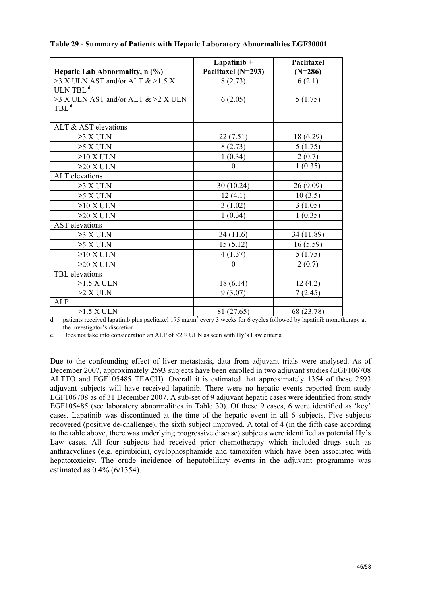| Table 29 - Summary of Patients with Hepatic Laboratory Abnormalities EGF30001 |
|-------------------------------------------------------------------------------|
|-------------------------------------------------------------------------------|

|                                      | $Lapatinib +$      | Paclitaxel |
|--------------------------------------|--------------------|------------|
| Hepatic Lab Abnormality, n (%)       | Paclitaxel (N=293) | $(N=286)$  |
| $>3$ X ULN AST and/or ALT & $>1.5$ X | 8(2.73)            | 6(2.1)     |
| ULN TBL <sup>d</sup>                 |                    |            |
| >3 X ULN AST and/or ALT & >2 X ULN   | 6(2.05)            | 5(1.75)    |
| TBL <sup>d</sup>                     |                    |            |
|                                      |                    |            |
| ALT & AST elevations                 |                    |            |
| $\geq$ 3 X ULN                       | 22(7.51)           | 18(6.29)   |
| $\geq$ 5 X ULN                       | 8(2.73)            | 5(1.75)    |
| $\geq$ 10 X ULN                      | 1(0.34)            | 2(0.7)     |
| $\geq$ 20 X ULN                      | $\boldsymbol{0}$   | 1(0.35)    |
| <b>ALT</b> elevations                |                    |            |
| $\geq$ 3 X ULN                       | 30(10.24)          | 26(9.09)   |
| $\geq$ X ULN                         | 12(4.1)            | 10(3.5)    |
| $\geq$ 10 X ULN                      | 3(1.02)            | 3(1.05)    |
| $\geq$ 20 X ULN                      | 1(0.34)            | 1(0.35)    |
| <b>AST</b> elevations                |                    |            |
| $\geq$ 3 X ULN                       | 34 (11.6)          | 34 (11.89) |
| $\geq$ X ULN                         | 15(5.12)           | 16(5.59)   |
| $\geq$ 10 X ULN                      | 4(1.37)            | 5(1.75)    |
| $\geq$ 20 X ULN                      | $\theta$           | 2(0.7)     |
| TBL elevations                       |                    |            |
| $>1.5$ X ULN                         | 18(6.14)           | 12(4.2)    |
| $>2$ X ULN                           | 9(3.07)            | 7(2.45)    |
| <b>ALP</b>                           |                    |            |
| $>1.5$ X ULN                         | 81 (27.65)         | 68 (23.78) |

d. patients received lapatinib plus paclitaxel 175 mg/m<sup>2</sup> every 3 weeks for 6 cycles followed by lapatinib monotherapy at the investigator's discretion

e. Does not take into consideration an ALP of  $\leq$   $\times$  ULN as seen with Hy's Law criteria

Due to the confounding effect of liver metastasis, data from adjuvant trials were analysed. As of December 2007, approximately 2593 subjects have been enrolled in two adjuvant studies (EGF106708 ALTTO and EGF105485 TEACH). Overall it is estimated that approximately 1354 of these 2593 adjuvant subjects will have received lapatinib. There were no hepatic events reported from study EGF106708 as of 31 December 2007. A sub-set of 9 adjuvant hepatic cases were identified from study EGF105485 (see laboratory abnormalities in Table 30). Of these 9 cases, 6 were identified as 'key' cases. Lapatinib was discontinued at the time of the hepatic event in all 6 subjects. Five subjects recovered (positive de-challenge), the sixth subject improved. A total of 4 (in the fifth case according to the table above, there was underlying progressive disease) subjects were identified as potential Hy's Law cases. All four subjects had received prior chemotherapy which included drugs such as anthracyclines (e.g. epirubicin), cyclophosphamide and tamoxifen which have been associated with hepatotoxicity. The crude incidence of hepatobiliary events in the adjuvant programme was estimated as 0.4% (6/1354).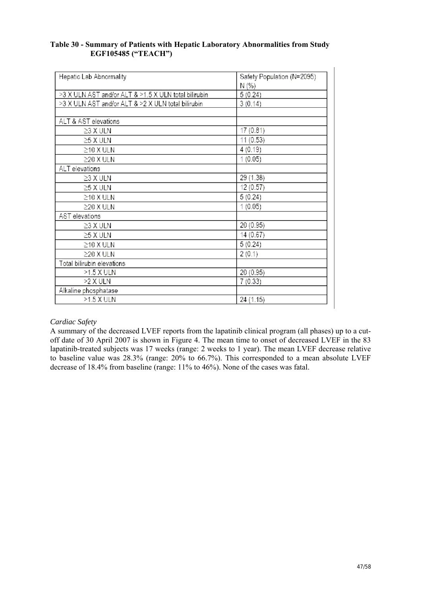## **Table 30 - Summary of Patients with Hepatic Laboratory Abnormalities from Study EGF105485 ("TEACH")**

| Hepatic Lab Abnormality                              | Safety Population (N=2095) |
|------------------------------------------------------|----------------------------|
|                                                      | N (%)                      |
| >3 X ULN AST and/or ALT & >1.5 X ULN total bilirubin | 5(0.24)                    |
| >3 X ULN AST and/or ALT & >2 X ULN total bilirubin   | 3(0.14)                    |
|                                                      |                            |
| ALT & AST elevations                                 |                            |
| $\geq$ 3 X ULN                                       | 17 (0.81)                  |
| ≥5 X ULN                                             | 11 (0.53)                  |
| $\geq$ 10 X ULN                                      | 4(0.19)                    |
| ≥20 X ULN                                            | 1(0.05)                    |
| ALT elevations                                       |                            |
| $\geq$ 3 X ULN                                       | 29 (1.38)                  |
| $\geq$ 5 X ULN                                       | 12 (0.57)                  |
| $\geq$ 10 X ULN                                      | 5(0.24)                    |
| $\geq$ 20 X ULN                                      | 1(0.05)                    |
| AST elevations                                       |                            |
| $\geq$ 3 X ULN                                       | 20 (0.95)                  |
| $\geq$ 5 X ULN                                       | 14 (0.67)                  |
| $\geq$ 10 X ULN                                      | 5(0.24)                    |
| $\geq$ 20 X ULN                                      | 2(0.1)                     |
| Total bilirubin elevations                           |                            |
| >1.5 X ULN                                           | 20 (0.95)                  |
| >2 X ULN                                             | 7(0.33)                    |
| Alkaline phosphatase                                 |                            |
| >1.5 X ULN                                           | 24 (1.15)                  |

### *Cardiac Safety*

A summary of the decreased LVEF reports from the lapatinib clinical program (all phases) up to a cutoff date of 30 April 2007 is shown in Figure 4. The mean time to onset of decreased LVEF in the 83 lapatinib-treated subjects was 17 weeks (range: 2 weeks to 1 year). The mean LVEF decrease relative to baseline value was 28.3% (range: 20% to 66.7%). This corresponded to a mean absolute LVEF decrease of 18.4% from baseline (range: 11% to 46%). None of the cases was fatal.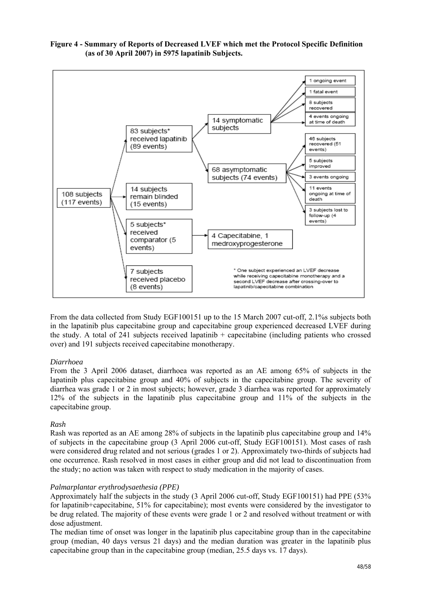

# **Figure 4 - Summary of Reports of Decreased LVEF which met the Protocol Specific Definition (as of 30 April 2007) in 5975 lapatinib Subjects.**

From the data collected from Study EGF100151 up to the 15 March 2007 cut-off, 2.1%s subjects both in the lapatinib plus capecitabine group and capecitabine group experienced decreased LVEF during the study. A total of 241 subjects received lapatinib + capecitabine (including patients who crossed over) and 191 subjects received capecitabine monotherapy.

#### *Diarrhoea*

From the 3 April 2006 dataset, diarrhoea was reported as an AE among 65% of subjects in the lapatinib plus capecitabine group and 40% of subjects in the capecitabine group. The severity of diarrhea was grade 1 or 2 in most subjects; however, grade 3 diarrhea was reported for approximately 12% of the subjects in the lapatinib plus capecitabine group and 11% of the subjects in the capecitabine group.

#### *Rash*

Rash was reported as an AE among 28% of subjects in the lapatinib plus capecitabine group and 14% of subjects in the capecitabine group (3 April 2006 cut-off, Study EGF100151). Most cases of rash were considered drug related and not serious (grades 1 or 2). Approximately two-thirds of subjects had one occurrence. Rash resolved in most cases in either group and did not lead to discontinuation from the study; no action was taken with respect to study medication in the majority of cases.

#### *Palmarplantar erythrodysaethesia (PPE)*

Approximately half the subjects in the study (3 April 2006 cut-off, Study EGF100151) had PPE (53% for lapatinib+capecitabine, 51% for capecitabine); most events were considered by the investigator to be drug related. The majority of these events were grade 1 or 2 and resolved without treatment or with dose adjustment.

The median time of onset was longer in the lapatinib plus capecitabine group than in the capecitabine group (median, 40 days versus 21 days) and the median duration was greater in the lapatinib plus capecitabine group than in the capecitabine group (median,  $25.5$  days vs. 17 days).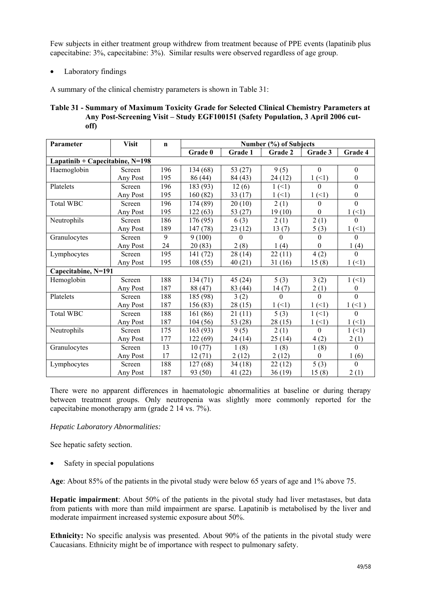Few subjects in either treatment group withdrew from treatment because of PPE events (lapatinib plus capecitabine: 3%, capecitabine: 3%). Similar results were observed regardless of age group.

• Laboratory findings

A summary of the clinical chemistry parameters is shown in Table 31:

| Table 31 - Summary of Maximum Toxicity Grade for Selected Clinical Chemistry Parameters at |
|--------------------------------------------------------------------------------------------|
| Any Post-Screening Visit – Study EGF100151 (Safety Population, 3 April 2006 cut-           |
| off)                                                                                       |

| Parameter                       | <b>Visit</b> | $\mathbf n$    | Number (%) of Subjects |          |                           |                  |                  |
|---------------------------------|--------------|----------------|------------------------|----------|---------------------------|------------------|------------------|
|                                 |              |                | Grade 0                | Grade 1  | Grade 2                   | Grade 3          | Grade 4          |
| Lapatinib + Capecitabine, N=198 |              |                |                        |          |                           |                  |                  |
| Haemoglobin                     | Screen       | 196            | 134 (68)               | 53 (27)  | 9(5)                      | $\theta$         | $\boldsymbol{0}$ |
|                                 | Any Post     | 195            | 86 (44)                | 84 (43)  | 24(12)                    | 1(1)             | $\overline{0}$   |
| Platelets                       | Screen       | 196            | 183 (93)               | 12(6)    | $1 \left( \leq 1 \right)$ | $\Omega$         | $\mathbf{0}$     |
|                                 | Any Post     | 195            | 160 (82)               | 33(17)   | 1(1)                      | 1(1)             | $\theta$         |
| <b>Total WBC</b>                | Screen       | 196            | 174 (89)               | 20(10)   | 2(1)                      | $\theta$         | $\theta$         |
|                                 | Any Post     | 195            | 122(63)                | 53(27)   | 19(10)                    | $\boldsymbol{0}$ | 1(1)             |
| Neutrophils                     | Screen       | 186            | 176 (95)               | 6(3)     | 2(1)                      | 2(1)             | $\Omega$         |
|                                 | Any Post     | 189            | 147 (78)               | 23(12)   | 13(7)                     | 5(3)             | 1(1)             |
| Granulocytes                    | Screen       | $\overline{9}$ | 9(100)                 | $\Omega$ | $\Omega$                  | $\Omega$         | $\Omega$         |
|                                 | Any Post     | 24             | 20(83)                 | 2(8)     | 1(4)                      | $\Omega$         | 1(4)             |
| Lymphocytes                     | Screen       | 195            | 141 (72)               | 28(14)   | 22(11)                    | 4(2)             | $\Omega$         |
|                                 | Any Post     | 195            | 108(55)                | 40(21)   | 31(16)                    | 15(8)            | 1(1)             |
| Capecitabine, N=191             |              |                |                        |          |                           |                  |                  |
| Hemoglobin                      | Screen       | 188            | 134(71)                | 45(24)   | 5(3)                      | 3(2)             | 1(1)             |
|                                 | Any Post     | 187            | 88 (47)                | 83 (44)  | 14(7)                     | 2(1)             | $\boldsymbol{0}$ |
| Platelets                       | Screen       | 188            | 185 (98)               | 3(2)     | $\Omega$                  | $\Omega$         | $\Omega$         |
|                                 | Any Post     | 187            | 156 (83)               | 28(15)   | 1(1)                      | 1(1)             | 1(1)             |
| <b>Total WBC</b>                | Screen       | 188            | 161 (86)               | 21(11)   | 5(3)                      | 1(1)             | $\theta$         |
|                                 | Any Post     | 187            | 104(56)                | 53 (28)  | 28(15)                    | 1(1)             | 1(1)             |
| Neutrophils                     | Screen       | 175            | 163 (93)               | 9(5)     | 2(1)                      | $\theta$         | 1(1)             |
|                                 | Any Post     | 177            | 122 (69)               | 24 (14)  | 25(14)                    | 4(2)             | 2(1)             |
| Granulocytes                    | Screen       | 13             | 10(77)                 | 1(8)     | 1(8)                      | 1(8)             | $\Omega$         |
|                                 | Any Post     | 17             | 12(71)                 | 2(12)    | 2(12)                     | $\theta$         | 1(6)             |
| Lymphocytes                     | Screen       | 188            | 127(68)                | 34(18)   | 22(12)                    | 5(3)             | $\overline{0}$   |
|                                 | Any Post     | 187            | 93 (50)                | 41 (22)  | 36(19)                    | 15(8)            | 2(1)             |

There were no apparent differences in haematologic abnormalities at baseline or during therapy between treatment groups. Only neutropenia was slightly more commonly reported for the capecitabine monotherapy arm (grade 2 14 vs. 7%).

*Hepatic Laboratory Abnormalities:* 

See hepatic safety section.

Safety in special populations

**Age**: About 85% of the patients in the pivotal study were below 65 years of age and 1% above 75.

**Hepatic impairment**: About 50% of the patients in the pivotal study had liver metastases, but data from patients with more than mild impairment are sparse. Lapatinib is metabolised by the liver and moderate impairment increased systemic exposure about 50%.

**Ethnicity:** No specific analysis was presented. About 90% of the patients in the pivotal study were Caucasians. Ethnicity might be of importance with respect to pulmonary safety.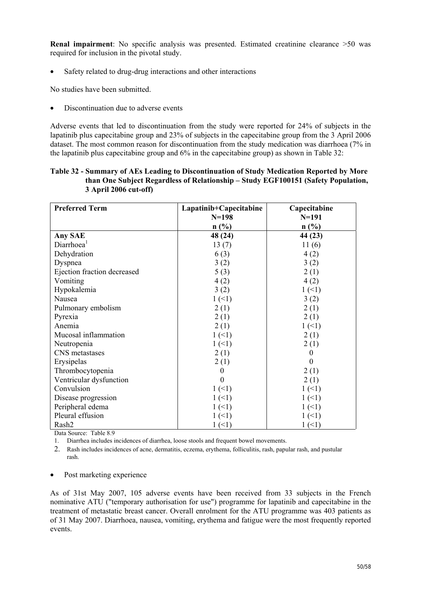**Renal impairment**: No specific analysis was presented. Estimated creatinine clearance >50 was required for inclusion in the pivotal study.

• Safety related to drug-drug interactions and other interactions

No studies have been submitted.

• Discontinuation due to adverse events

Adverse events that led to discontinuation from the study were reported for 24% of subjects in the lapatinib plus capecitabine group and 23% of subjects in the capecitabine group from the 3 April 2006 dataset. The most common reason for discontinuation from the study medication was diarrhoea (7% in the lapatinib plus capecitabine group and 6% in the capecitabine group) as shown in Table 32:

| Table 32 - Summary of AEs Leading to Discontinuation of Study Medication Reported by More |  |
|-------------------------------------------------------------------------------------------|--|
| than One Subject Regardless of Relationship – Study EGF100151 (Safety Population,         |  |
| 3 April 2006 cut-off)                                                                     |  |

| <b>Preferred Term</b>       | Lapatinib+Capecitabine | Capecitabine |
|-----------------------------|------------------------|--------------|
|                             | $N = 198$              | $N = 191$    |
|                             | n(%)                   | $n$ (%)      |
| Any SAE                     | 48 (24)                | 44 (23)      |
| Diarrhoea <sup>1</sup>      | 13(7)                  | 11(6)        |
| Dehydration                 | 6(3)                   | 4(2)         |
| Dyspnea                     | 3(2)                   | 3(2)         |
| Ejection fraction decreased | 5(3)                   | 2(1)         |
| Vomiting                    | 4(2)                   | 4(2)         |
| Hypokalemia                 | 3(2)                   | 1(1)         |
| Nausea                      | 1(1)                   | 3(2)         |
| Pulmonary embolism          | 2(1)                   | 2(1)         |
| Pyrexia                     | 2(1)                   | 2(1)         |
| Anemia                      | 2(1)                   | 1(1)         |
| Mucosal inflammation        | 1(1)                   | 2(1)         |
| Neutropenia                 | 1(1)                   | 2(1)         |
| CNS metastases              | 2(1)                   | 0            |
| Erysipelas                  | 2(1)                   | 0            |
| Thrombocytopenia            | $\theta$               | 2(1)         |
| Ventricular dysfunction     | $\Omega$               | 2(1)         |
| Convulsion                  | $1(-1)$                | 1(1)         |
| Disease progression         | 1(1)                   | 1(1)         |
| Peripheral edema            | $1(-1)$                | 1(1)         |
| Pleural effusion            | 1(1)                   | 1(1)         |
| Rash <sub>2</sub>           | 1(1)                   | 1(1)         |

Data Source: Table 8.9

1. Diarrhea includes incidences of diarrhea, loose stools and frequent bowel movements.

2. Rash includes incidences of acne, dermatitis, eczema, erythema, folliculitis, rash, papular rash, and pustular rash.

• Post marketing experience

As of 31st May 2007, 105 adverse events have been received from 33 subjects in the French nominative ATU ("temporary authorisation for use") programme for lapatinib and capecitabine in the treatment of metastatic breast cancer. Overall enrolment for the ATU programme was 403 patients as of 31 May 2007. Diarrhoea, nausea, vomiting, erythema and fatigue were the most frequently reported events.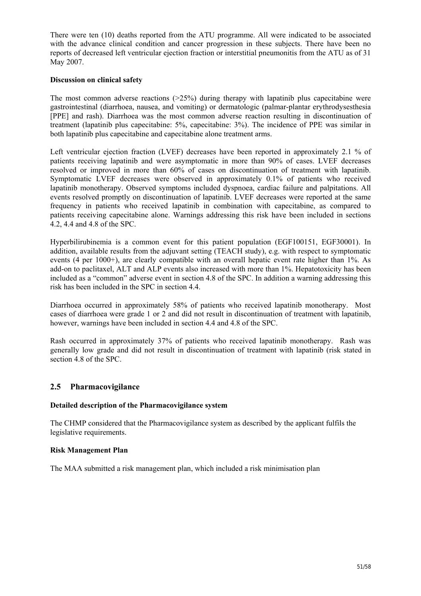There were ten (10) deaths reported from the ATU programme. All were indicated to be associated with the advance clinical condition and cancer progression in these subjects. There have been no reports of decreased left ventricular ejection fraction or interstitial pneumonitis from the ATU as of 31 May 2007.

## **Discussion on clinical safety**

The most common adverse reactions  $(>=25\%)$  during therapy with lapatinib plus capecitabine were gastrointestinal (diarrhoea, nausea, and vomiting) or dermatologic (palmar-plantar erythrodysesthesia [PPE] and rash). Diarrhoea was the most common adverse reaction resulting in discontinuation of treatment (lapatinib plus capecitabine: 5%, capecitabine: 3%). The incidence of PPE was similar in both lapatinib plus capecitabine and capecitabine alone treatment arms.

Left ventricular ejection fraction (LVEF) decreases have been reported in approximately 2.1 % of patients receiving lapatinib and were asymptomatic in more than 90% of cases. LVEF decreases resolved or improved in more than 60% of cases on discontinuation of treatment with lapatinib. Symptomatic LVEF decreases were observed in approximately 0.1% of patients who received lapatinib monotherapy. Observed symptoms included dyspnoea, cardiac failure and palpitations. All events resolved promptly on discontinuation of lapatinib. LVEF decreases were reported at the same frequency in patients who received lapatinib in combination with capecitabine, as compared to patients receiving capecitabine alone. Warnings addressing this risk have been included in sections 4.2, 4.4 and 4.8 of the SPC.

Hyperbilirubinemia is a common event for this patient population (EGF100151, EGF30001). In addition, available results from the adjuvant setting (TEACH study), e.g. with respect to symptomatic events (4 per 1000+), are clearly compatible with an overall hepatic event rate higher than 1%. As add-on to paclitaxel, ALT and ALP events also increased with more than 1%. Hepatotoxicity has been included as a "common" adverse event in section 4.8 of the SPC. In addition a warning addressing this risk has been included in the SPC in section 4.4.

Diarrhoea occurred in approximately 58% of patients who received lapatinib monotherapy. Most cases of diarrhoea were grade 1 or 2 and did not result in discontinuation of treatment with lapatinib, however, warnings have been included in section 4.4 and 4.8 of the SPC.

Rash occurred in approximately 37% of patients who received lapatinib monotherapy. Rash was generally low grade and did not result in discontinuation of treatment with lapatinib (risk stated in section 4.8 of the SPC.

## **2.5 Pharmacovigilance**

#### **Detailed description of the Pharmacovigilance system**

The CHMP considered that the Pharmacovigilance system as described by the applicant fulfils the legislative requirements.

#### **Risk Management Plan**

The MAA submitted a risk management plan, which included a risk minimisation plan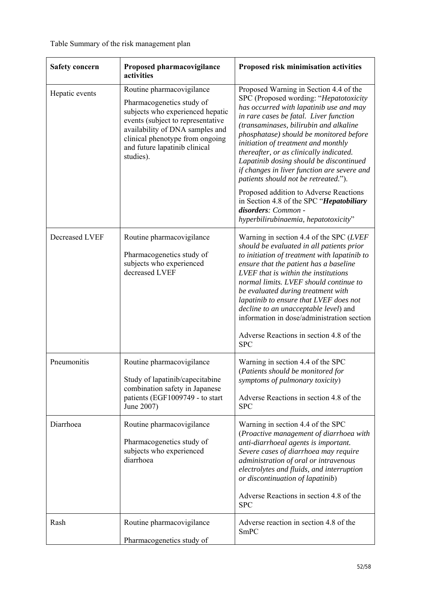| <b>Safety concern</b> | Proposed pharmacovigilance<br>activities                                                                                                                                                                                                            | Proposed risk minimisation activities                                                                                                                                                                                                                                                                                                                                                                                                                                                                                                                                                                                               |
|-----------------------|-----------------------------------------------------------------------------------------------------------------------------------------------------------------------------------------------------------------------------------------------------|-------------------------------------------------------------------------------------------------------------------------------------------------------------------------------------------------------------------------------------------------------------------------------------------------------------------------------------------------------------------------------------------------------------------------------------------------------------------------------------------------------------------------------------------------------------------------------------------------------------------------------------|
| Hepatic events        | Routine pharmacovigilance<br>Pharmacogenetics study of<br>subjects who experienced hepatic<br>events (subject to representative<br>availability of DNA samples and<br>clinical phenotype from ongoing<br>and future lapatinib clinical<br>studies). | Proposed Warning in Section 4.4 of the<br>SPC (Proposed wording: "Hepatotoxicity<br>has occurred with lapatinib use and may<br>in rare cases be fatal. Liver function<br>(transaminases, bilirubin and alkaline<br>phosphatase) should be monitored before<br>initiation of treatment and monthly<br>thereafter, or as clinically indicated.<br>Lapatinib dosing should be discontinued<br>if changes in liver function are severe and<br>patients should not be retreated.").<br>Proposed addition to Adverse Reactions<br>in Section 4.8 of the SPC "Hepatobiliary<br>disorders: Common -<br>hyperbilirubinaemia, hepatotoxicity" |
| Decreased LVEF        | Routine pharmacovigilance<br>Pharmacogenetics study of<br>subjects who experienced<br>decreased LVEF                                                                                                                                                | Warning in section 4.4 of the SPC (LVEF<br>should be evaluated in all patients prior<br>to initiation of treatment with lapatinib to<br>ensure that the patient has a baseline<br>LVEF that is within the institutions<br>normal limits. LVEF should continue to<br>be evaluated during treatment with<br>lapatinib to ensure that LVEF does not<br>decline to an unacceptable level) and<br>information in dose/administration section<br>Adverse Reactions in section 4.8 of the<br><b>SPC</b>                                                                                                                                    |
| Pneumonitis           | Routine pharmacovigilance<br>Study of lapatinib/capecitabine<br>combination safety in Japanese<br>patients (EGF1009749 - to start<br>June 2007)                                                                                                     | Warning in section 4.4 of the SPC<br>(Patients should be monitored for<br>symptoms of pulmonary toxicity)<br>Adverse Reactions in section 4.8 of the<br><b>SPC</b>                                                                                                                                                                                                                                                                                                                                                                                                                                                                  |
| Diarrhoea             | Routine pharmacovigilance<br>Pharmacogenetics study of<br>subjects who experienced<br>diarrhoea                                                                                                                                                     | Warning in section 4.4 of the SPC<br>(Proactive management of diarrhoea with<br>anti-diarrhoeal agents is important.<br>Severe cases of diarrhoea may require<br>administration of oral or intravenous<br>electrolytes and fluids, and interruption<br>or discontinuation of lapatinib)<br>Adverse Reactions in section 4.8 of the<br><b>SPC</b>                                                                                                                                                                                                                                                                                    |
| Rash                  | Routine pharmacovigilance<br>Pharmacogenetics study of                                                                                                                                                                                              | Adverse reaction in section 4.8 of the<br>SmPC                                                                                                                                                                                                                                                                                                                                                                                                                                                                                                                                                                                      |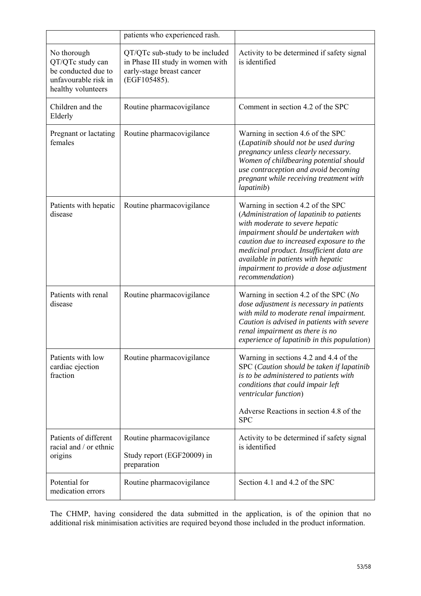|                                                                                                      | patients who experienced rash.                                                                                   |                                                                                                                                                                                                                                                                                                                                                      |
|------------------------------------------------------------------------------------------------------|------------------------------------------------------------------------------------------------------------------|------------------------------------------------------------------------------------------------------------------------------------------------------------------------------------------------------------------------------------------------------------------------------------------------------------------------------------------------------|
| No thorough<br>QT/QTc study can<br>be conducted due to<br>unfavourable risk in<br>healthy volunteers | QT/QTc sub-study to be included<br>in Phase III study in women with<br>early-stage breast cancer<br>(EGF105485). | Activity to be determined if safety signal<br>is identified                                                                                                                                                                                                                                                                                          |
| Children and the<br>Elderly                                                                          | Routine pharmacovigilance                                                                                        | Comment in section 4.2 of the SPC                                                                                                                                                                                                                                                                                                                    |
| Pregnant or lactating<br>females                                                                     | Routine pharmacovigilance                                                                                        | Warning in section 4.6 of the SPC<br>(Lapatinib should not be used during<br>pregnancy unless clearly necessary.<br>Women of childbearing potential should<br>use contraception and avoid becoming<br>pregnant while receiving treatment with<br>lapatinib)                                                                                          |
| Patients with hepatic<br>disease                                                                     | Routine pharmacovigilance                                                                                        | Warning in section 4.2 of the SPC<br>(Administration of lapatinib to patients<br>with moderate to severe hepatic<br>impairment should be undertaken with<br>caution due to increased exposure to the<br>medicinal product. Insufficient data are<br>available in patients with hepatic<br>impairment to provide a dose adjustment<br>recommendation) |
| Patients with renal<br>disease                                                                       | Routine pharmacovigilance                                                                                        | Warning in section 4.2 of the SPC ( $No$<br>dose adjustment is necessary in patients<br>with mild to moderate renal impairment.<br>Caution is advised in patients with severe<br>renal impairment as there is no<br>experience of lapatinib in this population)                                                                                      |
| Patients with low<br>cardiac ejection<br>fraction                                                    | Routine pharmacovigilance                                                                                        | Warning in sections 4.2 and 4.4 of the<br>SPC (Caution should be taken if lapatinib<br>is to be administered to patients with<br>conditions that could impair left<br>ventricular function)<br>Adverse Reactions in section 4.8 of the<br><b>SPC</b>                                                                                                 |
|                                                                                                      |                                                                                                                  |                                                                                                                                                                                                                                                                                                                                                      |
| Patients of different<br>racial and / or ethnic<br>origins                                           | Routine pharmacovigilance<br>Study report (EGF20009) in<br>preparation                                           | Activity to be determined if safety signal<br>is identified                                                                                                                                                                                                                                                                                          |
| Potential for<br>medication errors                                                                   | Routine pharmacovigilance                                                                                        | Section 4.1 and 4.2 of the SPC                                                                                                                                                                                                                                                                                                                       |

The CHMP, having considered the data submitted in the application, is of the opinion that no additional risk minimisation activities are required beyond those included in the product information.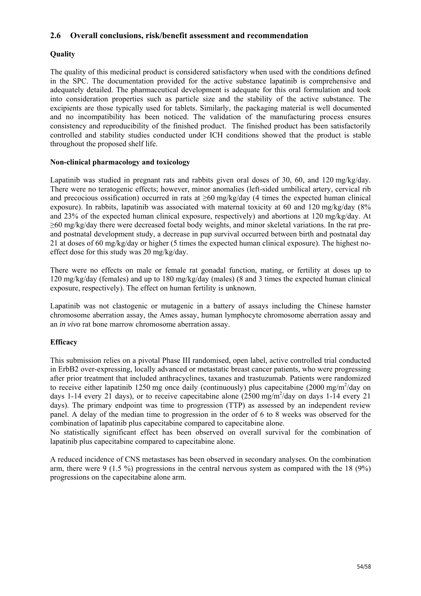## **2.6 Overall conclusions, risk/benefit assessment and recommendation**

# **Quality**

The quality of this medicinal product is considered satisfactory when used with the conditions defined in the SPC. The documentation provided for the active substance lapatinib is comprehensive and adequately detailed. The pharmaceutical development is adequate for this oral formulation and took into consideration properties such as particle size and the stability of the active substance. The excipients are those typically used for tablets. Similarly, the packaging material is well documented and no incompatibility has been noticed. The validation of the manufacturing process ensures consistency and reproducibility of the finished product. The finished product has been satisfactorily controlled and stability studies conducted under ICH conditions showed that the product is stable throughout the proposed shelf life.

## **Non-clinical pharmacology and toxicology**

Lapatinib was studied in pregnant rats and rabbits given oral doses of 30, 60, and 120 mg/kg/day. There were no teratogenic effects; however, minor anomalies (left-sided umbilical artery, cervical rib and precocious ossification) occurred in rats at  $\geq 60$  mg/kg/day (4 times the expected human clinical exposure). In rabbits, lapatinib was associated with maternal toxicity at 60 and 120 mg/kg/day (8% and 23% of the expected human clinical exposure, respectively) and abortions at 120 mg/kg/day. At ≥60 mg/kg/day there were decreased foetal body weights, and minor skeletal variations. In the rat preand postnatal development study, a decrease in pup survival occurred between birth and postnatal day 21 at doses of 60 mg/kg/day or higher (5 times the expected human clinical exposure). The highest noeffect dose for this study was 20 mg/kg/day.

There were no effects on male or female rat gonadal function, mating, or fertility at doses up to 120 mg/kg/day (females) and up to 180 mg/kg/day (males) (8 and 3 times the expected human clinical exposure, respectively). The effect on human fertility is unknown.

Lapatinib was not clastogenic or mutagenic in a battery of assays including the Chinese hamster chromosome aberration assay, the Ames assay, human lymphocyte chromosome aberration assay and an *in vivo* rat bone marrow chromosome aberration assay.

## **Efficacy**

This submission relies on a pivotal Phase III randomised, open label, active controlled trial conducted in ErbB2 over-expressing, locally advanced or metastatic breast cancer patients, who were progressing after prior treatment that included anthracyclines, taxanes and trastuzumab. Patients were randomized to receive either lapatinib 1250 mg once daily (continuously) plus capecitabine  $(2000 \text{ mg/m}^2/\text{day on})$ days 1-14 every 21 days), or to receive capecitabine alone  $(2500 \text{ mg/m}^2/\text{day}$  on days 1-14 every 21 days). The primary endpoint was time to progression (TTP) as assessed by an independent review panel. A delay of the median time to progression in the order of 6 to 8 weeks was observed for the combination of lapatinib plus capecitabine compared to capecitabine alone.

No statistically significant effect has been observed on overall survival for the combination of lapatinib plus capecitabine compared to capecitabine alone.

A reduced incidence of CNS metastases has been observed in secondary analyses. On the combination arm, there were 9 (1.5 %) progressions in the central nervous system as compared with the 18 (9%) progressions on the capecitabine alone arm.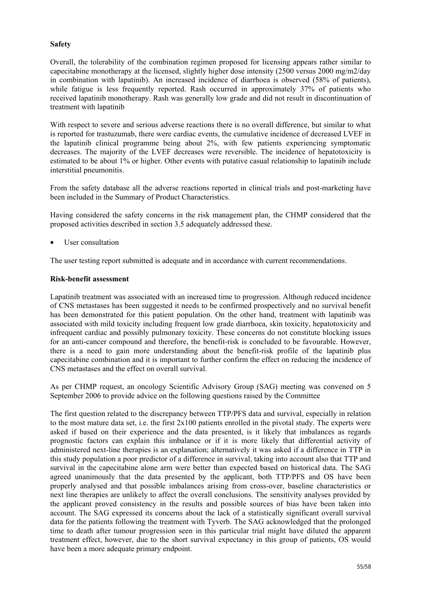## **Safety**

Overall, the tolerability of the combination regimen proposed for licensing appears rather similar to capecitabine monotherapy at the licensed, slightly higher dose intensity (2500 versus 2000 mg/m2/day in combination with lapatinib). An increased incidence of diarrhoea is observed (58% of patients), while fatigue is less frequently reported. Rash occurred in approximately 37% of patients who received lapatinib monotherapy. Rash was generally low grade and did not result in discontinuation of treatment with lapatinib

With respect to severe and serious adverse reactions there is no overall difference, but similar to what is reported for trastuzumab, there were cardiac events, the cumulative incidence of decreased LVEF in the lapatinib clinical programme being about 2%, with few patients experiencing symptomatic decreases. The majority of the LVEF decreases were reversible. The incidence of hepatotoxicity is estimated to be about 1% or higher. Other events with putative casual relationship to lapatinib include interstitial pneumonitis.

From the safety database all the adverse reactions reported in clinical trials and post-marketing have been included in the Summary of Product Characteristics.

Having considered the safety concerns in the risk management plan, the CHMP considered that the proposed activities described in section 3.5 adequately addressed these.

User consultation

The user testing report submitted is adequate and in accordance with current recommendations.

#### **Risk-benefit assessment**

Lapatinib treatment was associated with an increased time to progression. Although reduced incidence of CNS metastases has been suggested it needs to be confirmed prospectively and no survival benefit has been demonstrated for this patient population. On the other hand, treatment with lapatinib was associated with mild toxicity including frequent low grade diarrhoea, skin toxicity, hepatotoxicity and infrequent cardiac and possibly pulmonary toxicity. These concerns do not constitute blocking issues for an anti-cancer compound and therefore, the benefit-risk is concluded to be favourable. However, there is a need to gain more understanding about the benefit-risk profile of the lapatinib plus capecitabine combination and it is important to further confirm the effect on reducing the incidence of CNS metastases and the effect on overall survival.

As per CHMP request, an oncology Scientific Advisory Group (SAG) meeting was convened on 5 September 2006 to provide advice on the following questions raised by the Committee

The first question related to the discrepancy between TTP/PFS data and survival, especially in relation to the most mature data set, i.e. the first  $2x100$  patients enrolled in the pivotal study. The experts were asked if based on their experience and the data presented, is it likely that imbalances as regards prognostic factors can explain this imbalance or if it is more likely that differential activity of administered next-line therapies is an explanation; alternatively it was asked if a difference in TTP in this study population a poor predictor of a difference in survival, taking into account also that TTP and survival in the capecitabine alone arm were better than expected based on historical data. The SAG agreed unanimously that the data presented by the applicant, both TTP/PFS and OS have been properly analysed and that possible imbalances arising from cross-over, baseline characteristics or next line therapies are unlikely to affect the overall conclusions. The sensitivity analyses provided by the applicant proved consistency in the results and possible sources of bias have been taken into account. The SAG expressed its concerns about the lack of a statistically significant overall survival data for the patients following the treatment with Tyverb. The SAG acknowledged that the prolonged time to death after tumour progression seen in this particular trial might have diluted the apparent treatment effect, however, due to the short survival expectancy in this group of patients, OS would have been a more adequate primary endpoint.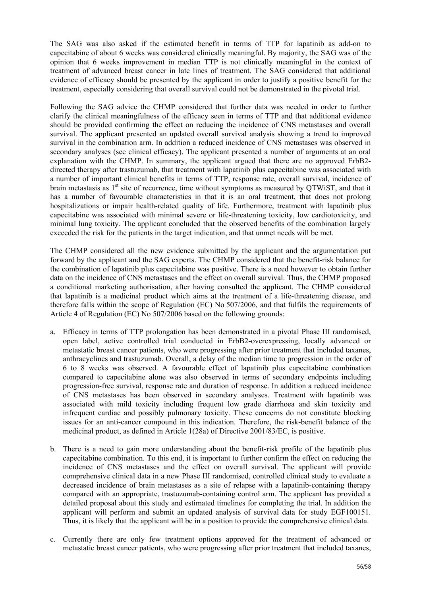The SAG was also asked if the estimated benefit in terms of TTP for lapatinib as add-on to capecitabine of about 6 weeks was considered clinically meaningful. By majority, the SAG was of the opinion that 6 weeks improvement in median TTP is not clinically meaningful in the context of treatment of advanced breast cancer in late lines of treatment. The SAG considered that additional evidence of efficacy should be presented by the applicant in order to justify a positive benefit for the treatment, especially considering that overall survival could not be demonstrated in the pivotal trial.

Following the SAG advice the CHMP considered that further data was needed in order to further clarify the clinical meaningfulness of the efficacy seen in terms of TTP and that additional evidence should be provided confirming the effect on reducing the incidence of CNS metastases and overall survival. The applicant presented an updated overall survival analysis showing a trend to improved survival in the combination arm. In addition a reduced incidence of CNS metastases was observed in secondary analyses (see clinical efficacy). The applicant presented a number of arguments at an oral explanation with the CHMP. In summary, the applicant argued that there are no approved ErbB2 directed therapy after trastuzumab, that treatment with lapatinib plus capecitabine was associated with a number of important clinical benefits in terms of TTP, response rate, overall survival, incidence of brain metastasis as  $1<sup>st</sup>$  site of recurrence, time without symptoms as measured by QTWiST, and that it has a number of favourable characteristics in that it is an oral treatment, that does not prolong hospitalizations or impair health-related quality of life. Furthermore, treatment with lapatinib plus capecitabine was associated with minimal severe or life-threatening toxicity, low cardiotoxicity, and minimal lung toxicity. The applicant concluded that the observed benefits of the combination largely exceeded the risk for the patients in the target indication, and that unmet needs will be met.

The CHMP considered all the new evidence submitted by the applicant and the argumentation put forward by the applicant and the SAG experts. The CHMP considered that the benefit-risk balance for the combination of lapatinib plus capecitabine was positive. There is a need however to obtain further data on the incidence of CNS metastases and the effect on overall survival. Thus, the CHMP proposed a conditional marketing authorisation, after having consulted the applicant. The CHMP considered that lapatinib is a medicinal product which aims at the treatment of a life-threatening disease, and therefore falls within the scope of Regulation (EC) No 507/2006, and that fulfils the requirements of Article 4 of Regulation (EC) No 507/2006 based on the following grounds:

- a. Efficacy in terms of TTP prolongation has been demonstrated in a pivotal Phase III randomised, open label, active controlled trial conducted in ErbB2-overexpressing, locally advanced or metastatic breast cancer patients, who were progressing after prior treatment that included taxanes, anthracyclines and trastuzumab. Overall, a delay of the median time to progression in the order of 6 to 8 weeks was observed. A favourable effect of lapatinib plus capecitabine combination compared to capecitabine alone was also observed in terms of secondary endpoints including progression-free survival, response rate and duration of response. In addition a reduced incidence of CNS metastases has been observed in secondary analyses. Treatment with lapatinib was associated with mild toxicity including frequent low grade diarrhoea and skin toxicity and infrequent cardiac and possibly pulmonary toxicity. These concerns do not constitute blocking issues for an anti-cancer compound in this indication. Therefore, the risk-benefit balance of the medicinal product, as defined in Article 1(28a) of Directive 2001/83/EC, is positive.
- b. There is a need to gain more understanding about the benefit-risk profile of the lapatinib plus capecitabine combination. To this end, it is important to further confirm the effect on reducing the incidence of CNS metastases and the effect on overall survival. The applicant will provide comprehensive clinical data in a new Phase III randomised, controlled clinical study to evaluate a decreased incidence of brain metastases as a site of relapse with a lapatinib-containing therapy compared with an appropriate, trastuzumab-containing control arm. The applicant has provided a detailed proposal about this study and estimated timelines for completing the trial. In addition the applicant will perform and submit an updated analysis of survival data for study EGF100151. Thus, it is likely that the applicant will be in a position to provide the comprehensive clinical data.
- c. Currently there are only few treatment options approved for the treatment of advanced or metastatic breast cancer patients, who were progressing after prior treatment that included taxanes,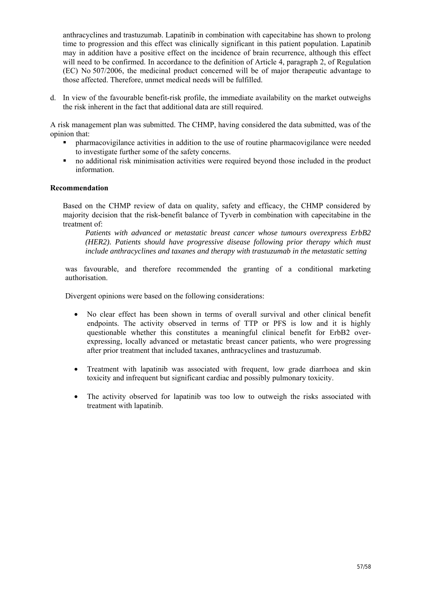anthracyclines and trastuzumab. Lapatinib in combination with capecitabine has shown to prolong time to progression and this effect was clinically significant in this patient population. Lapatinib may in addition have a positive effect on the incidence of brain recurrence, although this effect will need to be confirmed. In accordance to the definition of Article 4, paragraph 2, of Regulation (EC) No 507/2006, the medicinal product concerned will be of major therapeutic advantage to those affected. Therefore, unmet medical needs will be fulfilled.

d. In view of the favourable benefit-risk profile, the immediate availability on the market outweighs the risk inherent in the fact that additional data are still required.

A risk management plan was submitted. The CHMP, having considered the data submitted, was of the opinion that:

- pharmacovigilance activities in addition to the use of routine pharmacovigilance were needed to investigate further some of the safety concerns.
- no additional risk minimisation activities were required beyond those included in the product information.

#### **Recommendation**

Based on the CHMP review of data on quality, safety and efficacy, the CHMP considered by majority decision that the risk-benefit balance of Tyverb in combination with capecitabine in the treatment of:

*Patients with advanced or metastatic breast cancer whose tumours overexpress ErbB2 (HER2). Patients should have progressive disease following prior therapy which must include anthracyclines and taxanes and therapy with trastuzumab in the metastatic setting* 

was favourable, and therefore recommended the granting of a conditional marketing authorisation.

Divergent opinions were based on the following considerations:

- No clear effect has been shown in terms of overall survival and other clinical benefit endpoints. The activity observed in terms of TTP or PFS is low and it is highly questionable whether this constitutes a meaningful clinical benefit for ErbB2 overexpressing, locally advanced or metastatic breast cancer patients, who were progressing after prior treatment that included taxanes, anthracyclines and trastuzumab.
- Treatment with lapatinib was associated with frequent, low grade diarrhoea and skin toxicity and infrequent but significant cardiac and possibly pulmonary toxicity.
- The activity observed for lapatinib was too low to outweigh the risks associated with treatment with lapatinib.